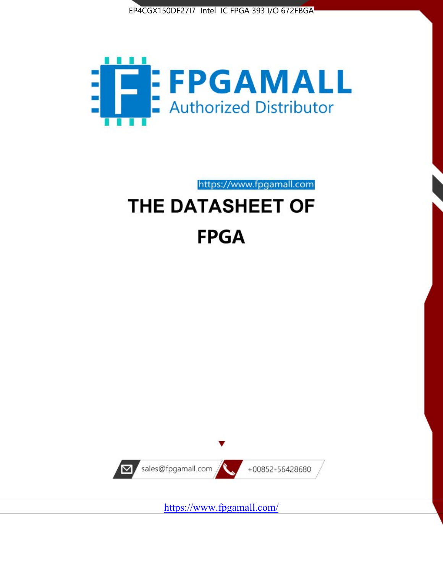



# https://www.fpgamall.com THE DATASHEET OF

# **FPGA**



<https://www.fpgamall.com/>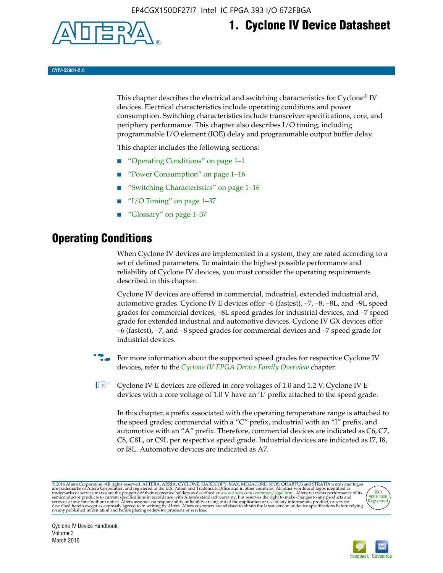

# **1. Cyclone IV Device Datasheet**

**CYIV-53001-2.0**

This chapter describes the electrical and switching characteristics for Cyclone<sup>®</sup> IV devices. Electrical characteristics include operating conditions and power consumption. Switching characteristics include transceiver specifications, core, and periphery performance. This chapter also describes I/O timing, including programmable I/O element (IOE) delay and programmable output buffer delay.

This chapter includes the following sections:

- "Operating Conditions" on page 1–1
- "Power Consumption" on page 1–16
- "Switching Characteristics" on page 1–16
- "I/O Timing" on page  $1-37$
- "Glossary" on page 1–37

# **Operating Conditions**

When Cyclone IV devices are implemented in a system, they are rated according to a set of defined parameters. To maintain the highest possible performance and reliability of Cyclone IV devices, you must consider the operating requirements described in this chapter.

Cyclone IV devices are offered in commercial, industrial, extended industrial and, automotive grades. Cyclone IV E devices offer –6 (fastest), –7, –8, –8L, and –9L speed grades for commercial devices, –8L speed grades for industrial devices, and –7 speed grade for extended industrial and automotive devices. Cyclone IV GX devices offer –6 (fastest), –7, and –8 speed grades for commercial devices and –7 speed grade for industrial devices.

**For more information about the supported speed grades for respective Cyclone IV** devices, refer to the *[Cyclone IV FPGA Device Family Overview](http://www.altera.com/literature/hb/cyclone-iv/cyiv-51001.pdf)* chapter.

**1** Cyclone IV E devices are offered in core voltages of 1.0 and 1.2 V. Cyclone IV E devices with a core voltage of 1.0 V have an 'L' prefix attached to the speed grade.

In this chapter, a prefix associated with the operating temperature range is attached to the speed grades; commercial with a "C" prefix, industrial with an "I" prefix, and automotive with an "A" prefix. Therefore, commercial devices are indicated as C6, C7, C8, C8L, or C9L per respective speed grade. Industrial devices are indicated as I7, I8, or I8L. Automotive devices are indicated as A7.

@2016 Altera Corporation. All rights reserved. ALTERA, ARRIA, CYCLONE, HARDCOPY, MAX, MEGACORE, NIOS, QUARTUS and STRATIX words and logos are trademarks of Altera Corporation and registered in the U.S. Patent and Trademark



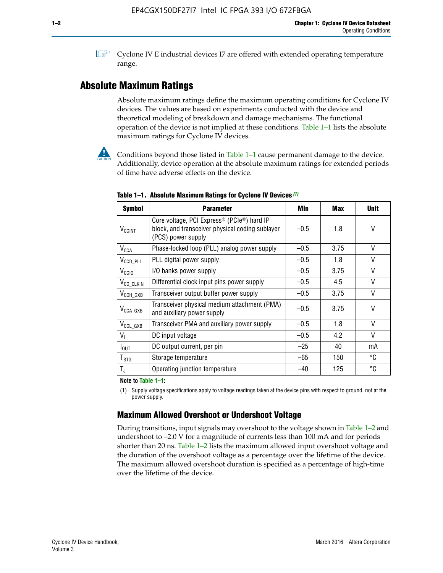**1 Cyclone IV E industrial devices I7 are offered with extended operating temperature** range.

# **Absolute Maximum Ratings**

Absolute maximum ratings define the maximum operating conditions for Cyclone IV devices. The values are based on experiments conducted with the device and theoretical modeling of breakdown and damage mechanisms. The functional operation of the device is not implied at these conditions. Table 1–1 lists the absolute maximum ratings for Cyclone IV devices.



**Conditions beyond those listed in Table 1–1 cause permanent damage to the device.** Additionally, device operation at the absolute maximum ratings for extended periods of time have adverse effects on the device.

| <b>Symbol</b>            | <b>Parameter</b>                                                                                                                             | Min    | <b>Max</b> | <b>Unit</b> |
|--------------------------|----------------------------------------------------------------------------------------------------------------------------------------------|--------|------------|-------------|
| <b>V<sub>CCINT</sub></b> | Core voltage, PCI Express <sup>®</sup> (PCIe <sup>®</sup> ) hard IP<br>block, and transceiver physical coding sublayer<br>(PCS) power supply | $-0.5$ | 1.8        | V           |
| $V_{CCA}$                | Phase-locked loop (PLL) analog power supply                                                                                                  | $-0.5$ | 3.75       | V           |
| $V_{CCD\_PLL}$           | PLL digital power supply                                                                                                                     | $-0.5$ | 1.8        | V           |
| V <sub>CCIO</sub>        | I/O banks power supply                                                                                                                       | $-0.5$ | 3.75       | V           |
| V <sub>CC_CLKIN</sub>    | Differential clock input pins power supply                                                                                                   | $-0.5$ | 4.5        | V           |
| $V_{\text{CCH_GXB}}$     | Transceiver output buffer power supply                                                                                                       | $-0.5$ | 3.75       | V           |
| $V_{\text{CCA\_GXB}}$    | Transceiver physical medium attachment (PMA)<br>and auxiliary power supply                                                                   | $-0.5$ | 3.75       | V           |
| $V_{CCL_GXB}$            | Transceiver PMA and auxiliary power supply                                                                                                   | $-0.5$ | 1.8        | V           |
| $V_{1}$                  | DC input voltage                                                                                                                             | $-0.5$ | 4.2        | V           |
| $I_{\text{OUT}}$         | DC output current, per pin                                                                                                                   | $-25$  | 40         | mA          |
| $T_{\mathtt{STG}}$       | Storage temperature                                                                                                                          | -65    | 150        | °C          |
| $T_{\rm J}$              | Operating junction temperature                                                                                                               | $-40$  | 125        | °C          |

**Table 1–1. Absolute Maximum Ratings for Cyclone IV Devices** *(1)*

**Note to Table 1–1:**

(1) Supply voltage specifications apply to voltage readings taken at the device pins with respect to ground, not at the power supply.

# **Maximum Allowed Overshoot or Undershoot Voltage**

During transitions, input signals may overshoot to the voltage shown in Table 1–2 and undershoot to –2.0 V for a magnitude of currents less than 100 mA and for periods shorter than 20 ns. Table 1–2 lists the maximum allowed input overshoot voltage and the duration of the overshoot voltage as a percentage over the lifetime of the device. The maximum allowed overshoot duration is specified as a percentage of high-time over the lifetime of the device.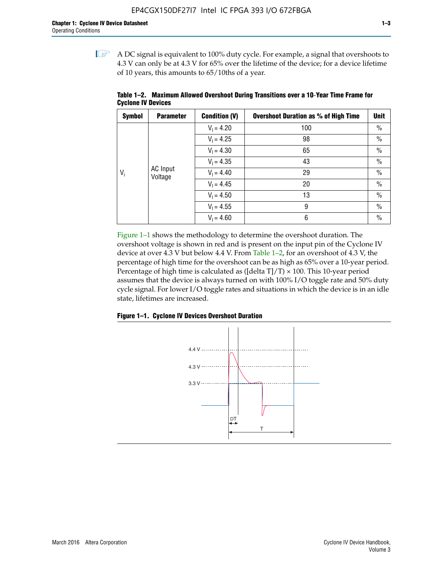$\mathbb{I}$  A DC signal is equivalent to 100% duty cycle. For example, a signal that overshoots to 4.3 V can only be at 4.3 V for 65% over the lifetime of the device; for a device lifetime of 10 years, this amounts to 65/10ths of a year.

| <b>Symbol</b> | <b>Parameter</b>    | <b>Condition (V)</b> | <b>Overshoot Duration as % of High Time</b> | Unit          |
|---------------|---------------------|----------------------|---------------------------------------------|---------------|
|               |                     | $V_1 = 4.20$         | 100                                         | $\%$          |
| $V_i$         |                     | $V_1 = 4.25$         | 98                                          | $\%$          |
|               |                     | $V_1 = 4.30$         | 65                                          | $\%$          |
|               |                     | $V_1 = 4.35$         | 43                                          | $\%$          |
|               | AC Input<br>Voltage | $V_1 = 4.40$         | 29                                          | $\%$          |
|               |                     | $V_1 = 4.45$         | 20                                          | $\%$          |
|               |                     | $V_1 = 4.50$         | 13                                          | $\%$          |
|               |                     | $V_1 = 4.55$         | 9                                           | $\%$          |
|               |                     | $V_1 = 4.60$         | 6                                           | $\frac{0}{0}$ |

**Table 1–2. Maximum Allowed Overshoot During Transitions over a 10**-**Year Time Frame for Cyclone IV Devices**

Figure 1–1 shows the methodology to determine the overshoot duration. The overshoot voltage is shown in red and is present on the input pin of the Cyclone IV device at over 4.3 V but below 4.4 V. From Table 1–2, for an overshoot of 4.3 V, the percentage of high time for the overshoot can be as high as 65% over a 10-year period. Percentage of high time is calculated as ([delta  $T$ ]/T)  $\times$  100. This 10-year period assumes that the device is always turned on with 100% I/O toggle rate and 50% duty cycle signal. For lower I/O toggle rates and situations in which the device is in an idle state, lifetimes are increased.



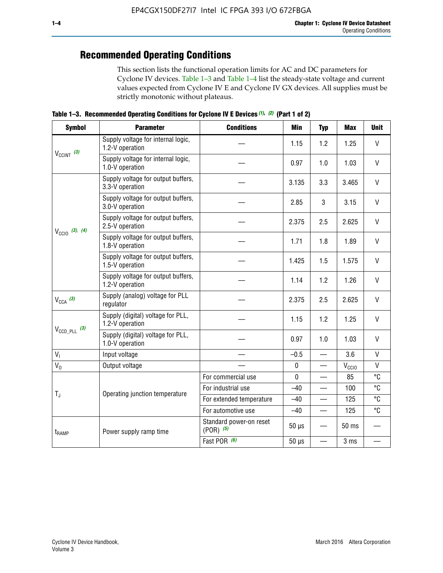# **Recommended Operating Conditions**

This section lists the functional operation limits for AC and DC parameters for Cyclone IV devices. Table 1–3 and Table 1–4 list the steady-state voltage and current values expected from Cyclone IV E and Cyclone IV GX devices. All supplies must be strictly monotonic without plateaus.

**Table 1–3. Recommended Operating Conditions for Cyclone IV E Devices** *(1)***,** *(2)* **(Part 1 of 2)**

| <b>Symbol</b>              | <b>Parameter</b>                                      | <b>Conditions</b>                        | Min         | <b>Typ</b>               | <b>Max</b>        | <b>Unit</b>    |
|----------------------------|-------------------------------------------------------|------------------------------------------|-------------|--------------------------|-------------------|----------------|
| $V_{CClNT}$ (3)            | Supply voltage for internal logic,<br>1.2-V operation |                                          | 1.15        | 1.2                      | 1.25              | V              |
|                            | Supply voltage for internal logic,<br>1.0-V operation | 0.97                                     | 1.0         | 1.03                     | $\mathsf{V}$      |                |
| $V_{\text{CCIO}}$ (3), (4) | Supply voltage for output buffers,<br>3.3-V operation |                                          | 3.135       | 3.3                      | 3.465             | $\mathsf{V}$   |
|                            | Supply voltage for output buffers,<br>3.0-V operation |                                          | 2.85        | 3                        | 3.15              | V              |
|                            | Supply voltage for output buffers,<br>2.5-V operation |                                          | 2.375       | 2.5                      | 2.625             | $\vee$         |
|                            | Supply voltage for output buffers,<br>1.8-V operation |                                          | 1.71        | 1.8                      | 1.89              | $\mathsf{V}$   |
|                            | Supply voltage for output buffers,<br>1.5-V operation |                                          | 1.425       | 1.5                      | 1.575             | V              |
|                            | Supply voltage for output buffers,<br>1.2-V operation |                                          | 1.14        | 1.2                      | 1.26              | V              |
| $V_{CCA}$ (3)              | Supply (analog) voltage for PLL<br>regulator          |                                          | 2.375       | 2.5                      | 2.625             | $\vee$         |
|                            | Supply (digital) voltage for PLL,<br>1.2-V operation  |                                          | 1.15        | 1.2                      | 1.25              | $\mathsf{V}$   |
| $V_{\text{CCD\_PLL}}$ (3)  | Supply (digital) voltage for PLL,<br>1.0-V operation  |                                          | 0.97        | 1.0                      | 1.03              | V              |
| V <sub>1</sub>             | Input voltage                                         |                                          | $-0.5$      |                          | 3.6               | $\mathsf{V}$   |
| $V_0$                      | Output voltage                                        |                                          | $\pmb{0}$   | —                        | V <sub>CCIO</sub> | V              |
|                            |                                                       | For commercial use                       | $\mathbf 0$ |                          | 85                | $\overline{c}$ |
| $T_{\rm J}$                | Operating junction temperature                        | For industrial use                       | $-40$       | $\overline{\phantom{0}}$ | 100               | °C             |
|                            |                                                       | For extended temperature                 | $-40$       |                          | 125               | °C             |
|                            |                                                       | For automotive use                       | $-40$       | $\overline{\phantom{0}}$ | 125               | °C             |
| t <sub>RAMP</sub>          | Power supply ramp time                                | Standard power-on reset<br>$(POR)$ $(5)$ | $50 \mu s$  |                          | 50 ms             |                |
|                            |                                                       | Fast POR (6)                             | $50 \mu s$  |                          | 3 <sub>ms</sub>   |                |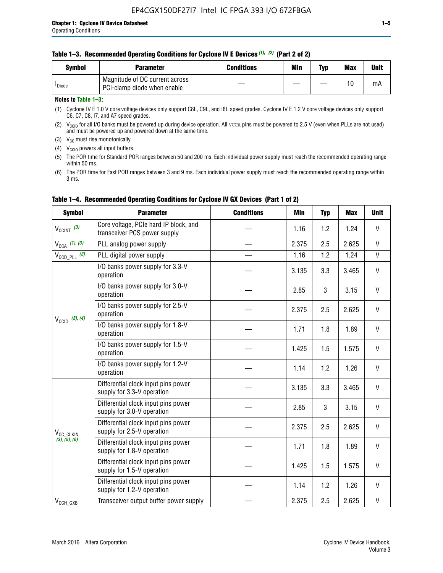|  | Table 1-3. Recommended Operating Conditions for Cyclone IV E Devices (1), (2) (Part 2 of 2) |  |  |
|--|---------------------------------------------------------------------------------------------|--|--|
|--|---------------------------------------------------------------------------------------------|--|--|

| Svmbol             | Parameter                                                     | <b>Conditions</b> | Min | Typ | <b>Max</b> | Unit |
|--------------------|---------------------------------------------------------------|-------------------|-----|-----|------------|------|
| <sup>I</sup> Diode | Magnitude of DC current across<br>PCI-clamp diode when enable |                   |     | —   | 10         | mA   |

#### **Notes to Table 1–3:**

(1) Cyclone IV E 1.0 V core voltage devices only support C8L, C9L, and I8L speed grades. Cyclone IV E 1.2 V core voltage devices only support C6, C7, C8, I7, and A7 speed grades.

(2)  $V_{CCIO}$  for all I/O banks must be powered up during device operation. All vcca pins must be powered to 2.5 V (even when PLLs are not used) and must be powered up and powered down at the same time.

(3)  $V_{CC}$  must rise monotonically.

(4)  $V_{\text{CCIO}}$  powers all input buffers.

(5) The POR time for Standard POR ranges between 50 and 200 ms. Each individual power supply must reach the recommended operating range within 50 ms.

(6) The POR time for Fast POR ranges between 3 and 9 ms. Each individual power supply must reach the recommended operating range within 3 ms.

| <b>Symbol</b>                          | <b>Parameter</b>                                                      | <b>Conditions</b> | <b>Min</b> | <b>Typ</b> | <b>Max</b> | <b>Unit</b>  |  |  |  |
|----------------------------------------|-----------------------------------------------------------------------|-------------------|------------|------------|------------|--------------|--|--|--|
| $V_{\text{CCINT}}$ (3)                 | Core voltage, PCIe hard IP block, and<br>transceiver PCS power supply |                   | 1.16       | 1.2        | 1.24       | V            |  |  |  |
| $V_{CCA}$ (1), (3)                     | PLL analog power supply                                               |                   | 2.375      | 2.5        | 2.625      | V            |  |  |  |
| $V_{\text{CCD\_PLL}}$ (2)              | PLL digital power supply                                              |                   | 1.16       | 1.2        | 1.24       | $\mathsf{V}$ |  |  |  |
|                                        | I/O banks power supply for 3.3-V<br>operation                         |                   | 3.135      | 3.3        | 3.465      | V            |  |  |  |
|                                        | I/O banks power supply for 3.0-V<br>operation                         |                   | 2.85       | 3          | 3.15       | V            |  |  |  |
| $V_{\text{CC10}}$ (3), (4)             | I/O banks power supply for 2.5-V<br>operation                         |                   | 2.375      | 2.5        | 2.625      |              |  |  |  |
|                                        | I/O banks power supply for 1.8-V<br>operation                         | 1.71              | 1.8        | 1.89       | V          |              |  |  |  |
|                                        | I/O banks power supply for 1.5-V<br>operation                         |                   | 1.425      | 1.5        | 1.575      | V            |  |  |  |
|                                        | I/O banks power supply for 1.2-V<br>operation                         |                   | 1.14       | 1.2        | 1.26       | $\mathsf{V}$ |  |  |  |
|                                        | Differential clock input pins power<br>supply for 3.3-V operation     |                   | 3.135      | 3.3        | 3.465      | V            |  |  |  |
|                                        | Differential clock input pins power<br>supply for 3.0-V operation     |                   | 2.85       | 3          | 3.15       | V            |  |  |  |
| V <sub>CC_CLKIN</sub><br>(3), (5), (6) | Differential clock input pins power<br>supply for 2.5-V operation     |                   | 2.375      | 2.5        | 2.625      | V            |  |  |  |
|                                        | Differential clock input pins power<br>supply for 1.8-V operation     |                   | 1.71       | 1.8        | 1.89       | V            |  |  |  |
|                                        | Differential clock input pins power<br>supply for 1.5-V operation     |                   | 1.425      | 1.5        | 1.575      | V            |  |  |  |
|                                        | Differential clock input pins power<br>supply for 1.2-V operation     |                   | 1.14       | 1.2        | 1.26       | V            |  |  |  |
| $V_{CCH_GXB}$                          | Transceiver output buffer power supply                                |                   | 2.375      | 2.5        | 2.625      | $\mathsf{V}$ |  |  |  |

### **Table 1–4. Recommended Operating Conditions for Cyclone IV GX Devices (Part 1 of 2)**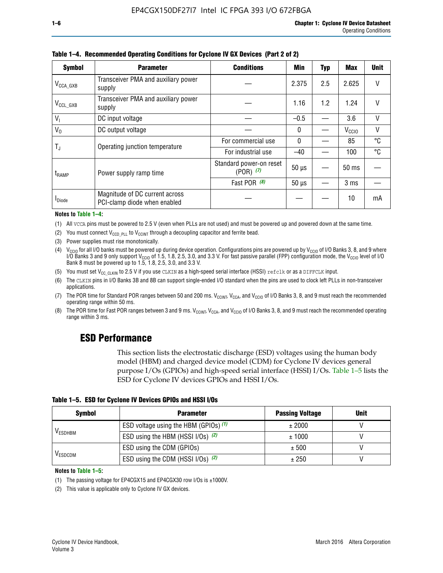| <b>Symbol</b>         | <b>Parameter</b>                                               | <b>Conditions</b>                        | Min          | Typ | Max               | <b>Unit</b> |
|-----------------------|----------------------------------------------------------------|------------------------------------------|--------------|-----|-------------------|-------------|
| $V_{\text{CCA\_GXB}}$ | Transceiver PMA and auxiliary power<br>supply                  |                                          | 2.375        | 2.5 | 2.625             | V           |
| $V_{CCL_GXB}$         | Transceiver PMA and auxiliary power<br>supply                  |                                          | 1.16         | 1.2 | 1.24              | V           |
| V <sub>1</sub>        | DC input voltage                                               |                                          | $-0.5$       |     | 3.6               | V           |
| $V_0$                 | DC output voltage                                              |                                          | $\mathbf{0}$ |     | V <sub>CCIO</sub> | ٧           |
|                       | Operating junction temperature                                 | For commercial use                       | $\mathbf{0}$ |     | 85                | °C          |
| T,                    |                                                                | For industrial use                       | $-40$        |     | 100               | °C          |
| t <sub>RAMP</sub>     | Power supply ramp time                                         | Standard power-on reset<br>$(POR)$ $(7)$ | $50 \mu s$   |     | $50$ ms           |             |
|                       |                                                                | Fast POR (8)                             | $50 \mu s$   |     | 3 <sub>ms</sub>   |             |
| <sup>I</sup> Diode    | Magnitude of DC current across<br>PCI-clamp diode when enabled |                                          |              |     | 10                | mA          |

#### **Table 1–4. Recommended Operating Conditions for Cyclone IV GX Devices (Part 2 of 2)**

**Notes to Table 1–4:**

- (1) All VCCA pins must be powered to 2.5 V (even when PLLs are not used) and must be powered up and powered down at the same time.
- (2) You must connect  $V_{CCD\_PLL}$  to  $V_{CCINT}$  through a decoupling capacitor and ferrite bead.
- (3) Power supplies must rise monotonically.
- (4)  $V_{\text{CCIO}}$  for all I/O banks must be powered up during device operation. Configurations pins are powered up by V<sub>CCIO</sub> of I/O Banks 3, 8, and 9 where I/O Banks 3 and 9 only support V<sub>CCIO</sub> of 1.5, 1.8, 2.5, 3.0, and 3.3 V. For fast passive parallel (FPP) configuration mode, the V<sub>CCIO</sub> level of I/O<br>Bank 8 must be powered up to 1.5, 1.8, 2.5, 3.0, and 3.3 V.
- (5) You must set  $V_{CC_CCLKIN}$  to 2.5 V if you use CLKIN as a high-speed serial interface (HSSI) refclk or as a DIFFCLK input.
- (6) The CLKIN pins in I/O Banks 3B and 8B can support single-ended I/O standard when the pins are used to clock left PLLs in non-transceiver applications.
- (7) The POR time for Standard POR ranges between 50 and 200 ms.  $V_{\text{CCIA}}$ ,  $V_{\text{CCIA}}$ , and  $V_{\text{CCIO}}$  of I/O Banks 3, 8, and 9 must reach the recommended operating range within 50 ms.
- (8) The POR time for Fast POR ranges between 3 and 9 ms.  $V_{\text{CCH},T}$ ,  $V_{\text{CCA}}$ , and  $V_{\text{CCI}}$  of I/O Banks 3, 8, and 9 must reach the recommended operating range within 3 ms.

# **ESD Performance**

This section lists the electrostatic discharge (ESD) voltages using the human body model (HBM) and charged device model (CDM) for Cyclone IV devices general purpose I/Os (GPIOs) and high-speed serial interface (HSSI) I/Os. Table 1–5 lists the ESD for Cyclone IV devices GPIOs and HSSI I/Os.

|  |  |  |  |  |  |  | Table 1–5. ESD for Cyclone IV Devices GPIOs and HSSI I/Os |  |  |
|--|--|--|--|--|--|--|-----------------------------------------------------------|--|--|
|--|--|--|--|--|--|--|-----------------------------------------------------------|--|--|

| <b>Symbol</b>  | <b>Parameter</b>                      | <b>Passing Voltage</b> | <b>Unit</b> |
|----------------|---------------------------------------|------------------------|-------------|
|                | ESD voltage using the HBM (GPIOs) (1) | ± 2000                 |             |
| <b>VESDHBM</b> | ESD using the HBM (HSSI I/Os) (2)     | ± 1000                 |             |
|                | ESD using the CDM (GPIOs)             | ± 500                  |             |
| <b>VESDCDM</b> | ESD using the CDM (HSSI I/Os) (2)     | ± 250                  |             |

#### **Notes to Table 1–5:**

(1) The passing voltage for EP4CGX15 and EP4CGX30 row I/Os is ±1000V.

(2) This value is applicable only to Cyclone IV GX devices.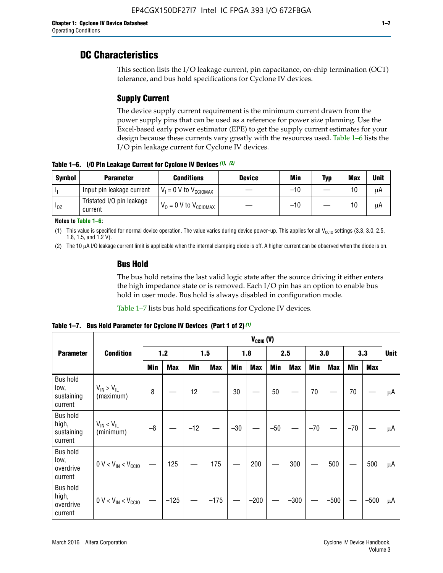# **DC Characteristics**

This section lists the I/O leakage current, pin capacitance, on-chip termination (OCT) tolerance, and bus hold specifications for Cyclone IV devices.

# **Supply Current**

The device supply current requirement is the minimum current drawn from the power supply pins that can be used as a reference for power size planning. Use the Excel-based early power estimator (EPE) to get the supply current estimates for your design because these currents vary greatly with the resources used. Table 1–6 lists the I/O pin leakage current for Cyclone IV devices.

**Table 1–6. I/O Pin Leakage Current for Cyclone IV Devices** *(1)***,** *(2)*

| <b>Symbol</b> | <b>Parameter</b>                     | <b>Conditions</b>                     | <b>Device</b> | Min   | Typ | <b>Max</b> | <b>Unit</b> |
|---------------|--------------------------------------|---------------------------------------|---------------|-------|-----|------------|-------------|
| -lı           | Input pin leakage current            | $V_1 = 0$ V to $V_{\text{CCIOMAX}}$   |               | $-10$ |     | 10         | μA          |
| $I_{0Z}$      | Tristated I/O pin leakage<br>current | $V_0 = 0 V$ to $V_{\text{CCIOMAX}}$ I |               | $-10$ |     | 10         | μA          |

**Notes to Table 1–6:**

(1) This value is specified for normal device operation. The value varies during device power-up. This applies for all V<sub>CCIO</sub> settings (3.3, 3.0, 2.5, 1.8, 1.5, and 1.2 V).

(2) The 10 µA I/O leakage current limit is applicable when the internal clamping diode is off. A higher current can be observed when the diode is on.

### **Bus Hold**

The bus hold retains the last valid logic state after the source driving it either enters the high impedance state or is removed. Each I/O pin has an option to enable bus hold in user mode. Bus hold is always disabled in configuration mode.

Table 1–7 lists bus hold specifications for Cyclone IV devices.

|                                                   |                                  |            |            |       |            |            | $V_{CClO}$ (V) |            |            |       |            |       |            |                               |
|---------------------------------------------------|----------------------------------|------------|------------|-------|------------|------------|----------------|------------|------------|-------|------------|-------|------------|-------------------------------|
| <b>Parameter</b>                                  | <b>Condition</b>                 |            | $1.2$      |       | 1.5        |            | 1.8            |            | 2.5        |       | 3.0        |       | 3.3        | <b>Unit</b><br>μA<br>μA<br>μA |
|                                                   |                                  | <b>Min</b> | <b>Max</b> | Min   | <b>Max</b> | <b>Min</b> | <b>Max</b>     | <b>Min</b> | <b>Max</b> | Min   | <b>Max</b> | Min   | <b>Max</b> |                               |
| <b>Bus hold</b><br>low,<br>sustaining<br>current  | $V_{IN}$ > $V_{IL}$<br>(maximum) | 8          |            | 12    |            | $30\,$     |                | 50         |            | 70    |            | 70    |            |                               |
| <b>Bus hold</b><br>high,<br>sustaining<br>current | $V_{IN}$ < $V_{IL}$<br>(minimum) | $-8$       |            | $-12$ |            | $-30$      |                | $-50$      |            | $-70$ |            | $-70$ |            |                               |
| <b>Bus hold</b><br>low,<br>overdrive<br>current   | $0 V < V_{IN} < V_{CG10}$        |            | 125        |       | 175        |            | 200            |            | 300        |       | 500        |       | 500        |                               |
| <b>Bus hold</b><br>high,<br>overdrive<br>current  | $0 V < V_{IN} < V_{CG10}$        |            | $-125$     |       | $-175$     |            | $-200$         |            | $-300$     |       | $-500$     |       | $-500$     | μA                            |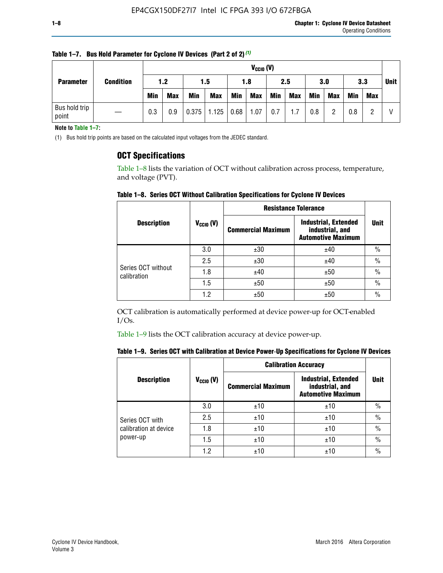|                                      |  |            | $V_{CGI0} (V)$ |            |              |            |            |     |            |            |            |            |            |             |
|--------------------------------------|--|------------|----------------|------------|--------------|------------|------------|-----|------------|------------|------------|------------|------------|-------------|
| <b>Condition</b><br><b>Parameter</b> |  | 1.2        |                | 1.5        |              | 1.8        |            | 2.5 |            | 3.0        |            | 3.3        |            | <b>Unit</b> |
|                                      |  | <b>Min</b> | <b>Max</b>     | <b>Min</b> | <b>Max</b>   | <b>Min</b> | <b>Max</b> | Min | <b>Max</b> | <b>Min</b> | <b>Max</b> | <b>Min</b> | <b>Max</b> |             |
| Bus hold trip<br>point               |  | 0.3        | 0.9            | 0.375      | $1.125$ 0.68 |            | 1.07       | 0.7 | 1.7        | 0.8        |            | 0.8        |            |             |

**Table 1–7. Bus Hold Parameter for Cyclone IV Devices (Part 2 of 2)** *(1)*

**Note to Table 1–7:**

(1) Bus hold trip points are based on the calculated input voltages from the JEDEC standard.

### **OCT Specifications**

Table 1–8 lists the variation of OCT without calibration across process, temperature, and voltage (PVT).

**Table 1–8. Series OCT Without Calibration Specifications for Cyclone IV Devices**

|                                   |                      | <b>Resistance Tolerance</b> |                                                                             |               |
|-----------------------------------|----------------------|-----------------------------|-----------------------------------------------------------------------------|---------------|
| <b>Description</b>                | $V_{\text{CCIO}}(V)$ | <b>Commercial Maximum</b>   | <b>Industrial, Extended</b><br>industrial, and<br><b>Automotive Maximum</b> | <b>Unit</b>   |
|                                   | 3.0                  | ±30                         | ±40                                                                         | $\frac{0}{0}$ |
|                                   | 2.5                  | ±30                         | ±40                                                                         | $\frac{0}{0}$ |
| Series OCT without<br>calibration | 1.8                  | ±40                         | ±50                                                                         | $\frac{0}{0}$ |
|                                   | 1.5                  | ±50                         | ±50                                                                         | $\frac{0}{0}$ |
|                                   | 1.2                  | ±50                         | ±50                                                                         | $\frac{0}{0}$ |

OCT calibration is automatically performed at device power-up for OCT-enabled  $I/Os.$ 

Table 1–9 lists the OCT calibration accuracy at device power-up.

|  |  | Table 1–9.  Series OCT with Calibration at Device Power-Up Specifications for Cyclone IV Devices |  |  |  |  |  |  |
|--|--|--------------------------------------------------------------------------------------------------|--|--|--|--|--|--|
|--|--|--------------------------------------------------------------------------------------------------|--|--|--|--|--|--|

|                       |                |                           | <b>Calibration Accuracy</b>                                                 |               |  |
|-----------------------|----------------|---------------------------|-----------------------------------------------------------------------------|---------------|--|
| <b>Description</b>    | $V_{CGI0} (V)$ | <b>Commercial Maximum</b> | <b>Industrial, Extended</b><br>industrial, and<br><b>Automotive Maximum</b> | <b>Unit</b>   |  |
|                       | 3.0            | ±10                       | ±10                                                                         | $\%$          |  |
| Series OCT with       | 2.5            | ±10                       | ±10                                                                         | $\frac{0}{0}$ |  |
| calibration at device | 1.8            | ±10                       | ±10                                                                         | $\%$          |  |
| power-up              | 1.5            | ±10                       | ±10                                                                         | $\%$          |  |
|                       | 1.2            | ±10                       | ±10                                                                         | $\frac{0}{0}$ |  |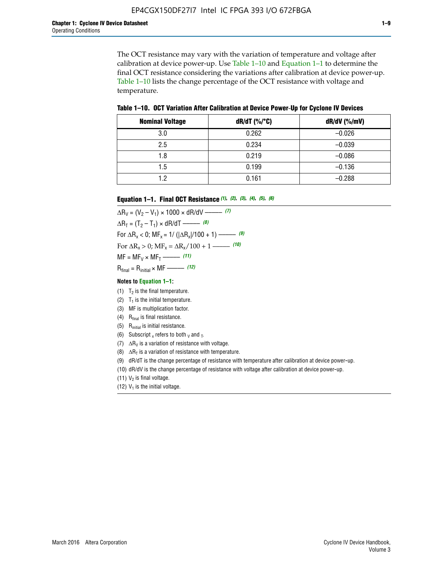The OCT resistance may vary with the variation of temperature and voltage after calibration at device power-up. Use Table 1–10 and Equation 1–1 to determine the final OCT resistance considering the variations after calibration at device power-up. Table 1–10 lists the change percentage of the OCT resistance with voltage and temperature.

**Table 1–10. OCT Variation After Calibration at Device Power**-**Up for Cyclone IV Devices**

| <b>Nominal Voltage</b> | $dR/dT$ (%/°C) | $dR/dV$ (%/mV) |
|------------------------|----------------|----------------|
| 3.0                    | 0.262          | $-0.026$       |
| 2.5                    | 0.234          | $-0.039$       |
| 1.8                    | 0.219          | $-0.086$       |
| 1.5                    | 0.199          | $-0.136$       |
| 1.2                    | 0.161          | $-0.288$       |

#### **Equation 1–1. Final OCT Resistance** *(1)***,** *(2)***,** *(3)***,** *(4)***,** *(5)***,** *(6)*

 $\Delta R_V = (V_2 - V_1) \times 1000 \times dR/dV$  ––––––––––––(7)  $\Delta R_T = (T_2 - T_1) \times dR/dT$  ––––––– (8) For  $\Delta R_x < 0$ ; MF<sub>x</sub> = 1/ ( $|\Delta R_x|/100 + 1$ ) –––––– (9) For  $\Delta R_x > 0$ ;  $\text{MF}_x = \Delta R_x / 100 + 1$  ——– (10)  $MF = MF_V \times MF_T$  –––––––––––(11) Rfinal = Rinitial × MF ––––– *(12)*

#### **Notes to Equation 1–1:**

- (1)  $T_2$  is the final temperature.
- (2)  $T_1$  is the initial temperature.
- (3) MF is multiplication factor.
- (4)  $R<sub>final</sub>$  is final resistance.
- (5) Rinitial is initial resistance.
- (6) Subscript x refers to both  $\sqrt{v}$  and  $\sqrt{v}$ .
- (7)  $\Delta R_V$  is a variation of resistance with voltage.
- (8)  $\Delta R_T$  is a variation of resistance with temperature.
- (9) dR/dT is the change percentage of resistance with temperature after calibration at device power-up.
- (10) dR/dV is the change percentage of resistance with voltage after calibration at device power-up.
- (11)  $V_2$  is final voltage.
- (12)  $V_1$  is the initial voltage.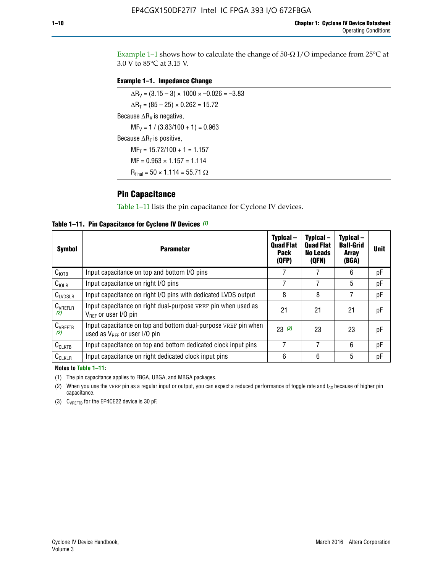Example 1-1 shows how to calculate the change of  $50$ - $\Omega$  I/O impedance from 25°C at 3.0 V to 85°C at 3.15 V.

#### **Example 1–1. Impedance Change**

 $\Delta R_V = (3.15 - 3) \times 1000 \times -0.026 = -3.83$  $\Delta R_T = (85 - 25) \times 0.262 = 15.72$ Because  $\Delta R_V$  is negative,  $MF_V = 1 / (3.83/100 + 1) = 0.963$ Because  $\Delta R_T$  is positive,  $MF_T = 15.72/100 + 1 = 1.157$  $MF = 0.963 \times 1.157 = 1.114$  $R_{final} = 50 \times 1.114 = 55.71 \Omega$ 

### **Pin Capacitance**

Table 1–11 lists the pin capacitance for Cyclone IV devices.

**Table 1–11. Pin Capacitance for Cyclone IV Devices** *(1)*

| <b>Symbol</b>       | <b>Parameter</b>                                                                                    | Typical-<br><b>Quad Flat</b><br><b>Pack</b><br>(QFP) | Typical-<br><b>Quad Flat</b><br><b>No Leads</b><br>(QFN) | Typical-<br><b>Ball-Grid</b><br><b>Array</b><br>(BGA) | <b>Unit</b> |
|---------------------|-----------------------------------------------------------------------------------------------------|------------------------------------------------------|----------------------------------------------------------|-------------------------------------------------------|-------------|
| C <sub>IOTB</sub>   | Input capacitance on top and bottom I/O pins                                                        |                                                      |                                                          | 6                                                     | рF          |
| $C_{IOLR}$          | Input capacitance on right I/O pins                                                                 |                                                      |                                                          | 5                                                     | pF          |
| $C_{LVDSLR}$        | Input capacitance on right I/O pins with dedicated LVDS output                                      | 8                                                    | 8                                                        | 7                                                     | рF          |
| $C_{VREFLR}$<br>(2) | Input capacitance on right dual-purpose VREF pin when used as<br>$V_{BFF}$ or user I/O pin          | 21                                                   | 21                                                       | 21                                                    | pF          |
| $C_{VREFTB}$<br>(2) | Input capacitance on top and bottom dual-purpose VREF pin when<br>used as $V_{BFF}$ or user I/O pin | 23(3)                                                | 23                                                       | 23                                                    | рF          |
| $C_{CLKTB}$         | Input capacitance on top and bottom dedicated clock input pins                                      |                                                      | 7                                                        | 6                                                     | рF          |
| $C_{CLKLR}$         | Input capacitance on right dedicated clock input pins                                               | 6                                                    | 6                                                        | 5                                                     | рF          |

#### **Notes to Table 1–11:**

(1) The pin capacitance applies to FBGA, UBGA, and MBGA packages.

(2) When you use the VREF pin as a regular input or output, you can expect a reduced performance of toggle rate and  $t_{\rm CO}$  because of higher pin capacitance.

(3) CVREFTB for the EP4CE22 device is 30 pF.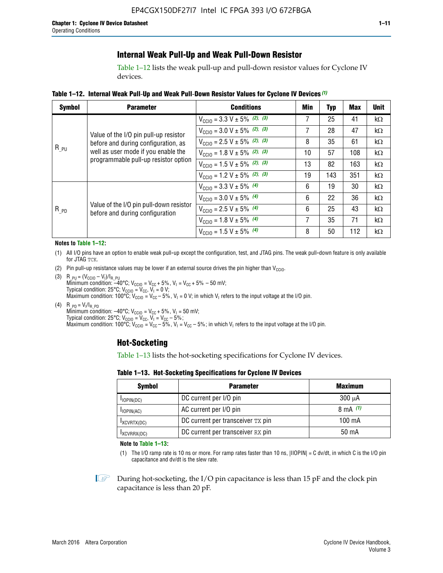## **Internal Weak Pull-Up and Weak Pull-Down Resistor**

Table 1–12 lists the weak pull-up and pull-down resistor values for Cyclone IV devices.

**Table 1–12. Internal Weak Pull**-**Up and Weak Pull**-**Down Resistor Values for Cyclone IV Devices** *(1)*

| <b>Symbol</b> | <b>Parameter</b>                                                                                                                                            | <b>Conditions</b>                                  | Min | Typ | <b>Max</b> | <b>Unit</b> |
|---------------|-------------------------------------------------------------------------------------------------------------------------------------------------------------|----------------------------------------------------|-----|-----|------------|-------------|
|               |                                                                                                                                                             | $V_{\text{CC10}} = 3.3 \text{ V} \pm 5\%$ (2), (3) |     | 25  | 41         | $k\Omega$   |
| $R_{PU}$      | Value of the I/O pin pull-up resistor<br>before and during configuration, as<br>well as user mode if you enable the<br>programmable pull-up resistor option | $V_{\text{CC10}} = 3.0 \text{ V} \pm 5\%$ (2), (3) | 7   | 28  | 47         | kΩ          |
|               |                                                                                                                                                             | $V_{\text{CC10}} = 2.5 V \pm 5\%$ (2), (3)         | 8   | 35  | 61         | kΩ          |
|               |                                                                                                                                                             | $V_{\text{CC10}} = 1.8 V \pm 5\%$ (2), (3)         | 10  | 57  | 108        | $k\Omega$   |
|               |                                                                                                                                                             | $V_{\text{CC10}} = 1.5 V \pm 5\%$ (2), (3)         | 13  | 82  | 163        | $k\Omega$   |
|               |                                                                                                                                                             | $V_{\text{CC10}} = 1.2 V \pm 5\%$ (2), (3)         | 19  | 143 | 351        | kΩ          |
|               |                                                                                                                                                             | $V_{\text{CC10}} = 3.3 V \pm 5\%$ (4)              | 6   | 19  | 30         | kΩ          |
|               |                                                                                                                                                             | $V_{\text{CC10}} = 3.0 V \pm 5\%$ (4)              | 6   | 22  | 36         | $k\Omega$   |
| $R_{PD}$      | Value of the I/O pin pull-down resistor<br>before and during configuration                                                                                  | $V_{\text{CC10}} = 2.5 V \pm 5\%$ (4)              | 6   | 25  | 43         | $k\Omega$   |
|               |                                                                                                                                                             | $V_{\text{CC10}} = 1.8 V \pm 5\%$ (4)              | 7   | 35  | 71         | $k\Omega$   |
|               |                                                                                                                                                             | $V_{\text{CC10}} = 1.5 V \pm 5\%$ (4)              | 8   | 50  | 112        | $k\Omega$   |

#### **Notes to Table 1–12:**

- (1) All I/O pins have an option to enable weak pull-up except the configuration, test, and JTAG pins. The weak pull-down feature is only available for JTAG TCK.
- (2) Pin pull-up resistance values may be lower if an external source drives the pin higher than  $V_{\text{CCIO}}$ .
- (3)  $R_{PU} = (V_{CC10} V_1)/I_{R_PU}$ Minimum condition: –40°C; V<sub>CCIO</sub> = V<sub>CC</sub> + 5%, V<sub>I</sub> = V<sub>CC</sub> + 5% – 50 mV; Typical condition: 25°C; V<sub>CCIO</sub> = V<sub>CC</sub>, V<sub>I</sub> = 0 V; Maximum condition: 100°C;  $V_{\text{CCIO}} = V_{\text{CC}} - 5\%$ ,  $V_1 = 0$  V; in which V<sub>I</sub> refers to the input voltage at the I/O pin.
- (4)  $R_{PD} = V_I/I_{R_PD}$ Minimum condition:  $-40^{\circ}$ C; V<sub>CCIO</sub> = V<sub>CC</sub> + 5%, V<sub>I</sub> = 50 mV; Typical condition: 25°C;  $V_{\text{CCIO}} = V_{\text{CC}}$ ,  $V_{\text{I}} = V_{\text{CC}} - 5\%$ ; Maximum condition: 100°C; V<sub>CClO</sub> = V<sub>CC</sub> – 5%, V<sub>I</sub> = V<sub>CC</sub> – 5%; in which V<sub>I</sub> refers to the input voltage at the I/O pin.

### **Hot-Socketing**

Table 1–13 lists the hot-socketing specifications for Cyclone IV devices.

**Table 1–13. Hot**-**Socketing Specifications for Cyclone IV Devices**

| <b>Symbol</b> | <b>Parameter</b>                  |             |  |  |  |
|---------------|-----------------------------------|-------------|--|--|--|
| $I$ IOPIN(DC) | DC current per I/O pin            | $300 \mu A$ |  |  |  |
| $I$ IOPIN(AC) | AC current per I/O pin            | 8 mA $(1)$  |  |  |  |
| IXCVRTX(DC)   | DC current per transceiver TX pin | 100 mA      |  |  |  |
| IXCVRRX(DC)   | DC current per transceiver RX pin | 50 mA       |  |  |  |

**Note to Table 1–13:**

(1) The I/O ramp rate is 10 ns or more. For ramp rates faster than 10 ns, |IIOPIN| = C dv/dt, in which C is the I/O pin capacitance and dv/dt is the slew rate.

 $\mathbb{I} \rightarrow \mathbb{I}$  During hot-socketing, the I/O pin capacitance is less than 15 pF and the clock pin capacitance is less than 20 pF.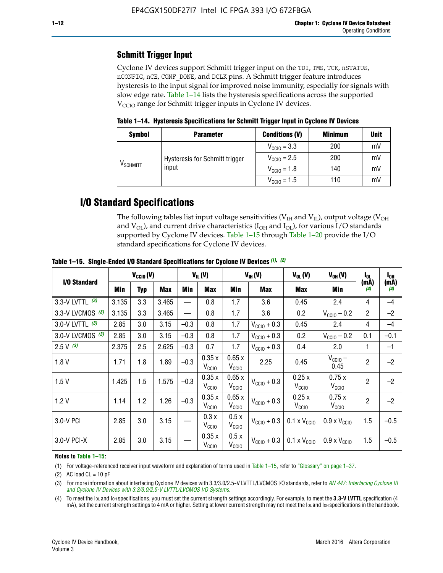# **Schmitt Trigger Input**

Cyclone IV devices support Schmitt trigger input on the TDI, TMS, TCK, nSTATUS, nCONFIG, nCE, CONF\_DONE, and DCLK pins. A Schmitt trigger feature introduces hysteresis to the input signal for improved noise immunity, especially for signals with slow edge rate. Table 1–14 lists the hysteresis specifications across the supported  $V<sub>CCIO</sub>$  range for Schmitt trigger inputs in Cyclone IV devices.

**Table 1–14. Hysteresis Specifications for Schmitt Trigger Input in Cyclone IV Devices**

| <b>Symbol</b>                  | <b>Parameter</b>               | <b>Minimum</b>          | <b>Unit</b> |    |
|--------------------------------|--------------------------------|-------------------------|-------------|----|
|                                |                                | $V_{\text{CGI0}} = 3.3$ | 200         | mV |
| $\mathsf{V}_{\mathsf{SCHMIT}}$ | Hysteresis for Schmitt trigger | $V_{\text{CCIO}} = 2.5$ | 200         | mV |
|                                | input                          | $V_{\text{CCIO}} = 1.8$ | 140         | mV |
|                                |                                | $V_{\text{CCIO}} = 1.5$ | 110         | mV |

# **I/O Standard Specifications**

The following tables list input voltage sensitivities ( $V<sub>IH</sub>$  and  $V<sub>II</sub>$ ), output voltage ( $V<sub>OH</sub>$ and  $V_{OL}$ ), and current drive characteristics ( $I_{OH}$  and  $I_{OL}$ ), for various I/O standards supported by Cyclone IV devices. Table 1–15 through Table 1–20 provide the I/O standard specifications for Cyclone IV devices.

|                   | $V_{CClO}(V)$ |     |            | $V_{IL}(V)$ |                            | $V_{IH} (V)$               |                         | $V_{OL}(V)$                  | $V_{OH} (V)$                 | l <sub>OL</sub> | l <sub>oh</sub> |
|-------------------|---------------|-----|------------|-------------|----------------------------|----------------------------|-------------------------|------------------------------|------------------------------|-----------------|-----------------|
| I/O Standard      | Min           | Typ | <b>Max</b> | Min         | <b>Max</b>                 | Min                        | <b>Max</b>              | Max                          | Min                          | (mA)<br>(4)     | (mA)<br>(4)     |
| 3.3-V LVTTL (3)   | 3.135         | 3.3 | 3.465      |             | 0.8                        | 1.7                        | 3.6                     | 0.45                         | 2.4                          | 4               | $-4$            |
| 3.3-V LVCMOS (3)  | 3.135         | 3.3 | 3.465      |             | 0.8                        | 1.7                        | 3.6                     | 0.2                          | $V_{\text{CCIO}} - 0.2$      | $\overline{2}$  | $-2$            |
| 3.0-V LVTTL $(3)$ | 2.85          | 3.0 | 3.15       | $-0.3$      | 0.8                        | 1.7                        | $V_{\text{CC10}} + 0.3$ | 0.45                         | 2.4                          | 4               | $-4$            |
| 3.0-V LVCMOS (3)  | 2.85          | 3.0 | 3.15       | $-0.3$      | 0.8                        | 1.7                        | $V_{\text{CCI}0}$ + 0.3 | 0.2                          | $V_{\text{CC10}} - 0.2$      | 0.1             | $-0.1$          |
| $2.5 V$ (3)       | 2.375         | 2.5 | 2.625      | $-0.3$      | 0.7                        | 1.7                        | $V_{\text{CCI}0}$ + 0.3 | 0.4                          | 2.0                          | 1               | $-1$            |
| 1.8V              | 1.71          | 1.8 | 1.89       | $-0.3$      | 0.35x<br>V <sub>CCIO</sub> | 0.65x<br>V <sub>CCIO</sub> | 2.25                    | 0.45                         | $V_{CGIO}$ –<br>0.45         | $\overline{c}$  | $-2$            |
| 1.5V              | 1.425         | 1.5 | 1.575      | $-0.3$      | 0.35x<br>V <sub>CCIO</sub> | 0.65x<br>V <sub>CCIO</sub> | $V_{\text{CC10}} + 0.3$ | 0.25x<br>$V_{\rm CClO}$      | 0.75x<br>V <sub>CCIO</sub>   | $\overline{2}$  | $-2$            |
| 1.2V              | 1.14          | 1.2 | 1.26       | $-0.3$      | 0.35x<br>V <sub>CCIO</sub> | 0.65x<br>V <sub>CCIO</sub> | $V_{\text{CGI0}} + 0.3$ | 0.25x<br>$V_{\rm CClO}$      | 0.75x<br>V <sub>CCIO</sub>   | $\overline{2}$  | $-2$            |
| 3.0-V PCI         | 2.85          | 3.0 | 3.15       |             | 0.3x<br>V <sub>CCIO</sub>  | 0.5x<br>V <sub>CCIO</sub>  | $V_{\text{CC10}} + 0.3$ | $0.1 \times V_{CC10}$        | $0.9 \times V_{\text{CC10}}$ | 1.5             | $-0.5$          |
| 3.0-V PCI-X       | 2.85          | 3.0 | 3.15       |             | 0.35x<br>V <sub>CCIO</sub> | 0.5x<br>V <sub>CCIO</sub>  | $V_{\text{CC}10} + 0.3$ | $0.1 \times V_{\text{CC10}}$ | $0.9 \times V_{\text{CC10}}$ | 1.5             | $-0.5$          |

**Table 1–15. Single**-**Ended I/O Standard Specifications for Cyclone IV Devices** *(1)***,** *(2)*

#### **Notes to Table 1–15:**

(1) For voltage-referenced receiver input waveform and explanation of terms used in Table 1–15, refer to "Glossary" on page 1–37.

(2) AC load  $CL = 10$  pF

(3) For more information about interfacing Cyclone IV devices with 3.3/3.0/2.5-V LVTTL/LVCMOS I/O standards, refer to *[AN 447: Interfacing Cyclone III](http://www.altera.com/literature/an/an447.pdf)  [and Cyclone IV Devices with 3.3/3.0/2.5-V LVTTL/LVCMOS I/O Systems](http://www.altera.com/literature/an/an447.pdf)*.

(4) To meet the IOL and IOH specifications, you must set the current strength settings accordingly. For example, to meet the **3.3-V LVTTL** specification (4 mA), set the current strength settings to 4 mA or higher. Setting at lower current strength may not meet the lou and lon specifications in the handbook.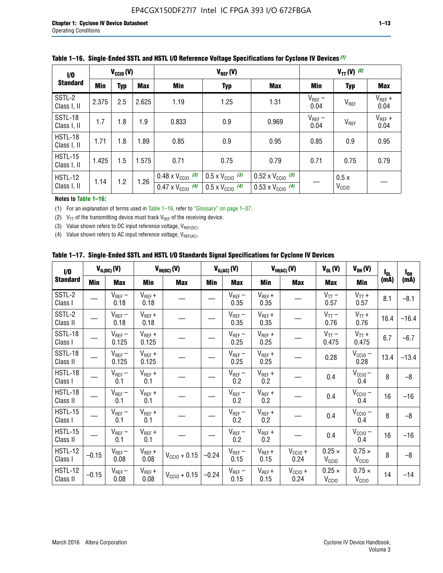| 1/0                           | $V_{CGI0}(V)$                          |     |       |                                                                        | $V_{TT} (V)$ (2)                                                     |                                                                        |                     |                           |                     |
|-------------------------------|----------------------------------------|-----|-------|------------------------------------------------------------------------|----------------------------------------------------------------------|------------------------------------------------------------------------|---------------------|---------------------------|---------------------|
| <b>Standard</b>               | <b>Min</b><br><b>Typ</b><br><b>Max</b> |     | Min   | <b>Typ</b>                                                             | <b>Max</b>                                                           | Min                                                                    | <b>Typ</b>          | Max                       |                     |
| SSTL-2<br>Class I, II         | 2.375                                  | 2.5 | 2.625 | 1.19                                                                   | 1.25                                                                 | 1.31                                                                   | $V_{REF}$ –<br>0.04 | V <sub>REF</sub>          | $V_{REF}$ +<br>0.04 |
| SSTL-18<br>Class I, II        | 1.7                                    | 1.8 | 1.9   | 0.833                                                                  | 0.9                                                                  | 0.969                                                                  | $V_{REF}$ –<br>0.04 | V <sub>REF</sub>          | $V_{REF}$ +<br>0.04 |
| HSTL-18<br>Class I, II        | 1.71                                   | 1.8 | .89   | 0.85                                                                   | 0.9                                                                  | 0.95                                                                   | 0.85                | 0.9                       | 0.95                |
| <b>HSTL-15</b><br>Class I, II | 1.425                                  | 1.5 | 1.575 | 0.71                                                                   | 0.75                                                                 | 0.79                                                                   | 0.71                | 0.75                      | 0.79                |
| HSTL-12<br>Class I, II        | 1.14                                   | 1.2 | 1.26  | $0.48 \times V_{\text{CC10}}$ (3)<br>$0.47 \times V_{\text{CC10}}$ (4) | $0.5 \times V_{\text{CC10}}$ (3)<br>$0.5 \times V_{\text{CC10}}$ (4) | $0.52 \times V_{\text{CC10}}$ (3)<br>$0.53 \times V_{\text{CC10}}$ (4) |                     | 0.5x<br>V <sub>CCIO</sub> |                     |

|  |  |  |  | Table 1–16. Single-Ended SSTL and HSTL I/O Reference Voltage Specifications for Cyclone IV Devices (1) |
|--|--|--|--|--------------------------------------------------------------------------------------------------------|
|--|--|--|--|--------------------------------------------------------------------------------------------------------|

#### **Notes to Table 1–16:**

(1) For an explanation of terms used in Table 1–16, refer to "Glossary" on page 1–37.

(2)  $V_{TT}$  of the transmitting device must track  $V_{REF}$  of the receiving device.

(3) Value shown refers to DC input reference voltage,  $V_{REF(DC)}$ .

(4) Value shown refers to AC input reference voltage,  $V_{REF(AC)}$ .

|  | Table 1–17.  Single-Ended SSTL and HSTL I/O Standards Signal Specifications for Cyclone IV Devices |  |  |  |  |  |
|--|----------------------------------------------------------------------------------------------------|--|--|--|--|--|
|--|----------------------------------------------------------------------------------------------------|--|--|--|--|--|

| I/O                        |         | $V_{IL(DC)}(V)$        |                                      | $V_{IH(DC)}(V)$       |         | $V_{IL(AC)}(V)$     |                     | $V_{IH(AC)}(V)$      | $V_{OL}(V)$                        | $V_{OH} (V)$                       | l <sub>ol</sub> | $I_{0H}$ |
|----------------------------|---------|------------------------|--------------------------------------|-----------------------|---------|---------------------|---------------------|----------------------|------------------------------------|------------------------------------|-----------------|----------|
| <b>Standard</b>            | Min     | <b>Max</b>             | Min                                  | <b>Max</b>            | Min     | <b>Max</b>          | Min                 | <b>Max</b>           | <b>Max</b>                         | Min                                | (mA)            | (mA)     |
| SSTL-2<br>Class I          |         | $\rm V_{REF}-$<br>0.18 | $V_{REF} +$<br>0.18                  |                       |         | $V_{REF}$ –<br>0.35 | $V_{REF} +$<br>0.35 |                      | $V_{TT}$ –<br>0.57                 | $V_{TT}$ +<br>0.57                 | 8.1             | $-8.1$   |
| SSTL-2<br>Class II         |         | $V_{REF}$ –<br>0.18    | $V_{REF} +$<br>0.18                  |                       |         | $V_{REF}$ –<br>0.35 | $V_{REF} +$<br>0.35 |                      | $V_{TT}$ –<br>0.76                 | $V_{TT}$ +<br>0.76                 | 16.4            | $-16.4$  |
| <b>SSTL-18</b><br>Class I  |         | $V_{REF}$ –<br>0.125   | $V_{REF}$ +<br>0.125                 |                       |         | $V_{REF}$ –<br>0.25 | $V_{REF}$ +<br>0.25 |                      | $V_{TT}$ –<br>0.475                | $V_{TT}$ +<br>0.475                | 6.7             | $-6.7$   |
| <b>SSTL-18</b><br>Class II |         | $V_{REF}$ –<br>0.125   | $V_{REF}$ +<br>0.125                 |                       |         | $V_{REF}$ –<br>0.25 | $V_{REF}$ +<br>0.25 |                      | 0.28                               | $V_{CC10}$ –<br>0.28               | 13.4            | $-13.4$  |
| HSTL-18<br>Class I         |         | $V_{REF}$ –<br>0.1     | $V_{REF} +$<br>0.1                   |                       |         | $V_{REF}$ –<br>0.2  | $V_{REF}$ +<br>0.2  |                      | 0.4                                | $V_{CCIO}$ –<br>0.4                | 8               | $-8$     |
| HSTL-18<br>Class II        |         | $V_{REF}$ –<br>0.1     | $V_{REF} +$<br>0.1                   |                       |         | $V_{REF}$ –<br>0.2  | $V_{REF} +$<br>0.2  |                      | 0.4                                | $V_{CC10}$ –<br>0.4                | 16              | $-16$    |
| HSTL-15<br>Class I         |         | $V_{REF}$ –<br>0.1     | $V_{REF} +$<br>0.1                   |                       |         | $V_{REF}$ –<br>0.2  | $V_{REF}$ +<br>0.2  |                      | 0.4                                | $V_{\text{CC1O}} -$<br>0.4         | 8               | $-8$     |
| HSTL-15<br>Class II        |         | $V_{REF}$ –<br>0.1     | $\mathsf{V}_{\mathsf{REF}}$ +<br>0.1 |                       |         | $V_{REF}$ –<br>0.2  | $V_{REF}$ +<br>0.2  |                      | 0.4                                | $V_{CC10}$ –<br>0.4                | 16              | $-16$    |
| <b>HSTL-12</b><br>Class I  | $-0.15$ | $V_{REF}-$<br>0.08     | $V_{REF} +$<br>0.08                  | $V_{CGI0} + 0.15$     | $-0.24$ | $V_{REF}$ –<br>0.15 | $V_{REF} +$<br>0.15 | $V_{CCIO} +$<br>0.24 | $0.25 \times$<br>V <sub>CCIO</sub> | $0.75 \times$<br>V <sub>CCIO</sub> | 8               | $-8$     |
| HSTL-12<br>Class II        | $-0.15$ | $V_{REF}-$<br>0.08     | $V_{REF} +$<br>0.08                  | $V_{\rm CClO} + 0.15$ | $-0.24$ | $V_{REF}$ –<br>0.15 | $V_{REF} +$<br>0.15 | $V_{CC10}$ +<br>0.24 | $0.25 \times$<br>V <sub>CCIO</sub> | $0.75 \times$<br>V <sub>CCIO</sub> | 14              | $-14$    |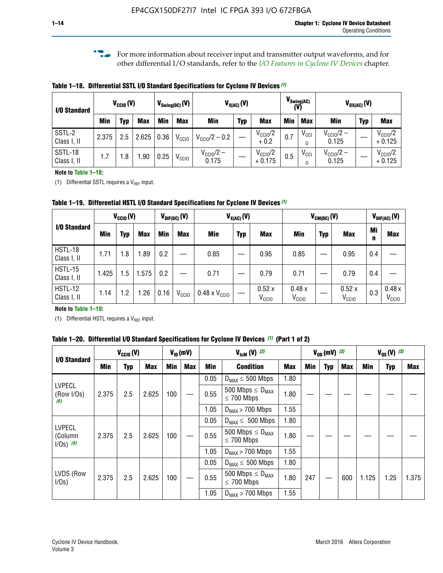**f For more information about receiver input and transmitter output waveforms, and for** other differential I/O standards, refer to the *[I/O Features in Cyclone IV Devices](http://www.altera.com/literature/hb/cyclone-iv/cyiv-51006.pdf)* chapter*.*

**Table 1–18. Differential SSTL I/O Standard Specifications for Cyclone IV Devices** *(1)*

| I/O Standard           |       | $V_{CCl0}(V)$ |            |      | $V_{\text{Swing(DC)}}(V)$ |                                | $V_{X(AC)}(V)$ |                                 |            | $V_{\text{Swing(AC)}}$<br>(V) |                                | $V_{OX(AC)}(V)$ |                                 |
|------------------------|-------|---------------|------------|------|---------------------------|--------------------------------|----------------|---------------------------------|------------|-------------------------------|--------------------------------|-----------------|---------------------------------|
|                        | Min   | Typ           | <b>Max</b> | Min  | <b>Max</b>                | <b>Min</b>                     | <b>Typ</b>     | <b>Max</b>                      | <b>Min</b> | <b>Max</b>                    | Min                            | <b>Typ</b>      | <b>Max</b>                      |
| SSTL-2<br>Class I, II  | 2.375 | 2.5           | 2.625      | 0.36 | V <sub>CCIO</sub>         | $V_{\text{CC10}}/2 - 0.2$      |                | $V_{\text{CC1O}}/2$<br>$+0.2$   | 0.7        | $V_{\rm CCI}$                 | $V_{\text{CC10}}/2 -$<br>0.125 |                 | $V_{\text{CC10}}/2$<br>$+0.125$ |
| SSTL-18<br>Class I, II | 1.7   | .8            | .90        | 0.25 | V <sub>CCIO</sub>         | $V_{\text{CC10}}/2 -$<br>0.175 |                | $V_{\text{CC10}}/2$<br>$+0.175$ | 0.5        | $V_{\rm CCI}$                 | $V_{\text{CC10}}/2 -$<br>0.125 |                 | $V_{\text{CC10}}/2$<br>$+0.125$ |

#### **Note to Table 1–18:**

(1) Differential SSTL requires a  $V_{REF}$  input.

**Table 1–19. Differential HSTL I/O Standard Specifications for Cyclone IV Devices** *(1)*

|                               |       | $V_{CClO}(V)$ |            |         | $V_{\text{DIF(DC)}}(V)$ |                               | $V_{X(AC)}(V)$ |                            |                            | $V_{CM(DC)}(V)$ |                            |         | $V_{\text{DIF(AC)}}(V)$    |
|-------------------------------|-------|---------------|------------|---------|-------------------------|-------------------------------|----------------|----------------------------|----------------------------|-----------------|----------------------------|---------|----------------------------|
| I/O Standard                  | Min   | Typ           | <b>Max</b> | Min     | <b>Max</b>              | Min                           | <b>Typ</b>     | <b>Max</b>                 | Min                        | <b>Typ</b>      | <b>Max</b>                 | Mi<br>n | <b>Max</b>                 |
| HSTL-18<br>Class I, II        | 1.71  | 1.8           | .89        | 0.2     |                         | 0.85                          |                | 0.95                       | 0.85                       |                 | 0.95                       | 0.4     |                            |
| <b>HSTL-15</b><br>Class I, II | 1.425 | 1.5           | .575       | $0.2\,$ |                         | 0.71                          |                | 0.79                       | 0.71                       |                 | 0.79                       | 0.4     |                            |
| <b>HSTL-12</b><br>Class I, II | 1.14  | 1.2           | 1.26       | 0.16    | V <sub>CCIO</sub>       | $0.48 \times V_{\text{CC10}}$ |                | 0.52x<br>V <sub>CCIO</sub> | 0.48x<br>V <sub>CCIO</sub> |                 | 0.52x<br>V <sub>CCIO</sub> | 0.3     | 0.48x<br>V <sub>CCIO</sub> |

#### **Note to Table 1–19:**

(1) Differential HSTL requires a  $V_{REF}$  input.

**Table 1–20. Differential I/O Standard Specifications for Cyclone IV Devices** *(1)* **(Part 1 of 2)**

| I/O Standard                            |       | $V_{CCl0} (V)$ |            |            | $V_{ID}$ (mV) |      | $V_{\text{lcm}}(V)^{(2)}$                           |            |     | $V_{0D}$ (mV) $(3)$ |     |       | $V_{0S} (V)^{(3)}$ |       |
|-----------------------------------------|-------|----------------|------------|------------|---------------|------|-----------------------------------------------------|------------|-----|---------------------|-----|-------|--------------------|-------|
|                                         | Min   | Typ            | <b>Max</b> | <b>Min</b> | <b>Max</b>    | Min  | <b>Condition</b>                                    | <b>Max</b> | Min | Typ                 | Max | Min   | <b>Typ</b>         | Max   |
|                                         |       |                |            |            |               | 0.05 | $D_{MAX} \leq 500$ Mbps                             | 1.80       |     |                     |     |       |                    |       |
| <b>LVPECL</b><br>(Row I/Os)<br>(6)      | 2.375 | 2.5            | 2.625      | 100        |               | 0.55 | 500 Mbps $\leq$ D <sub>MAX</sub><br>$\leq$ 700 Mbps | 1.80       |     |                     |     |       |                    |       |
|                                         |       |                |            |            |               | 1.05 | $D_{MAX}$ > 700 Mbps                                | 1.55       |     |                     |     |       |                    |       |
|                                         |       |                |            |            |               | 0.05 | $D_{MAX} \leq 500$ Mbps                             | 1.80       |     |                     |     |       |                    |       |
| <b>LVPECL</b><br>(Column<br>$1/Os)$ (6) | 2.375 | 2.5            | 2.625      | 100        |               | 0.55 | 500 Mbps $\leq D_{MAX}$<br>$\leq$ 700 Mbps          | 1.80       |     |                     |     |       |                    |       |
|                                         |       |                |            |            |               | 1.05 | $D_{MAX}$ > 700 Mbps                                | 1.55       |     |                     |     |       |                    |       |
|                                         |       |                |            |            |               | 0.05 | $D_{MAX} \leq 500$ Mbps                             | 1.80       |     |                     |     |       |                    |       |
| LVDS (Row<br>I/Os)                      | 2.375 | 2.5            | 2.625      | 100        |               | 0.55 | 500 Mbps $\leq D_{MAX}$<br>$\leq 700$ Mbps          | 1.80       | 247 |                     | 600 | 1.125 | 1.25               | 1.375 |
|                                         |       |                |            |            |               | 1.05 | $D_{MAX}$ > 700 Mbps                                | 1.55       |     |                     |     |       |                    |       |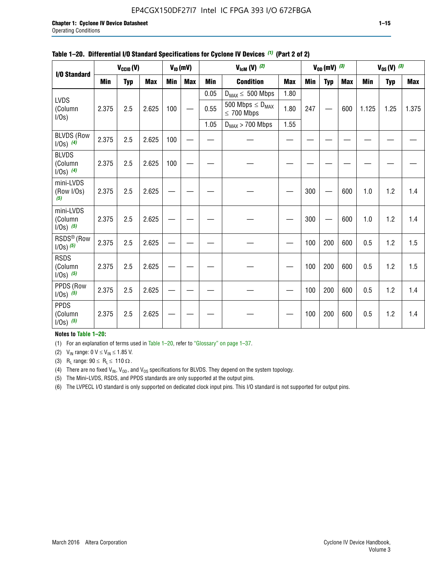### EP4CGX150DF27I7 Intel IC FPGA 393 I/O 672FBGA

| I/O Standard                            |            | $V_{CClO}(V)$ |            |            | $V_{ID}(mV)$ |            | $V_{\text{lcm}}(V)^{(2)}$                  |            |     | $V_{OD}$ (mV) $(3)$ |            |            | $V_{0S} (V)$ (3) |            |
|-----------------------------------------|------------|---------------|------------|------------|--------------|------------|--------------------------------------------|------------|-----|---------------------|------------|------------|------------------|------------|
|                                         | <b>Min</b> | <b>Typ</b>    | <b>Max</b> | <b>Min</b> | <b>Max</b>   | <b>Min</b> | <b>Condition</b>                           | <b>Max</b> | Min | <b>Typ</b>          | <b>Max</b> | <b>Min</b> | <b>Typ</b>       | <b>Max</b> |
|                                         |            |               |            |            |              | 0.05       | $D_{MAX} \leq 500$ Mbps                    | 1.80       |     |                     |            |            |                  |            |
| LVDS<br>(Column<br>I/0s)                | 2.375      | 2.5           | 2.625      | 100        |              | 0.55       | 500 Mbps $\leq D_{MAX}$<br>$\leq 700$ Mbps | 1.80       | 247 |                     | 600        | 1.125      | 1.25             | 1.375      |
|                                         |            |               |            |            |              | 1.05       | $D_{MAX}$ > 700 Mbps                       | 1.55       |     |                     |            |            |                  |            |
| <b>BLVDS (Row</b><br>$1/0s)$ (4)        | 2.375      | 2.5           | 2.625      | 100        |              |            |                                            |            |     |                     |            |            |                  |            |
| <b>BLVDS</b><br>(Column<br>$1/0s)$ (4)  | 2.375      | 2.5           | 2.625      | 100        |              |            |                                            |            |     |                     |            |            |                  |            |
| mini-LVDS<br>(Row I/Os)<br>(5)          | 2.375      | 2.5           | 2.625      |            |              |            |                                            |            | 300 |                     | 600        | 1.0        | 1.2              | 1.4        |
| mini-LVDS<br>(Column<br>$1/0s)$ (5)     | 2.375      | 2.5           | 2.625      |            |              |            |                                            |            | 300 |                     | 600        | 1.0        | 1.2              | 1.4        |
| RSDS <sup>®</sup> (Row<br>$1/0s)$ $(5)$ | 2.375      | 2.5           | 2.625      |            |              |            |                                            |            | 100 | 200                 | 600        | 0.5        | 1.2              | 1.5        |
| <b>RSDS</b><br>(Column<br>$1/0s)$ (5)   | 2.375      | 2.5           | 2.625      |            |              |            |                                            |            | 100 | 200                 | 600        | 0.5        | 1.2              | 1.5        |
| PPDS (Row<br>$1/0s)$ (5)                | 2.375      | 2.5           | 2.625      |            |              |            |                                            |            | 100 | 200                 | 600        | 0.5        | 1.2              | 1.4        |
| <b>PPDS</b><br>(Column<br>$1/0s)$ (5)   | 2.375      | 2.5           | 2.625      |            |              |            |                                            |            | 100 | 200                 | 600        | 0.5        | 1.2              | 1.4        |

#### **Table 1–20. Differential I/O Standard Specifications for Cyclone IV Devices** *(1)* **(Part 2 of 2)**

#### **Notes to Table 1–20:**

(1) For an explanation of terms used in Table 1–20, refer to "Glossary" on page 1–37.

(2)  $V_{IN}$  range: 0  $V \le V_{IN} \le 1.85$  V.

(3) R<sub>L</sub> range:  $90 \le R_L \le 110 \Omega$ .

(4) There are no fixed  $V_{IN}$ ,  $V_{OD}$ , and  $V_{OS}$  specifications for BLVDS. They depend on the system topology.

(5) The Mini-LVDS, RSDS, and PPDS standards are only supported at the output pins.

(6) The LVPECL I/O standard is only supported on dedicated clock input pins. This I/O standard is not supported for output pins.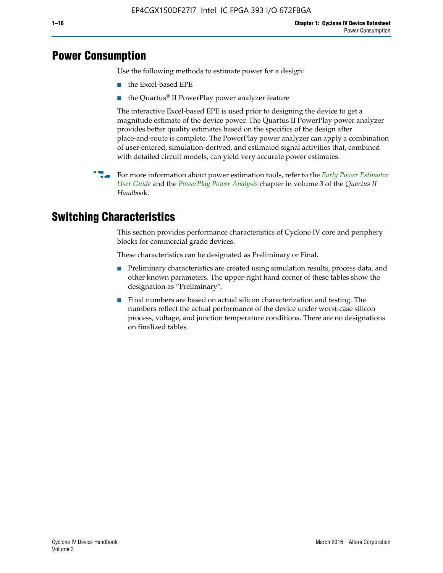# **Power Consumption**

Use the following methods to estimate power for a design:

- the Excel-based EPE
- the Quartus® II PowerPlay power analyzer feature

The interactive Excel-based EPE is used prior to designing the device to get a magnitude estimate of the device power. The Quartus II PowerPlay power analyzer provides better quality estimates based on the specifics of the design after place-and-route is complete. The PowerPlay power analyzer can apply a combination of user-entered, simulation-derived, and estimated signal activities that, combined with detailed circuit models, can yield very accurate power estimates.

f For more information about power estimation tools, refer to the *[Early Power Estimator](http://www.altera.com/literature/ug/ug_epe.pdf
)  [User Guide](http://www.altera.com/literature/ug/ug_epe.pdf
)* and the *[PowerPlay Power Analysis](http://www.altera.com/literature/hb/qts/qts_qii53013.pdf)* chapter in volume 3 of the *Quartus II Handboo*k.

# **Switching Characteristics**

This section provides performance characteristics of Cyclone IV core and periphery blocks for commercial grade devices.

These characteristics can be designated as Preliminary or Final.

- Preliminary characteristics are created using simulation results, process data, and other known parameters. The upper-right hand corner of these tables show the designation as "Preliminary".
- Final numbers are based on actual silicon characterization and testing. The numbers reflect the actual performance of the device under worst-case silicon process, voltage, and junction temperature conditions. There are no designations on finalized tables.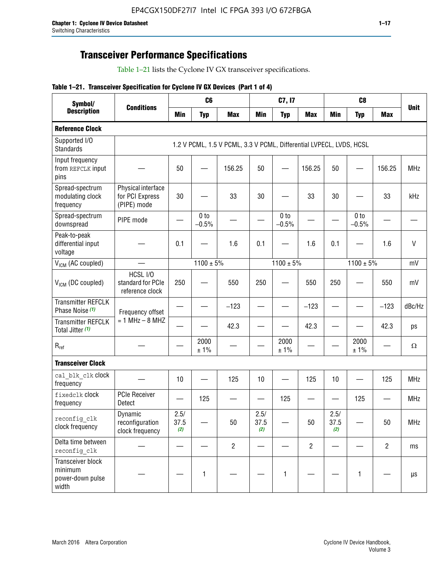# **Transceiver Performance Specifications**

Table 1–21 lists the Cyclone IV GX transceiver specifications.

|  |  |  |  | Table 1-21. Transceiver Specification for Cyclone IV GX Devices (Part 1 of 4) |  |
|--|--|--|--|-------------------------------------------------------------------------------|--|
|--|--|--|--|-------------------------------------------------------------------------------|--|

| Symbol/                                                   |                                                      |                     | C <sub>6</sub>             |                                                                     |                     | C7, I7                     |                |                     | C <sub>8</sub>             |                |             |
|-----------------------------------------------------------|------------------------------------------------------|---------------------|----------------------------|---------------------------------------------------------------------|---------------------|----------------------------|----------------|---------------------|----------------------------|----------------|-------------|
| <b>Description</b>                                        | <b>Conditions</b>                                    | <b>Min</b>          | <b>Typ</b>                 | <b>Max</b>                                                          | <b>Min</b>          | <b>Typ</b>                 | <b>Max</b>     | <b>Min</b>          | <b>Typ</b>                 | <b>Max</b>     | <b>Unit</b> |
| <b>Reference Clock</b>                                    |                                                      |                     |                            |                                                                     |                     |                            |                |                     |                            |                |             |
| Supported I/O<br><b>Standards</b>                         |                                                      |                     |                            | 1.2 V PCML, 1.5 V PCML, 3.3 V PCML, Differential LVPECL, LVDS, HCSL |                     |                            |                |                     |                            |                |             |
| Input frequency<br>from REFCLK input<br>pins              |                                                      | 50                  |                            | 156.25                                                              | 50                  |                            | 156.25         | 50                  | $\overline{\phantom{0}}$   | 156.25         | <b>MHz</b>  |
| Spread-spectrum<br>modulating clock<br>frequency          | Physical interface<br>for PCI Express<br>(PIPE) mode | 30                  |                            | 33                                                                  | 30                  |                            | 33             | 30                  |                            | 33             | kHz         |
| Spread-spectrum<br>downspread                             | PIPE mode                                            |                     | 0 <sub>to</sub><br>$-0.5%$ |                                                                     |                     | 0 <sub>to</sub><br>$-0.5%$ |                |                     | 0 <sub>to</sub><br>$-0.5%$ |                |             |
| Peak-to-peak<br>differential input<br>voltage             |                                                      | 0.1                 |                            | 1.6                                                                 | 0.1                 |                            | 1.6            | 0.1                 |                            | 1.6            | $\vee$      |
| V <sub>ICM</sub> (AC coupled)                             |                                                      |                     | $1100 \pm 5\%$             |                                                                     |                     | $1100 \pm 5\%$             |                |                     | $1100 \pm 5\%$             |                | mV          |
| $V_{ICM}$ (DC coupled)                                    | HCSL I/O<br>standard for PCIe<br>reference clock     | 250                 |                            | 550                                                                 | 250                 |                            | 550            | 250                 |                            | 550            | mV          |
| <b>Transmitter REFCLK</b><br>Phase Noise (1)              | Frequency offset                                     |                     |                            | $-123$                                                              |                     |                            | $-123$         |                     |                            | $-123$         | dBc/Hz      |
| <b>Transmitter REFCLK</b><br>Total Jitter (1)             | $= 1$ MHz $- 8$ MHZ                                  |                     |                            | 42.3                                                                |                     |                            | 42.3           |                     |                            | 42.3           | ps          |
| $\mathsf{R}_{\mathsf{ref}}$                               |                                                      |                     | 2000<br>± 1%               |                                                                     |                     | 2000<br>± 1%               |                |                     | 2000<br>± 1%               |                | Ω           |
| <b>Transceiver Clock</b>                                  |                                                      |                     |                            |                                                                     |                     |                            |                |                     |                            |                |             |
| cal blk clk clock<br>frequency                            |                                                      | 10                  |                            | 125                                                                 | 10                  |                            | 125            | 10                  |                            | 125            | <b>MHz</b>  |
| fixedclk Clock<br>frequency                               | <b>PCIe Receiver</b><br>Detect                       |                     | 125                        |                                                                     |                     | 125                        | —              |                     | 125                        |                | <b>MHz</b>  |
| reconfig clk<br>clock frequency                           | Dynamic<br>reconfiguration<br>clock frequency        | 2.5/<br>37.5<br>(2) |                            | 50                                                                  | 2.5/<br>37.5<br>(2) |                            | 50             | 2.5/<br>37.5<br>(2) |                            | 50             | <b>MHz</b>  |
| Delta time between<br>reconfig clk                        |                                                      |                     |                            | $\overline{2}$                                                      |                     |                            | $\overline{2}$ |                     |                            | $\overline{2}$ | ms          |
| Transceiver block<br>minimum<br>power-down pulse<br>width |                                                      |                     | $\mathbf{1}$               |                                                                     |                     | 1                          |                |                     | $\mathbf{1}$               |                | $\mu s$     |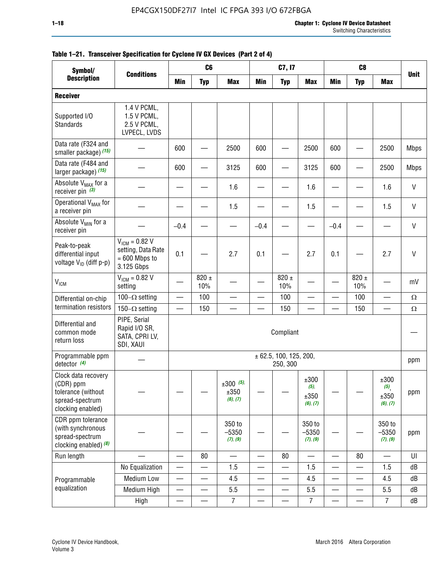| Symbol/                                                                                        |                                                                           | C <sub>8</sub><br>C <sub>6</sub><br>C7, I7<br><b>Conditions</b><br><b>Min</b><br><b>Min</b><br><b>Typ</b><br><b>Max</b><br><b>Max</b><br><b>Min</b><br><b>Max</b><br><b>Typ</b><br><b>Typ</b> |                          |                                    |                          |                                        |                                          |                          |                          |                                                |              |
|------------------------------------------------------------------------------------------------|---------------------------------------------------------------------------|-----------------------------------------------------------------------------------------------------------------------------------------------------------------------------------------------|--------------------------|------------------------------------|--------------------------|----------------------------------------|------------------------------------------|--------------------------|--------------------------|------------------------------------------------|--------------|
| <b>Description</b>                                                                             |                                                                           |                                                                                                                                                                                               |                          |                                    |                          |                                        |                                          |                          |                          |                                                | <b>Unit</b>  |
| <b>Receiver</b>                                                                                |                                                                           |                                                                                                                                                                                               |                          |                                    |                          |                                        |                                          |                          |                          |                                                |              |
| Supported I/O<br>Standards                                                                     | 1.4 V PCML,<br>1.5 V PCML,<br>2.5 V PCML,<br>LVPECL, LVDS                 |                                                                                                                                                                                               |                          |                                    |                          |                                        |                                          |                          |                          |                                                |              |
| Data rate (F324 and<br>smaller package) (15)                                                   |                                                                           | 600                                                                                                                                                                                           |                          | 2500                               | 600                      |                                        | 2500                                     | 600                      |                          | 2500                                           | <b>Mbps</b>  |
| Data rate (F484 and<br>larger package) (15)                                                    |                                                                           | 600                                                                                                                                                                                           |                          | 3125                               | 600                      |                                        | 3125                                     | 600                      |                          | 2500                                           | <b>Mbps</b>  |
| Absolute V <sub>MAX</sub> for a<br>receiver pin $(3)$                                          |                                                                           |                                                                                                                                                                                               |                          | 1.6                                |                          |                                        | 1.6                                      |                          |                          | 1.6                                            | $\mathsf{V}$ |
| Operational V <sub>MAX</sub> for<br>a receiver pin                                             |                                                                           |                                                                                                                                                                                               |                          | 1.5                                |                          |                                        | 1.5                                      |                          |                          | 1.5                                            | $\mathsf{V}$ |
| Absolute V <sub>MIN</sub> for a<br>receiver pin                                                |                                                                           | $-0.4$                                                                                                                                                                                        |                          |                                    | $-0.4$                   |                                        |                                          | $-0.4$                   |                          |                                                | $\mathsf{V}$ |
| Peak-to-peak<br>differential input<br>voltage V <sub>ID</sub> (diff p-p)                       | $V_{ICM} = 0.82 V$<br>setting, Data Rate<br>$= 600$ Mbps to<br>3.125 Gbps | 0.1                                                                                                                                                                                           |                          | 2.7                                | 0.1                      |                                        | 2.7                                      | 0.1                      |                          | 2.7                                            | $\mathsf{V}$ |
| <b>V<sub>ICM</sub></b>                                                                         | $V_{IGM} = 0.82 V$<br>setting                                             |                                                                                                                                                                                               | 820 $\pm$<br>10%         |                                    |                          | 820 $\pm$<br>10%                       |                                          |                          | 820 $\pm$<br>10%         |                                                | mV           |
| Differential on-chip                                                                           | 100 $-\Omega$ setting                                                     |                                                                                                                                                                                               | 100                      |                                    |                          | 100                                    |                                          |                          | 100                      | $\overbrace{\phantom{123221111}}$              | $\Omega$     |
| termination resistors                                                                          | 150 $-\Omega$ setting                                                     |                                                                                                                                                                                               | 150                      | $\overline{\phantom{0}}$           |                          | 150                                    |                                          |                          | 150                      | $\overline{\phantom{0}}$                       | $\Omega$     |
| Differential and<br>common mode<br>return loss                                                 | PIPE, Serial<br>Rapid I/O SR,<br>SATA, CPRI LV,<br>SDI, XAUI              |                                                                                                                                                                                               |                          |                                    |                          | Compliant                              |                                          |                          |                          |                                                |              |
| Programmable ppm<br>detector $(4)$                                                             |                                                                           |                                                                                                                                                                                               |                          |                                    |                          | $\pm$ 62.5, 100, 125, 200,<br>250, 300 |                                          |                          |                          |                                                | ppm          |
| Clock data recovery<br>(CDR) ppm<br>tolerance (without<br>spread-spectrum<br>clocking enabled) |                                                                           |                                                                                                                                                                                               |                          | $\pm 300$ (5),<br>±350<br>(6), (7) |                          |                                        | ±300<br>$(5)$ ,<br>$\pm 350$<br>(6), (7) |                          |                          | ±300<br>$(5)$ <sub>,</sub><br>±350<br>(6), (7) | ppm          |
| CDR ppm tolerance<br>(with synchronous<br>spread-spectrum<br>clocking enabled) (8)             |                                                                           |                                                                                                                                                                                               |                          | 350 to<br>$-5350$<br>(7), (9)      |                          |                                        | 350 to<br>$-5350$<br>(7), (9)            |                          |                          | 350 to<br>$-5350$<br>(7), (9)                  | ppm          |
| Run length                                                                                     |                                                                           | $\qquad \qquad$                                                                                                                                                                               | 80                       | $\overline{\phantom{0}}$           |                          | 80                                     | $\overline{\phantom{0}}$                 | —                        | 80                       |                                                | UI           |
|                                                                                                | No Equalization                                                           |                                                                                                                                                                                               |                          | 1.5                                |                          |                                        | 1.5                                      | $\overline{\phantom{0}}$ | $\overline{\phantom{0}}$ | 1.5                                            | dB           |
| Programmable                                                                                   | Medium Low                                                                |                                                                                                                                                                                               | $\overline{\phantom{0}}$ | 4.5                                | $\overline{\phantom{0}}$ | —                                      | 4.5                                      |                          | $\qquad \qquad$          | 4.5                                            | dB           |
| equalization                                                                                   | Medium High                                                               | $\overline{\phantom{0}}$                                                                                                                                                                      |                          | 5.5                                |                          |                                        | 5.5                                      | —                        | $\overline{\phantom{0}}$ | 5.5                                            | dB           |
|                                                                                                | High                                                                      |                                                                                                                                                                                               |                          | $\overline{7}$                     |                          |                                        | $\overline{7}$                           |                          |                          | $\overline{7}$                                 | dB           |

### **Table 1–21. Transceiver Specification for Cyclone IV GX Devices (Part 2 of 4)**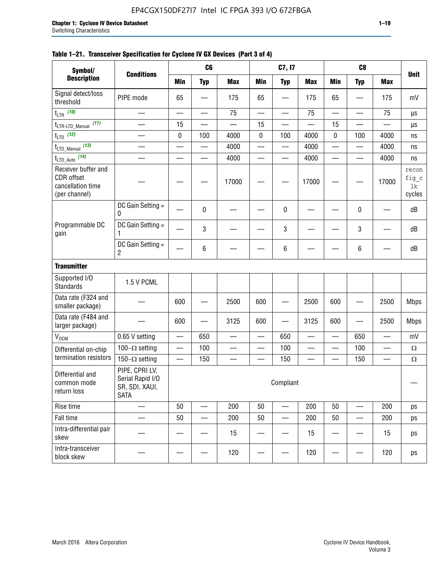#### **Table 1–21. Transceiver Specification for Cyclone IV GX Devices (Part 3 of 4)**

| Symbol/                                                                 |                                                                     |                          | C <sub>6</sub>           |            |                          | C7, I7                         |                          |                          | C <sub>8</sub>           |                          |                                |
|-------------------------------------------------------------------------|---------------------------------------------------------------------|--------------------------|--------------------------|------------|--------------------------|--------------------------------|--------------------------|--------------------------|--------------------------|--------------------------|--------------------------------|
| <b>Description</b>                                                      | <b>Conditions</b>                                                   | <b>Min</b>               | <b>Typ</b>               | <b>Max</b> | <b>Min</b>               | <b>Typ</b>                     | <b>Max</b>               | <b>Min</b>               | <b>Typ</b>               | <b>Max</b>               | <b>Unit</b>                    |
| Signal detect/loss<br>threshold                                         | PIPE mode                                                           | 65                       |                          | 175        | 65                       |                                | 175                      | 65                       |                          | 175                      | mV                             |
| $t_{LTR}$ (10)                                                          | $\overline{\phantom{0}}$                                            | $\equiv$                 | —                        | 75         | $\overline{\phantom{0}}$ | $\overline{\phantom{0}}$       | 75                       | $\overline{\phantom{0}}$ | $\overline{\phantom{0}}$ | 75                       | μs                             |
| (11)<br>t <sub>LTR-LTD_Manual</sub>                                     | $\overline{\phantom{a}}$                                            | 15                       |                          |            | 15                       |                                | $\overline{\phantom{0}}$ | 15                       | $\sim$                   |                          | μs                             |
| $t_{LTD}$ (12)                                                          |                                                                     | 0                        | 100                      | 4000       | $\pmb{0}$                | 100                            | 4000                     | $\mathbf 0$              | 100                      | 4000                     | ns                             |
| (13)<br>$t_{\text{LTD\_Manual}}$                                        |                                                                     |                          |                          | 4000       |                          | $\qquad \qquad \longleftarrow$ | 4000                     | —                        | $\overline{\phantom{0}}$ | 4000                     | ns                             |
| $t_{LTD\_Auto}$ (14)                                                    |                                                                     |                          | e de la provi            | 4000       |                          | $\overline{\phantom{0}}$       | 4000                     | $\overline{\phantom{0}}$ | $\equiv$                 | 4000                     | ns                             |
| Receiver buffer and<br>CDR offset<br>cancellation time<br>(per channel) |                                                                     |                          |                          | 17000      |                          |                                | 17000                    |                          |                          | 17000                    | recon<br>fig_c<br>1k<br>cycles |
|                                                                         | DC Gain Setting =<br>0                                              |                          | 0                        |            |                          | 0                              |                          |                          | 0                        |                          | dB                             |
| Programmable DC<br>gain                                                 | DC Gain Setting =<br>1                                              |                          | 3                        |            |                          | 3                              |                          |                          | 3                        |                          | dB                             |
|                                                                         | DC Gain Setting =<br>$\overline{c}$                                 |                          | 6                        |            |                          | 6                              |                          |                          | 6                        |                          | dB                             |
| <b>Transmitter</b>                                                      |                                                                     |                          |                          |            |                          |                                |                          |                          |                          |                          |                                |
| Supported I/O<br><b>Standards</b>                                       | 1.5 V PCML                                                          |                          |                          |            |                          |                                |                          |                          |                          |                          |                                |
| Data rate (F324 and<br>smaller package)                                 |                                                                     | 600                      |                          | 2500       | 600                      |                                | 2500                     | 600                      |                          | 2500                     | <b>Mbps</b>                    |
| Data rate (F484 and<br>larger package)                                  |                                                                     | 600                      |                          | 3125       | 600                      |                                | 3125                     | 600                      |                          | 2500                     | <b>Mbps</b>                    |
| <b>V<sub>OCM</sub></b>                                                  | 0.65 V setting                                                      | $\equiv$                 | 650                      |            | $\qquad \qquad$          | 650                            | $\overline{\phantom{0}}$ | $\overline{\phantom{0}}$ | 650                      | $\overline{\phantom{0}}$ | mV                             |
| Differential on-chip                                                    | 100 $-\Omega$ setting                                               | $\qquad \qquad$          | 100                      | —          | —                        | 100                            |                          | $\overline{\phantom{0}}$ | 100                      | $\overline{\phantom{0}}$ | Ω                              |
| termination resistors                                                   | 150 $-\Omega$ setting                                               | $\overline{\phantom{0}}$ | 150                      |            |                          | 150                            | —                        |                          | 150                      | $\overline{\phantom{0}}$ | $\Omega$                       |
| Differential and<br>common mode<br>return loss                          | PIPE, CPRI LV,<br>Serial Rapid I/O<br>SR, SDI, XAUI,<br><b>SATA</b> |                          |                          |            |                          | Compliant                      |                          |                          |                          |                          |                                |
| Rise time                                                               | $\overline{\phantom{0}}$                                            | 50                       | $\overline{\phantom{a}}$ | 200        | 50                       | $\overline{\phantom{0}}$       | 200                      | 50                       | $\overline{\phantom{0}}$ | 200                      | ps                             |
| Fall time                                                               |                                                                     | 50                       |                          | 200        | 50                       |                                | 200                      | 50                       |                          | 200                      | ps                             |
| Intra-differential pair<br>skew                                         |                                                                     |                          |                          | 15         |                          |                                | 15                       |                          |                          | 15                       | ps                             |
| Intra-transceiver<br>block skew                                         |                                                                     |                          |                          | 120        |                          |                                | 120                      |                          |                          | 120                      | ps                             |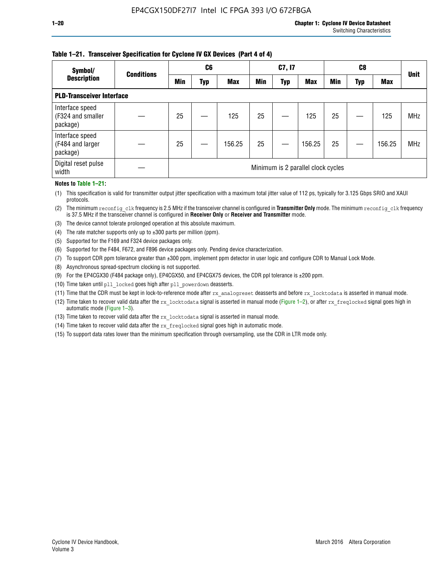#### **Table 1–21. Transceiver Specification for Cyclone IV GX Devices (Part 4 of 4)**

| Symbol/                                          | <b>Conditions</b> |     | C <sub>6</sub> |            |            | C7, I7     |                                    |            | C8  |            | <b>Unit</b> |
|--------------------------------------------------|-------------------|-----|----------------|------------|------------|------------|------------------------------------|------------|-----|------------|-------------|
| <b>Description</b>                               |                   | Min | Typ            | <b>Max</b> | <b>Min</b> | <b>Typ</b> | <b>Max</b>                         | <b>Min</b> | Typ | <b>Max</b> |             |
| <b>PLD-Transceiver Interface</b>                 |                   |     |                |            |            |            |                                    |            |     |            |             |
| Interface speed<br>(F324 and smaller<br>package) |                   | 25  |                | 125        | 25         |            | 125                                | 25         |     | 125        | <b>MHz</b>  |
| Interface speed<br>(F484 and larger<br>package)  |                   | 25  |                | 156.25     | 25         |            | 156.25                             | 25         |     | 156.25     | <b>MHz</b>  |
| Digital reset pulse<br>width                     |                   |     |                |            |            |            | Minimum is 2 parallel clock cycles |            |     |            |             |

#### **Notes to Table 1–21:**

(1) This specification is valid for transmitter output jitter specification with a maximum total jitter value of 112 ps, typically for 3.125 Gbps SRIO and XAUI protocols.

(2) The minimum reconfig\_clk frequency is 2.5 MHz if the transceiver channel is configured in **Transmitter Only** mode. The minimum reconfig\_clk frequency is 37.5 MHz if the transceiver channel is configured in **Receiver Only** or **Receiver and Transmitter** mode.

(3) The device cannot tolerate prolonged operation at this absolute maximum.

- (4) The rate matcher supports only up to  $\pm 300$  parts per million (ppm).
- (5) Supported for the F169 and F324 device packages only.
- (6) Supported for the F484, F672, and F896 device packages only. Pending device characterization.
- (7) To support CDR ppm tolerance greater than ±300 ppm, implement ppm detector in user logic and configure CDR to Manual Lock Mode.
- (8) Asynchronous spread-spectrum clocking is not supported.
- (9) For the EP4CGX30 (F484 package only), EP4CGX50, and EP4CGX75 devices, the CDR ppl tolerance is ±200 ppm.
- (10) Time taken until pll\_locked goes high after pll\_powerdown deasserts.
- (11) Time that the CDR must be kept in lock-to-reference mode after rx analogreset deasserts and before rx locktodata is asserted in manual mode.

(12) Time taken to recover valid data after the rx locktodata signal is asserted in manual mode (Figure 1–2), or after rx freqlocked signal goes high in automatic mode (Figure 1–3).

(13) Time taken to recover valid data after the rx locktodata signal is asserted in manual mode.

- (14) Time taken to recover valid data after the rx freqlocked signal goes high in automatic mode.
- (15) To support data rates lower than the minimum specification through oversampling, use the CDR in LTR mode only.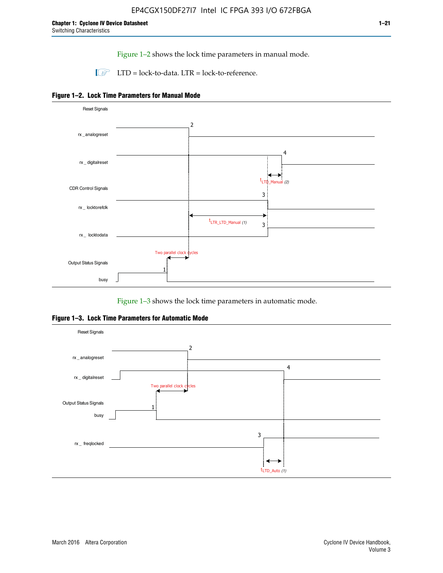Figure 1–2 shows the lock time parameters in manual mode.

 $\Box$  LTD = lock-to-data. LTR = lock-to-reference.





Figure 1–3 shows the lock time parameters in automatic mode.

**Figure 1–3. Lock Time Parameters for Automatic Mode**

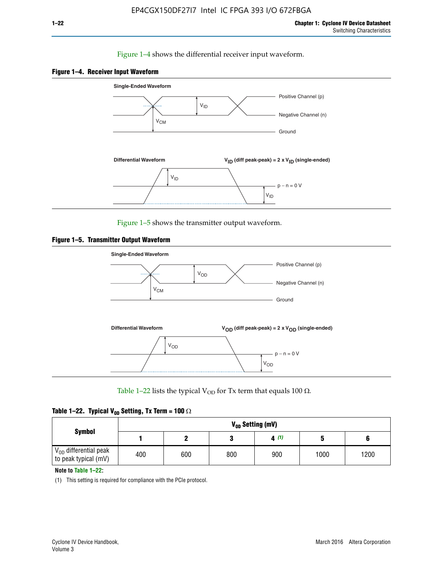#### Figure 1–4 shows the differential receiver input waveform.





Figure 1–5 shows the transmitter output waveform.





Table 1–22 lists the typical V<sub>OD</sub> for Tx term that equals 100  $\Omega$ .

|  |  | Table 1–22. Typical V <sub>0D</sub> Setting, Tx Term = 100 $\Omega$ |  |  |
|--|--|---------------------------------------------------------------------|--|--|
|--|--|---------------------------------------------------------------------|--|--|

|                                                        | V <sub>on</sub> Setting (mV) |     |     |      |      |      |  |  |  |
|--------------------------------------------------------|------------------------------|-----|-----|------|------|------|--|--|--|
| <b>Symbol</b>                                          |                              |     |     | 4(1) |      |      |  |  |  |
| $\rm V_{OD}$ differential peak<br>to peak typical (mV) | 400                          | 600 | 800 | 900  | 1000 | 1200 |  |  |  |

**Note to Table 1–22:**

(1) This setting is required for compliance with the PCIe protocol.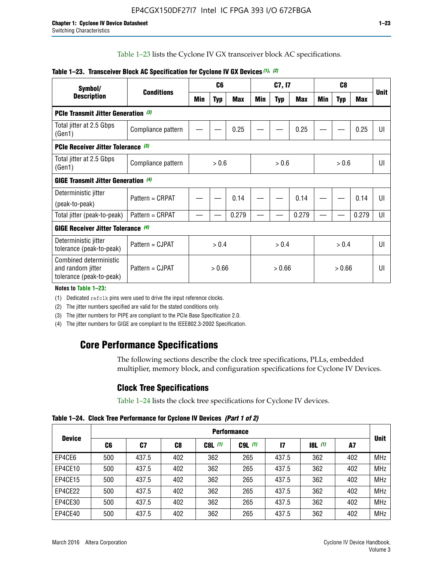Table 1–23 lists the Cyclone IV GX transceiver block AC specifications.

| Symbol/                                                                 | <b>Conditions</b><br><b>Description</b> |        | C <sub>6</sub> |            |     | C7, I7     |       |     | C <sub>8</sub> |                |             |
|-------------------------------------------------------------------------|-----------------------------------------|--------|----------------|------------|-----|------------|-------|-----|----------------|----------------|-------------|
|                                                                         |                                         |        | <b>Typ</b>     | <b>Max</b> | Min | <b>Typ</b> | Max   | Min | <b>Typ</b>     | <b>Max</b>     | <b>Unit</b> |
| <b>PCIe Transmit Jitter Generation (3)</b>                              |                                         |        |                |            |     |            |       |     |                |                |             |
| Total jitter at 2.5 Gbps<br>(Gen1)                                      | Compliance pattern                      |        |                | 0.25       |     |            | 0.25  |     |                | 0.25           | UI          |
| <b>PCIe Receiver Jitter Tolerance (3)</b>                               |                                         |        |                |            |     |            |       |     |                |                |             |
| Total jitter at 2.5 Gbps<br>(Gen1)                                      | Compliance pattern                      | > 0.6  |                | > 0.6      |     | > 0.6      |       | UI  |                |                |             |
| <b>GIGE Transmit Jitter Generation (4)</b>                              |                                         |        |                |            |     |            |       |     |                |                |             |
| Deterministic jitter                                                    | Pattern = CRPAT                         |        |                | 0.14       |     |            | 0.14  |     |                | 0.14           | UI          |
| (peak-to-peak)                                                          |                                         |        |                |            |     |            |       |     |                |                |             |
| Total jitter (peak-to-peak)                                             | Pattern = CRPAT                         |        |                | 0.279      |     |            | 0.279 |     |                | 0.279          | UI          |
| <b>GIGE Receiver Jitter Tolerance</b> (4)                               |                                         |        |                |            |     |            |       |     |                |                |             |
| Deterministic jitter<br>tolerance (peak-to-peak)                        | Pattern = CJPAT                         | > 0.4  |                | > 0.4      |     |            | > 0.4 |     |                | $\mathsf{III}$ |             |
| Combined deterministic<br>and random jitter<br>tolerance (peak-to-peak) | Pattern = CJPAT                         | > 0.66 |                | > 0.66     |     | > 0.66     |       | UI  |                |                |             |

#### **Table 1–23. Transceiver Block AC Specification for Cyclone IV GX Devices** *(1)***,** *(2)*

**Notes to Table 1–23:**

(1) Dedicated refclk pins were used to drive the input reference clocks.

(2) The jitter numbers specified are valid for the stated conditions only.

(3) The jitter numbers for PIPE are compliant to the PCIe Base Specification 2.0.

(4) The jitter numbers for GIGE are compliant to the IEEE802.3-2002 Specification.

# **Core Performance Specifications**

The following sections describe the clock tree specifications, PLLs, embedded multiplier, memory block, and configuration specifications for Cyclone IV Devices.

# **Clock Tree Specifications**

Table 1–24 lists the clock tree specifications for Cyclone IV devices.

**Table 1–24. Clock Tree Performance for Cyclone IV Devices** *(Part 1 of 2)*

|               | <b>Performance</b> |       |     |           |             |       |       |     |             |
|---------------|--------------------|-------|-----|-----------|-------------|-------|-------|-----|-------------|
| <b>Device</b> | C6                 | C7    | C8  | $C8L$ (1) | $C9L$ $(1)$ | 17    | 8L(1) | A7  | <b>Unit</b> |
| EP4CE6        | 500                | 437.5 | 402 | 362       | 265         | 437.5 | 362   | 402 | <b>MHz</b>  |
| EP4CE10       | 500                | 437.5 | 402 | 362       | 265         | 437.5 | 362   | 402 | <b>MHz</b>  |
| EP4CE15       | 500                | 437.5 | 402 | 362       | 265         | 437.5 | 362   | 402 | <b>MHz</b>  |
| EP4CE22       | 500                | 437.5 | 402 | 362       | 265         | 437.5 | 362   | 402 | <b>MHz</b>  |
| EP4CE30       | 500                | 437.5 | 402 | 362       | 265         | 437.5 | 362   | 402 | <b>MHz</b>  |
| EP4CE40       | 500                | 437.5 | 402 | 362       | 265         | 437.5 | 362   | 402 | <b>MHz</b>  |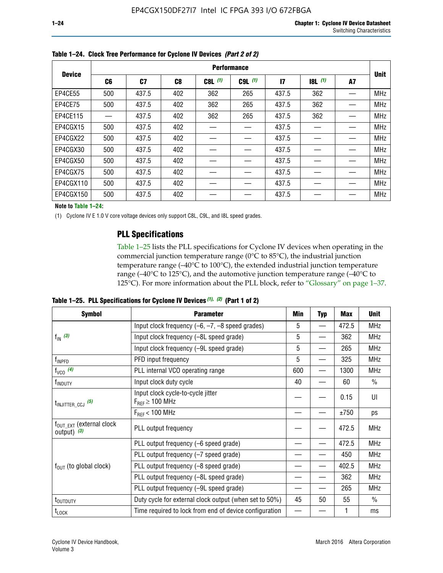|               | <b>Performance</b> |       |                |           |             |              |       |    |             |  |
|---------------|--------------------|-------|----------------|-----------|-------------|--------------|-------|----|-------------|--|
| <b>Device</b> | C <sub>6</sub>     | C7    | C <sub>8</sub> | $C8L$ (1) | $C9L$ $(1)$ | $\mathbf{I}$ | 8L(1) | A7 | <b>Unit</b> |  |
| EP4CE55       | 500                | 437.5 | 402            | 362       | 265         | 437.5        | 362   |    | <b>MHz</b>  |  |
| EP4CE75       | 500                | 437.5 | 402            | 362       | 265         | 437.5        | 362   |    | <b>MHz</b>  |  |
| EP4CE115      |                    | 437.5 | 402            | 362       | 265         | 437.5        | 362   |    | <b>MHz</b>  |  |
| EP4CGX15      | 500                | 437.5 | 402            |           |             | 437.5        |       |    | <b>MHz</b>  |  |
| EP4CGX22      | 500                | 437.5 | 402            |           |             | 437.5        |       |    | <b>MHz</b>  |  |
| EP4CGX30      | 500                | 437.5 | 402            |           |             | 437.5        |       |    | <b>MHz</b>  |  |
| EP4CGX50      | 500                | 437.5 | 402            |           |             | 437.5        |       |    | <b>MHz</b>  |  |
| EP4CGX75      | 500                | 437.5 | 402            |           |             | 437.5        |       |    | <b>MHz</b>  |  |
| EP4CGX110     | 500                | 437.5 | 402            |           |             | 437.5        |       |    | <b>MHz</b>  |  |
| EP4CGX150     | 500                | 437.5 | 402            |           |             | 437.5        |       |    | <b>MHz</b>  |  |

**Table 1–24. Clock Tree Performance for Cyclone IV Devices** *(Part 2 of 2)*

**Note to Table 1–24:**

(1) Cyclone IV E 1.0 V core voltage devices only support C8L, C9L, and I8L speed grades.

## **PLL Specifications**

Table 1–25 lists the PLL specifications for Cyclone IV devices when operating in the commercial junction temperature range (0°C to 85°C), the industrial junction temperature range (–40°C to 100°C), the extended industrial junction temperature range (–40°C to 125°C), and the automotive junction temperature range (–40°C to 125°C). For more information about the PLL block, refer to "Glossary" on page 1–37.

|  |  | Table 1–25. PLL Specifications for Cyclone IV Devices $(1)$ , $(2)$ (Part 1 of 2) |  |
|--|--|-----------------------------------------------------------------------------------|--|
|--|--|-----------------------------------------------------------------------------------|--|

| <b>Symbol</b>                                          | <b>Parameter</b>                                            | Min | <b>Typ</b>               | <b>Max</b> | <b>Unit</b>   |
|--------------------------------------------------------|-------------------------------------------------------------|-----|--------------------------|------------|---------------|
|                                                        | Input clock frequency $(-6, -7, -8)$ speed grades)          | 5   | $\qquad \qquad$          | 472.5      | <b>MHz</b>    |
| $f_{\text{IN}}(3)$                                     | Input clock frequency (-8L speed grade)                     | 5   |                          | 362        | <b>MHz</b>    |
|                                                        | Input clock frequency (-9L speed grade)                     | 5   |                          | 265        | <b>MHz</b>    |
| f <sub>INPFD</sub>                                     | PFD input frequency                                         | 5   | $\overline{\phantom{0}}$ | 325        | <b>MHz</b>    |
| $f_{VCO}$ (4)                                          | PLL internal VCO operating range                            | 600 |                          | 1300       | <b>MHz</b>    |
| f <sub>INDUTY</sub>                                    | Input clock duty cycle                                      | 40  |                          | 60         | $\frac{0}{0}$ |
| $t_{\text{INJITTER\_CCJ}}$ (5)                         | Input clock cycle-to-cycle jitter<br>$F_{REF} \geq 100$ MHz |     |                          | 0.15       | UI            |
|                                                        | $F_{RFF}$ < 100 MHz                                         |     |                          | ±750       | ps            |
| $f_{\text{OUT\_EXT}}$ (external clock<br>output) $(3)$ | PLL output frequency                                        |     |                          | 472.5      | <b>MHz</b>    |
|                                                        | PLL output frequency (-6 speed grade)                       |     |                          | 472.5      | <b>MHz</b>    |
|                                                        | PLL output frequency (-7 speed grade)                       |     |                          | 450        | <b>MHz</b>    |
| $f_{OUT}$ (to global clock)                            | PLL output frequency (-8 speed grade)                       |     |                          | 402.5      | <b>MHz</b>    |
|                                                        | PLL output frequency (-8L speed grade)                      |     |                          | 362        | <b>MHz</b>    |
|                                                        | PLL output frequency (-9L speed grade)                      |     |                          | 265        | <b>MHz</b>    |
| t <sub>outduty</sub>                                   | Duty cycle for external clock output (when set to 50%)      | 45  | 50                       | 55         | $\frac{0}{0}$ |
| $t_{\text{LOCK}}$                                      | Time required to lock from end of device configuration      |     |                          |            | ms            |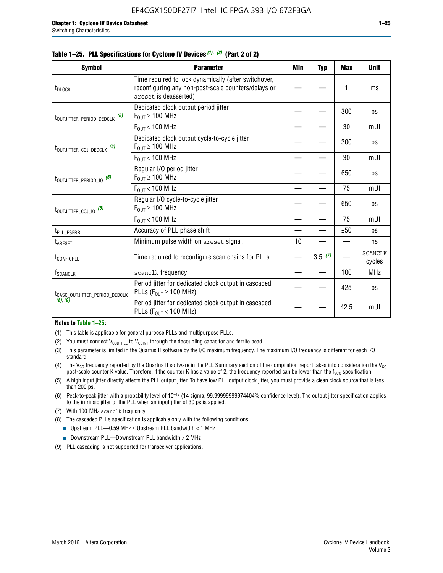|  |  | Table 1–25. PLL Specifications for Cyclone IV Devices (1), (2) (Part 2 of 2) |  |
|--|--|------------------------------------------------------------------------------|--|
|--|--|------------------------------------------------------------------------------|--|

| <b>Symbol</b>                             | <b>Parameter</b>                                                                                                                     | Min | <b>Typ</b> | <b>Max</b> | <b>Unit</b>              |
|-------------------------------------------|--------------------------------------------------------------------------------------------------------------------------------------|-----|------------|------------|--------------------------|
| t <sub>DLOCK</sub>                        | Time required to lock dynamically (after switchover,<br>reconfiguring any non-post-scale counters/delays or<br>areset is deasserted) |     |            |            | ms                       |
| t <sub>outjitter_period_dedclk</sub> (6)  | Dedicated clock output period jitter<br>$F_{OIII} \geq 100$ MHz                                                                      |     |            | 300        | ps                       |
|                                           | $F_{OUT}$ < 100 MHz                                                                                                                  |     |            | 30         | mUI                      |
| t <sub>outjitter_ccj_dedclk</sub> (6)     | Dedicated clock output cycle-to-cycle jitter<br>$F_{\text{OUT}} \geq 100 \text{ MHz}$                                                |     |            | 300        | ps                       |
|                                           | $F_{\text{OUT}}$ < 100 MHz                                                                                                           |     |            | 30         | mUI                      |
| t <sub>outjitter_period_io</sub> (6)      | Regular I/O period jitter<br>$F_{OUT} \geq 100$ MHz                                                                                  |     |            | 650        | ps                       |
|                                           | $F_{OUT}$ < 100 MHz                                                                                                                  |     |            | 75         | mUI                      |
| t <sub>outjitter_ccj_io</sub> (6)         | Regular I/O cycle-to-cycle jitter<br>$F_{OUT} \ge 100$ MHz                                                                           |     |            | 650        | ps                       |
|                                           | $F_{\text{OUT}}$ < 100 MHz                                                                                                           |     |            | 75         | mUI                      |
| t <sub>PLL_PSERR</sub>                    | Accuracy of PLL phase shift                                                                                                          |     |            | ±50        | ps                       |
| <b>t</b> <sub>ARESET</sub>                | Minimum pulse width on areset signal.                                                                                                | 10  |            |            | ns                       |
| t <sub>configpll</sub>                    | Time required to reconfigure scan chains for PLLs                                                                                    |     | 3.5(7)     |            | <b>SCANCLK</b><br>cycles |
| f <sub>SCANCLK</sub>                      | scanclk frequency                                                                                                                    |     |            | 100        | <b>MHz</b>               |
| t <sub>CASC_OUTJITTER_PERIOD_DEDCLK</sub> | Period jitter for dedicated clock output in cascaded<br>PLLs ( $F_{OUT} \ge 100$ MHz)                                                |     |            | 425        | ps                       |
| (8), (9)                                  | Period jitter for dedicated clock output in cascaded<br>PLLs ( $F_{OUI}$ < 100 MHz)                                                  |     |            | 42.5       | mUI                      |

#### **Notes to Table 1–25:**

- (1) This table is applicable for general purpose PLLs and multipurpose PLLs.
- (2) You must connect  $V_{CCD-PLL}$  to  $V_{CCINT}$  through the decoupling capacitor and ferrite bead.
- (3) This parameter is limited in the Quartus II software by the I/O maximum frequency. The maximum I/O frequency is different for each I/O standard.
- (4) The  $V_{CO}$  frequency reported by the Quartus II software in the PLL Summary section of the compilation report takes into consideration the  $V_{CO}$ post-scale counter K value. Therefore, if the counter K has a value of 2, the frequency reported can be lower than the f<sub>VCO</sub> specification.
- (5) A high input jitter directly affects the PLL output jitter. To have low PLL output clock jitter, you must provide a clean clock source that is less than 200 ps.
- (6) Peak-to-peak jitter with a probability level of 10–12 (14 sigma, 99.99999999974404% confidence level). The output jitter specification applies to the intrinsic jitter of the PLL when an input jitter of 30 ps is applied.
- (7) With 100-MHz scanclk frequency.
- (8) The cascaded PLLs specification is applicable only with the following conditions:
	- **■** Upstream PLL—0.59 MHz  $\leq$  Upstream PLL bandwidth  $<$  1 MHz
	- Downstream PLL—Downstream PLL bandwidth > 2 MHz
- (9) PLL cascading is not supported for transceiver applications.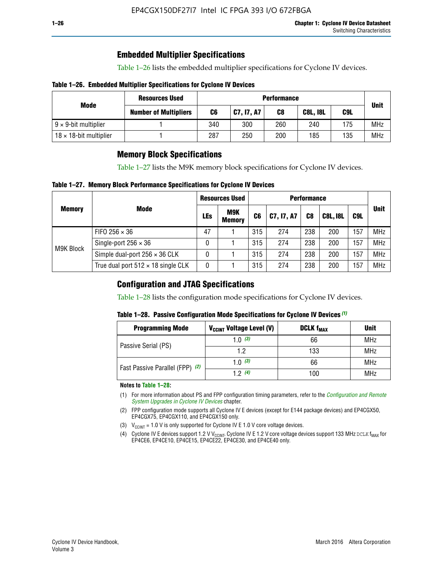# **Embedded Multiplier Specifications**

Table 1–26 lists the embedded multiplier specifications for Cyclone IV devices.

#### **Table 1–26. Embedded Multiplier Specifications for Cyclone IV Devices**

|                                | <b>Resources Used</b>        |     | <b>Performance</b> |     |                 |     |             |  |
|--------------------------------|------------------------------|-----|--------------------|-----|-----------------|-----|-------------|--|
| Mode                           | <b>Number of Multipliers</b> | C6  | C7, I7, A7         | C8  | <b>C8L, I8L</b> | C9L | <b>Unit</b> |  |
| $9 \times 9$ -bit multiplier   |                              | 340 | 300                | 260 | 240             | 175 | <b>MHz</b>  |  |
| $18 \times 18$ -bit multiplier |                              | 287 | 250                | 200 | 185             | 135 | <b>MHz</b>  |  |

# **Memory Block Specifications**

Table 1–27 lists the M9K memory block specifications for Cyclone IV devices.

#### **Table 1–27. Memory Block Performance Specifications for Cyclone IV Devices**

|               |                                           | <b>Resources Used</b> |                             | <b>Performance</b> |            |                |                 |     |             |
|---------------|-------------------------------------------|-----------------------|-----------------------------|--------------------|------------|----------------|-----------------|-----|-------------|
| <b>Memory</b> | <b>Mode</b>                               | <b>LEs</b>            | <b>M9K</b><br><b>Memory</b> | C <sub>6</sub>     | C7, I7, A7 | C <sub>8</sub> | <b>C8L, I8L</b> | C9L | <b>Unit</b> |
|               | FIFO 256 $\times$ 36                      | 47                    |                             | 315                | 274        | 238            | 200             | 157 | <b>MHz</b>  |
| M9K Block     | Single-port $256 \times 36$               | 0                     |                             | 315                | 274        | 238            | 200             | 157 | <b>MHz</b>  |
|               | Simple dual-port $256 \times 36$ CLK      | 0                     |                             | 315                | 274        | 238            | 200             | 157 | <b>MHz</b>  |
|               | True dual port $512 \times 18$ single CLK | 0                     |                             | 315                | 274        | 238            | 200             | 157 | <b>MHz</b>  |

### **Configuration and JTAG Specifications**

Table 1–28 lists the configuration mode specifications for Cyclone IV devices.

#### **Table 1–28. Passive Configuration Mode Specifications for Cyclone IV Devices** *(1)*

| <b>Programming Mode</b>         | V <sub>CCINT</sub> Voltage Level (V) | <b>DCLK f<sub>MAX</sub></b> | <b>Unit</b> |
|---------------------------------|--------------------------------------|-----------------------------|-------------|
| Passive Serial (PS)             | 1.0 $(3)$                            | 66                          | MHz         |
|                                 | 1.2                                  | 133                         | MHz         |
| Fast Passive Parallel (FPP) (2) | 1.0 $(3)$                            | 66                          | <b>MHz</b>  |
|                                 | 12(4)                                | 100                         | <b>MHz</b>  |

#### **Notes to Table 1–28:**

- (1) For more information about PS and FPP configuration timing parameters, refer to the *[Configuration and Remote](http://www.altera.com/literature/hb/cyclone-iv/cyiv-51008.pdf)  [System Upgrades in Cyclone IV Devices](http://www.altera.com/literature/hb/cyclone-iv/cyiv-51008.pdf)* chapter.
- (2) FPP configuration mode supports all Cyclone IV E devices (except for E144 package devices) and EP4CGX50, EP4CGX75, EP4CGX110, and EP4CGX150 only.
- (3)  $V_{CCMT}$  = 1.0 V is only supported for Cyclone IV E 1.0 V core voltage devices.
- (4) Cyclone IV E devices support 1.2 V V<sub>CCINT</sub>. Cyclone IV E 1.2 V core voltage devices support 133 MHz DCLK f<sub>MAX</sub> for EP4CE6, EP4CE10, EP4CE15, EP4CE22, EP4CE30, and EP4CE40 only.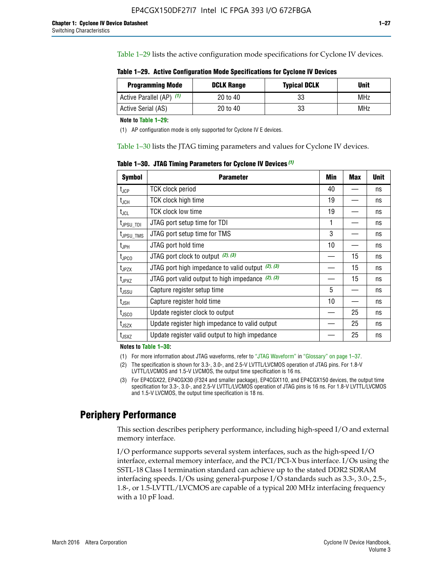Table 1–29 lists the active configuration mode specifications for Cyclone IV devices.

| Table 1–29. Active Configuration Mode Specifications for Cyclone IV Devices |  |  |  |
|-----------------------------------------------------------------------------|--|--|--|
|-----------------------------------------------------------------------------|--|--|--|

| <b>Programming Mode</b>  | <b>DCLK Range</b> | <b>Typical DCLK</b> | Unit |
|--------------------------|-------------------|---------------------|------|
| Active Parallel (AP) (1) | 20 to 40          | 33                  | MHz  |
| Active Serial (AS)       | 20 to 40          | 33                  | MHz  |

**Note to Table 1–29:**

(1) AP configuration mode is only supported for Cyclone IV E devices.

Table 1–30 lists the JTAG timing parameters and values for Cyclone IV devices.

**Table 1–30. JTAG Timing Parameters for Cyclone IV Devices** *(1)*

| Symbol                       | <b>Parameter</b>                                       | <b>Min</b> | <b>Max</b> | <b>Unit</b> |
|------------------------------|--------------------------------------------------------|------------|------------|-------------|
| t <sub>JCP</sub>             | <b>TCK clock period</b>                                | 40         |            | ns          |
| t <sub>JCH</sub>             | <b>TCK clock high time</b>                             | 19         |            | ns          |
| $t_{JCL}$                    | TCK clock low time                                     | 19         |            | ns          |
| t <sub>JPSU_TDI</sub>        | JTAG port setup time for TDI                           | 1          |            | ns          |
| t <sub>JPSU_TMS</sub>        | JTAG port setup time for TMS                           | 3          |            | ns          |
| t <sub>JPH</sub>             | JTAG port hold time                                    | 10         |            | ns          |
| t <sub>JPCO</sub>            | JTAG port clock to output $(2)$ , $(3)$                |            | 15         | ns          |
| t <sub>JPZX</sub>            | JTAG port high impedance to valid output $(2)$ , $(3)$ |            | 15         | ns          |
| t <sub>JPXZ</sub>            | JTAG port valid output to high impedance $(2)$ , $(3)$ |            | 15         | ns          |
| ${\rm t}_{\rm JSSU}$         | Capture register setup time                            | 5          |            | ns          |
| $\mathsf{t}_{\mathsf{JSH}}$  | Capture register hold time                             | 10         |            | ns          |
| $t_{\rm JSCO}$               | Update register clock to output                        |            | 25         | ns          |
| $t_{\footnotesize \rm JSZX}$ | Update register high impedance to valid output         |            | 25         | ns          |
| t <sub>JSXZ</sub>            | Update register valid output to high impedance         |            | 25         | ns          |

**Notes to Table 1–30:**

(1) For more information about JTAG waveforms, refer to "JTAG Waveform" in "Glossary" on page 1–37.

(2) The specification is shown for 3.3-, 3.0-, and 2.5-V LVTTL/LVCMOS operation of JTAG pins. For 1.8-V LVTTL/LVCMOS and 1.5-V LVCMOS, the output time specification is 16 ns.

(3) For EP4CGX22, EP4CGX30 (F324 and smaller package), EP4CGX110, and EP4CGX150 devices, the output time specification for 3.3-, 3.0-, and 2.5-V LVTTL/LVCMOS operation of JTAG pins is 16 ns. For 1.8-V LVTTL/LVCMOS and 1.5-V LVCMOS, the output time specification is 18 ns.

# **Periphery Performance**

This section describes periphery performance, including high-speed I/O and external memory interface.

I/O performance supports several system interfaces, such as the high-speed I/O interface, external memory interface, and the PCI/PCI-X bus interface. I/Os using the SSTL-18 Class I termination standard can achieve up to the stated DDR2 SDRAM interfacing speeds. I/Os using general-purpose I/O standards such as 3.3-, 3.0-, 2.5-, 1.8-, or 1.5-LVTTL/LVCMOS are capable of a typical 200 MHz interfacing frequency with a 10 pF load.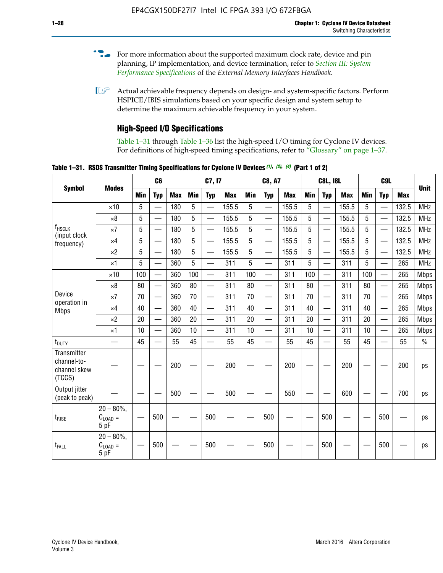- For more information about the supported maximum clock rate, device and pin planning, IP implementation, and device termination, refer to *[Section III: System](http://www.altera.com/literature/hb/external-memory/emi_intro_specs.pdf)  [Performance Specifications](http://www.altera.com/literature/hb/external-memory/emi_intro_specs.pdf)* of the *External Memory Interfaces Handbook*.
- **1 Actual achievable frequency depends on design- and system-specific factors. Perform** HSPICE/IBIS simulations based on your specific design and system setup to determine the maximum achievable frequency in your system.

# **High-Speed I/O Specifications**

Table 1–31 through Table 1–36 list the high-speed I/O timing for Cyclone IV devices. For definitions of high-speed timing specifications, refer to "Glossary" on page 1–37.

**Table 1–31. RSDS Transmitter Timing Specifications for Cyclone IV Devices** *(1)***,** *(2)***,** *(4)* **(Part 1 of 2)**

| <b>Symbol</b>                                        |                                                    |     | C <sub>6</sub>           |            |            | C7, I7                   |            |            | <b>C8, A7</b>            |            |            | <b>C8L, I8L</b>          |            |            | C <sub>9</sub> L         |            |               |
|------------------------------------------------------|----------------------------------------------------|-----|--------------------------|------------|------------|--------------------------|------------|------------|--------------------------|------------|------------|--------------------------|------------|------------|--------------------------|------------|---------------|
|                                                      | <b>Modes</b>                                       | Min | <b>Typ</b>               | <b>Max</b> | <b>Min</b> | <b>Typ</b>               | <b>Max</b> | <b>Min</b> | <b>Typ</b>               | <b>Max</b> | <b>Min</b> | <b>Typ</b>               | <b>Max</b> | <b>Min</b> | <b>Typ</b>               | <b>Max</b> | <b>Unit</b>   |
|                                                      | $\times$ 10                                        | 5   |                          | 180        | 5          |                          | 155.5      | 5          | $\overline{\phantom{0}}$ | 155.5      | 5          |                          | 155.5      | 5          |                          | 132.5      | <b>MHz</b>    |
|                                                      | $\times 8$                                         | 5   | $\overline{\phantom{0}}$ | 180        | 5          | —                        | 155.5      | 5          | $\overline{\phantom{0}}$ | 155.5      | 5          | $\overline{\phantom{0}}$ | 155.5      | 5          | $\overline{\phantom{0}}$ | 132.5      | <b>MHz</b>    |
| <b>f</b> <sub>HSCLK</sub><br>(input clock            | $\times 7$                                         | 5   | $\overline{\phantom{0}}$ | 180        | 5          | —                        | 155.5      | 5          |                          | 155.5      | 5          | $\overline{\phantom{0}}$ | 155.5      | 5          | <u>—</u>                 | 132.5      | <b>MHz</b>    |
| frequency)                                           | $\times$ 4                                         | 5   | $\equiv$                 | 180        | 5          | $\overline{\phantom{0}}$ | 155.5      | 5          |                          | 155.5      | 5          | $\equiv$                 | 155.5      | 5          |                          | 132.5      | <b>MHz</b>    |
|                                                      | $\times 2$                                         | 5   |                          | 180        | 5          | $\overline{\phantom{0}}$ | 155.5      | 5          | $\overline{\phantom{0}}$ | 155.5      | 5          | $\overline{\phantom{0}}$ | 155.5      | 5          | $\overline{\phantom{0}}$ | 132.5      | <b>MHz</b>    |
|                                                      | $\times$ 1                                         | 5   | $\overline{\phantom{0}}$ | 360        | 5          |                          | 311        | 5          | $\overline{\phantom{0}}$ | 311        | 5          | $\overline{\phantom{0}}$ | 311        | 5          |                          | 265        | <b>MHz</b>    |
|                                                      | $\times$ 10                                        | 100 | $\overline{\phantom{0}}$ | 360        | 100        |                          | 311        | 100        | $\overline{\phantom{0}}$ | 311        | 100        | $\overline{\phantom{0}}$ | 311        | 100        | $\overline{\phantom{0}}$ | 265        | <b>Mbps</b>   |
|                                                      | $\times 8$                                         | 80  |                          | 360        | 80         |                          | 311        | 80         | $\overline{\phantom{0}}$ | 311        | 80         | $\overline{\phantom{0}}$ | 311        | 80         | $\overline{\phantom{0}}$ | 265        | <b>Mbps</b>   |
| Device                                               | $\times 7$                                         | 70  |                          | 360        | 70         |                          | 311        | 70         | $\overline{\phantom{0}}$ | 311        | 70         | $\overline{\phantom{0}}$ | 311        | 70         | $\overline{\phantom{0}}$ | 265        | <b>Mbps</b>   |
| operation in<br><b>Mbps</b>                          | $\times$ 4                                         | 40  |                          | 360        | 40         |                          | 311        | 40         | $\overline{\phantom{0}}$ | 311        | 40         |                          | 311        | 40         | $\overline{\phantom{0}}$ | 265        | <b>Mbps</b>   |
|                                                      | $\times 2$                                         | 20  |                          | 360        | 20         | $\equiv$                 | 311        | 20         | $\overline{\phantom{0}}$ | 311        | 20         |                          | 311        | 20         | $\overline{\phantom{0}}$ | 265        | <b>Mbps</b>   |
|                                                      | $\times$ 1                                         | 10  |                          | 360        | 10         |                          | 311        | 10         | $\overline{\phantom{0}}$ | 311        | 10         | $\overline{\phantom{0}}$ | 311        | 10         |                          | 265        | <b>Mbps</b>   |
| t <sub>DUTY</sub>                                    | —                                                  | 45  | $\overline{\phantom{0}}$ | 55         | 45         |                          | 55         | 45         | $\overline{\phantom{0}}$ | 55         | 45         |                          | 55         | 45         |                          | 55         | $\frac{0}{0}$ |
| Transmitter<br>channel-to-<br>channel skew<br>(TCCS) |                                                    |     |                          | 200        |            |                          | 200        |            |                          | 200        |            |                          | 200        |            |                          | 200        | ps            |
| Output jitter<br>(peak to peak)                      |                                                    |     |                          | 500        |            |                          | 500        |            |                          | 550        |            |                          | 600        |            |                          | 700        | ps            |
| $t_{RISE}$                                           | $20 - 80\%$<br>$C_{LOAD} =$<br>5 pF                |     | 500                      |            |            | 500                      |            |            | 500                      |            |            | 500                      |            |            | 500                      |            | ps            |
| t <sub>FALL</sub>                                    | $20 - 80\%$<br>$\mathrm{C}_{\text{LOAD}}=$<br>5 pF |     | 500                      |            |            | 500                      |            |            | 500                      |            |            | 500                      |            |            | 500                      |            | ps            |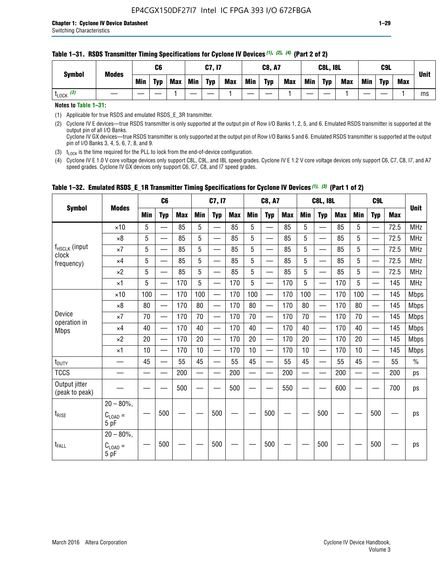#### **Table 1–31. RSDS Transmitter Timing Specifications for Cyclone IV Devices** *(1)***,** *(2)***,** *(4)* **(Part 2 of 2)**

**Notes to Table 1–31:**

(1) Applicable for true RSDS and emulated RSDS\_E\_3R transmitter.

(2) Cyclone IV E devices—true RSDS transmitter is only supported at the output pin of Row I/O Banks 1, 2, 5, and 6. Emulated RSDS transmitter is supported at the output pin of all I/O Banks. Cyclone IV GX devices—true RSDS transmitter is only supported at the output pin of Row I/O Banks 5 and 6. Emulated RSDS transmitter is supported at the output

pin of I/O Banks 3, 4, 5, 6, 7, 8, and 9.

(3)  $t_{\text{LOCK}}$  is the time required for the PLL to lock from the end-of-device configuration.

(4) Cyclone IV E 1.0 V core voltage devices only support C8L, C9L, and I8L speed grades. Cyclone IV E 1.2 V core voltage devices only support C6, C7, C8, I7, and A7 speed grades. Cyclone IV GX devices only support C6, C7, C8, and I7 speed grades.

| <b>Symbol</b>                   | <b>Modes</b>                          |     | C <sub>6</sub>           |     |            | C7, I7                   |            |            | <b>C8, A7</b>                  |     |     | <b>C8L, I8L</b>          |            |            | C <sub>9</sub> L         |            |               |
|---------------------------------|---------------------------------------|-----|--------------------------|-----|------------|--------------------------|------------|------------|--------------------------------|-----|-----|--------------------------|------------|------------|--------------------------|------------|---------------|
|                                 |                                       | Min | <b>Typ</b>               | Max | <b>Min</b> | <b>Typ</b>               | <b>Max</b> | <b>Min</b> | <b>Typ</b>                     | Max | Min | <b>Typ</b>               | <b>Max</b> | <b>Min</b> | <b>Typ</b>               | <b>Max</b> | <b>Unit</b>   |
|                                 | $\times$ 10                           | 5   | $\overline{\phantom{0}}$ | 85  | 5          | $\overline{\phantom{0}}$ | 85         | 5          | —                              | 85  | 5   | $\overline{\phantom{0}}$ | 85         | 5          |                          | 72.5       | <b>MHz</b>    |
|                                 | $\times 8$                            | 5   | —                        | 85  | 5          | e e                      | 85         | 5          | —                              | 85  | 5   | $\overline{\phantom{0}}$ | 85         | 5          | —                        | 72.5       | <b>MHz</b>    |
| f <sub>HSCLK</sub> (input       | $\times 7$                            | 5   | —                        | 85  | 5          | $\overline{\phantom{a}}$ | 85         | 5          | $\overline{\phantom{0}}$       | 85  | 5   | $\overline{\phantom{0}}$ | 85         | 5          |                          | 72.5       | <b>MHz</b>    |
| clock<br>frequency)             | $\times$ 4                            | 5   | $\overline{\phantom{0}}$ | 85  | 5          | $\overline{\phantom{0}}$ | 85         | 5          | $\overline{\phantom{0}}$       | 85  | 5   | $\overline{\phantom{0}}$ | 85         | 5          |                          | 72.5       | <b>MHz</b>    |
|                                 | $\times 2$                            | 5   | $\qquad \qquad$          | 85  | 5          | $\overline{\phantom{a}}$ | 85         | 5          | $\overline{\phantom{0}}$       | 85  | 5   | $\qquad \qquad$          | 85         | 5          | $\overline{\phantom{0}}$ | 72.5       | <b>MHz</b>    |
|                                 | $\times$ 1                            | 5   | $\overline{\phantom{0}}$ | 170 | 5          |                          | 170        | 5          | $\overline{\phantom{0}}$       | 170 | 5   | $\overline{\phantom{0}}$ | 170        | 5          |                          | 145        | <b>MHz</b>    |
|                                 | $\times$ 10                           | 100 | $\overline{\phantom{0}}$ | 170 | 100        | <u>e a</u>               | 170        | 100        | $\overline{\phantom{0}}$       | 170 | 100 |                          | 170        | 100        | $\qquad \qquad$          | 145        | <b>Mbps</b>   |
| Device                          | $\times 8$                            | 80  | $\overline{\phantom{0}}$ | 170 | 80         |                          | 170        | 80         | $\overline{\phantom{0}}$       | 170 | 80  |                          | 170        | 80         |                          | 145        | <b>Mbps</b>   |
|                                 | $\times 7$                            | 70  |                          | 170 | 70         | $\overline{\phantom{0}}$ | 170        | 70         | $\qquad \qquad \longleftarrow$ | 170 | 70  | $\qquad \qquad$          | 170        | 70         | $\overline{\phantom{m}}$ | 145        | <b>Mbps</b>   |
| operation in<br><b>Mbps</b>     | $\times$ 4                            | 40  | $\overline{\phantom{0}}$ | 170 | 40         | $\overline{\phantom{0}}$ | 170        | 40         | $\overline{\phantom{0}}$       | 170 | 40  | $\overline{\phantom{0}}$ | 170        | 40         | —                        | 145        | <b>Mbps</b>   |
|                                 | $\times 2$                            | 20  | $\overline{\phantom{0}}$ | 170 | 20         | $\overline{\phantom{0}}$ | 170        | 20         | $\overline{\phantom{0}}$       | 170 | 20  | $\overline{\phantom{0}}$ | 170        | 20         |                          | 145        | <b>Mbps</b>   |
|                                 | $\times$ 1                            | 10  | $\overline{\phantom{0}}$ | 170 | 10         | $\overline{\phantom{0}}$ | 170        | 10         | $\overline{\phantom{0}}$       | 170 | 10  | $\overline{\phantom{0}}$ | 170        | 10         |                          | 145        | <b>Mbps</b>   |
| t <sub>DUTY</sub>               |                                       | 45  | $\overline{\phantom{0}}$ | 55  | 45         | $\sim$                   | 55         | 45         | —                              | 55  | 45  | $\overline{\phantom{0}}$ | 55         | 45         |                          | 55         | $\frac{0}{0}$ |
| <b>TCCS</b>                     |                                       |     |                          | 200 |            |                          | 200        | $\sim$     |                                | 200 |     | $\overline{\phantom{0}}$ | 200        |            |                          | 200        | ps            |
| Output jitter<br>(peak to peak) |                                       |     |                          | 500 |            |                          | 500        |            |                                | 550 |     |                          | 600        |            |                          | 700        | ps            |
| $t_{\text{RISE}}$               | $20 - 80\%$<br>$C_{LOAD} =$<br>5 pF   |     | 500                      |     |            | 500                      |            |            | 500                            |     |     | 500                      |            |            | 500                      |            | ps            |
| t <sub>FALL</sub>               | $20 - 80\%$ ,<br>$C_{LOAD} =$<br>5 pF |     | 500                      |     |            | 500                      |            |            | 500                            |     |     | 500                      |            |            | 500                      |            | ps            |

# **Table 1–32. Emulated RSDS\_E\_1R Transmitter Timing Specifications for Cyclone IV Devices** *(1), (3)* **(Part 1 of 2)**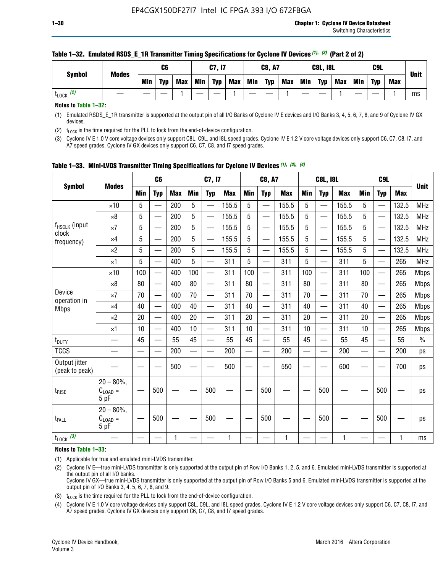| <b>Symbol</b>        | <b>Modes</b> |     | C6         |            |     | C7, I7     |            |     | <b>C8, A7</b> |            |            | <b>C8L, I8L</b> |            |     | C9L        |            |             |
|----------------------|--------------|-----|------------|------------|-----|------------|------------|-----|---------------|------------|------------|-----------------|------------|-----|------------|------------|-------------|
|                      |              | Min | <b>Typ</b> | <b>Max</b> | Min | <b>Typ</b> | <b>Max</b> | Min | <b>Typ</b>    | <b>Max</b> | <b>Min</b> | <b>Typ</b>      | <b>Max</b> | Min | <b>Typ</b> | <b>Max</b> | <b>Unit</b> |
| (2)<br><b>L</b> LOCK |              |     |            |            |     |            |            |     |               |            |            |                 |            |     |            |            | ms          |

#### **Table 1–32. Emulated RSDS\_E\_1R Transmitter Timing Specifications for Cyclone IV Devices** *(1), (3)* **(Part 2 of 2)**

**Notes to Table 1–32:**

(1) Emulated RSDS\_E\_1R transmitter is supported at the output pin of all I/O Banks of Cyclone IV E devices and I/O Banks 3, 4, 5, 6, 7, 8, and 9 of Cyclone IV GX devices.

(2)  $t_{\text{LOCK}}$  is the time required for the PLL to lock from the end-of-device configuration.

(3) Cyclone IV E 1.0 V core voltage devices only support C8L, C9L, and I8L speed grades. Cyclone IV E 1.2 V core voltage devices only support C6, C7, C8, I7, and A7 speed grades. Cyclone IV GX devices only support C6, C7, C8, and I7 speed grades.

| <b>Symbol</b>                   |                                     |            | C <sub>6</sub>           |            |            | C7, I7                   |            |            | <b>C8, A7</b>            |            |                          | <b>C8L, I8L</b>          |            |            | C <sub>9</sub> L |            |             |
|---------------------------------|-------------------------------------|------------|--------------------------|------------|------------|--------------------------|------------|------------|--------------------------|------------|--------------------------|--------------------------|------------|------------|------------------|------------|-------------|
|                                 | <b>Modes</b>                        | <b>Min</b> | <b>Typ</b>               | <b>Max</b> | <b>Min</b> | <b>Typ</b>               | <b>Max</b> | <b>Min</b> | <b>Typ</b>               | <b>Max</b> | <b>Min</b>               | <b>Typ</b>               | <b>Max</b> | <b>Min</b> | <b>Typ</b>       | <b>Max</b> | <b>Unit</b> |
|                                 | $\times$ 10                         | 5          | —<br>—                   | 200        | 5          |                          | 155.5      | 5          | ÷,                       | 155.5      | 5                        | $\overline{\phantom{0}}$ | 155.5      | 5          |                  | 132.5      | <b>MHz</b>  |
|                                 | $\times 8$                          | 5          | $\overline{\phantom{0}}$ | 200        | 5          | $\overline{\phantom{0}}$ | 155.5      | 5          | —                        | 155.5      | 5                        |                          | 155.5      | 5          |                  | 132.5      | <b>MHz</b>  |
| f <sub>HSCLK</sub> (input       | $\times 7$                          | 5          | $\overline{\phantom{0}}$ | 200        | 5          | —                        | 155.5      | 5          | $\overline{\phantom{0}}$ | 155.5      | 5                        |                          | 155.5      | 5          | —                | 132.5      | <b>MHz</b>  |
| clock<br>frequency)             | $\times$ 4                          | 5          | $\overline{\phantom{0}}$ | 200        | 5          | —                        | 155.5      | 5          | $\overline{\phantom{0}}$ | 155.5      | 5                        | $\overline{\phantom{0}}$ | 155.5      | 5          | —                | 132.5      | <b>MHz</b>  |
|                                 | $\times 2$                          | 5          | $\overline{\phantom{0}}$ | 200        | 5          | $\overline{\phantom{0}}$ | 155.5      | 5          | $\overline{\phantom{0}}$ | 155.5      | 5                        | $\overline{\phantom{0}}$ | 155.5      | 5          |                  | 132.5      | <b>MHz</b>  |
|                                 | $\times$ 1                          | 5          | $\overline{\phantom{0}}$ | 400        | 5          |                          | 311        | 5          | —                        | 311        | 5                        | $\overline{\phantom{0}}$ | 311        | 5          |                  | 265        | <b>MHz</b>  |
|                                 | $\times$ 10                         | 100        |                          | 400        | 100        | $\overline{\phantom{0}}$ | 311        | 100        | $\overline{\phantom{0}}$ | 311        | 100                      | $\overline{\phantom{0}}$ | 311        | 100        |                  | 265        | <b>Mbps</b> |
|                                 | $\times 8$                          | 80         | $\overline{\phantom{0}}$ | 400        | 80         | $\equiv$                 | 311        | 80         | $\overline{\phantom{0}}$ | 311        | 80                       | —                        | 311        | 80         |                  | 265        | <b>Mbps</b> |
| Device<br>operation in          | $\times 7$                          | 70         | $\overline{\phantom{0}}$ | 400        | 70         | $\overline{\phantom{0}}$ | 311        | 70         | $\qquad \qquad$          | 311        | 70                       |                          | 311        | 70         |                  | 265        | <b>Mbps</b> |
| <b>Mbps</b>                     | $\times 4$                          | 40         | $\overline{\phantom{0}}$ | 400        | 40         |                          | 311        | 40         | er<br>Here               | 311        | 40                       | $\overline{\phantom{0}}$ | 311        | 40         |                  | 265        | <b>Mbps</b> |
|                                 | $\times 2$                          | 20         | $\overline{\phantom{0}}$ | 400        | 20         | —                        | 311        | 20         | $\overline{\phantom{0}}$ | 311        | 20                       | $\overline{\phantom{0}}$ | 311        | 20         |                  | 265        | <b>Mbps</b> |
|                                 | ×1                                  | 10         | $\overline{\phantom{0}}$ | 400        | 10         | —                        | 311        | 10         | $\overline{\phantom{0}}$ | 311        | 10                       | $\overline{\phantom{0}}$ | 311        | 10         |                  | 265        | <b>Mbps</b> |
| t <sub>DUTY</sub>               |                                     | 45         | $\qquad \qquad$          | 55         | 45         |                          | 55         | 45         | $\overline{\phantom{0}}$ | 55         | 45                       | —                        | 55         | 45         |                  | 55         | $\%$        |
| <b>TCCS</b>                     |                                     |            |                          | 200        | —          |                          | 200        |            |                          | 200        | $\overline{\phantom{0}}$ |                          | 200        |            |                  | 200        | ps          |
| Output jitter<br>(peak to peak) |                                     |            |                          | 500        |            |                          | 500        |            |                          | 550        |                          |                          | 600        |            |                  | 700        | ps          |
| $t_{\text{RISE}}$               | $20 - 80\%$<br>$C_{LOAD} =$<br>5 pF |            | 500                      |            |            | 500                      |            |            | 500                      |            |                          | 500                      |            |            | 500              |            | ps          |
| t <sub>FALL</sub>               | $20 - 80\%$<br>$C_{LOAD} =$<br>5 pF |            | 500                      |            |            | 500                      |            |            | 500                      |            |                          | 500                      |            |            | 500              |            | ps          |
| $t_{\text{LOCK}}$ (3)           |                                     |            |                          | 1          |            |                          | 1          |            |                          | 1          |                          |                          | 1          |            |                  | 1          | ms          |

**Table 1–33. Mini-LVDS Transmitter Timing Specifications for Cyclone IV Devices** *(1)***,** *(2)***,** *(4)*

**Notes to Table 1–33:**

(1) Applicable for true and emulated mini-LVDS transmitter.

(2) Cyclone IV E—true mini-LVDS transmitter is only supported at the output pin of Row I/O Banks 1, 2, 5, and 6. Emulated mini-LVDS transmitter is supported at the output pin of all I/O banks.

Cyclone IV GX—true mini-LVDS transmitter is only supported at the output pin of Row I/O Banks 5 and 6. Emulated mini-LVDS transmitter is supported at the output pin of I/O Banks 3, 4, 5, 6, 7, 8, and 9.

(3)  $t_{\text{LOCK}}$  is the time required for the PLL to lock from the end-of-device configuration.

(4) Cyclone IV E 1.0 V core voltage devices only support C8L, C9L, and I8L speed grades. Cyclone IV E 1.2 V core voltage devices only support C6, C7, C8, I7, and A7 speed grades. Cyclone IV GX devices only support C6, C7, C8, and I7 speed grades.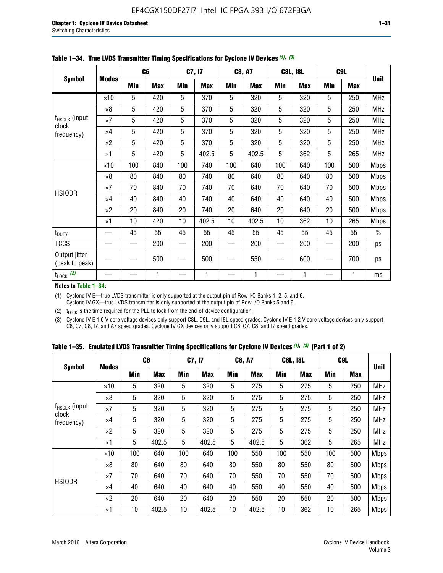| <b>Symbol</b>                   |              |     | C <sub>6</sub> |     | C7, I7     |            | <b>C8, A7</b> |     | <b>C8L, I8L</b> |     | C <sub>9</sub> L |               |
|---------------------------------|--------------|-----|----------------|-----|------------|------------|---------------|-----|-----------------|-----|------------------|---------------|
|                                 | <b>Modes</b> | Min | <b>Max</b>     | Min | <b>Max</b> | <b>Min</b> | <b>Max</b>    | Min | <b>Max</b>      | Min | <b>Max</b>       | <b>Unit</b>   |
|                                 | $\times$ 10  | 5   | 420            | 5   | 370        | 5          | 320           | 5   | 320             | 5   | 250              | <b>MHz</b>    |
|                                 | $\times 8$   | 5   | 420            | 5   | 370        | 5          | 320           | 5   | 320             | 5   | 250              | MHz           |
| $f_{HSCLK}$ (input<br>clock     | $\times 7$   | 5   | 420            | 5   | 370        | 5          | 320           | 5   | 320             | 5   | 250              | <b>MHz</b>    |
| frequency)                      | $\times 4$   | 5   | 420            | 5   | 370        | 5          | 320           | 5   | 320             | 5   | 250              | MHz           |
|                                 | $\times 2$   | 5   | 420            | 5   | 370        | 5          | 320           | 5   | 320             | 5   | 250              | <b>MHz</b>    |
|                                 | $\times$ 1   | 5   | 420            | 5   | 402.5      | 5          | 402.5         | 5   | 362             | 5   | 265              | <b>MHz</b>    |
|                                 | $\times$ 10  | 100 | 840            | 100 | 740        | 100        | 640           | 100 | 640             | 100 | 500              | <b>Mbps</b>   |
|                                 | $\times 8$   | 80  | 840            | 80  | 740        | 80         | 640           | 80  | 640             | 80  | 500              | <b>Mbps</b>   |
| <b>HSIODR</b>                   | $\times 7$   | 70  | 840            | 70  | 740        | 70         | 640           | 70  | 640             | 70  | 500              | <b>Mbps</b>   |
|                                 | $\times$ 4   | 40  | 840            | 40  | 740        | 40         | 640           | 40  | 640             | 40  | 500              | <b>Mbps</b>   |
|                                 | $\times 2$   | 20  | 840            | 20  | 740        | 20         | 640           | 20  | 640             | 20  | 500              | <b>Mbps</b>   |
|                                 | $\times$ 1   | 10  | 420            | 10  | 402.5      | 10         | 402.5         | 10  | 362             | 10  | 265              | <b>Mbps</b>   |
| t <sub>DUTY</sub>               |              | 45  | 55             | 45  | 55         | 45         | 55            | 45  | 55              | 45  | 55               | $\frac{0}{0}$ |
| <b>TCCS</b>                     |              |     | 200            |     | 200        |            | 200           |     | 200             |     | 200              | ps            |
| Output jitter<br>(peak to peak) |              |     | 500            |     | 500        |            | 550           |     | 600             |     | 700              | ps            |
| $t_{\text{LOCK}}$ (2)           |              |     | 1              |     | 1          |            | 1             |     | 1               |     | 1                | ms            |

|  | Table 1-34. True LVDS Transmitter Timing Specifications for Cyclone IV Devices (1), (3) |  |  |  |
|--|-----------------------------------------------------------------------------------------|--|--|--|
|--|-----------------------------------------------------------------------------------------|--|--|--|

**Notes to Table 1–34:**

(1) Cyclone IV E—true LVDS transmitter is only supported at the output pin of Row I/O Banks 1, 2, 5, and 6. Cyclone IV GX—true LVDS transmitter is only supported at the output pin of Row I/O Banks 5 and 6.

(2)  $t_{\text{LOCK}}$  is the time required for the PLL to lock from the end-of-device configuration.

(3) Cyclone IV E 1.0 V core voltage devices only support C8L, C9L, and I8L speed grades. Cyclone IV E 1.2 V core voltage devices only support C6, C7, C8, I7, and A7 speed grades. Cyclone IV GX devices only support C6, C7, C8, and I7 speed grades.

|  |  |  |  | Table 1–35. Emulated LVDS Transmitter Timing Specifications for Cyclone IV Devices <sup>(1), (3)</sup> (Part 1 of 2) |  |
|--|--|--|--|----------------------------------------------------------------------------------------------------------------------|--|
|--|--|--|--|----------------------------------------------------------------------------------------------------------------------|--|

| <b>Symbol</b>       |              | C <sub>6</sub> |            | C7, I7     |            | <b>C8, A7</b> |            | <b>C8L, I8L</b> |            |            | C <sub>9</sub> L |             |
|---------------------|--------------|----------------|------------|------------|------------|---------------|------------|-----------------|------------|------------|------------------|-------------|
|                     | <b>Modes</b> | Min            | <b>Max</b> | <b>Min</b> | <b>Max</b> | <b>Min</b>    | <b>Max</b> | <b>Min</b>      | <b>Max</b> | <b>Min</b> | <b>Max</b>       | <b>Unit</b> |
|                     | $\times$ 10  | 5              | 320        | 5          | 320        | 5             | 275        | 5               | 275        | 5          | 250              | <b>MHz</b>  |
|                     | $\times 8$   | 5              | 320        | 5          | 320        | 5             | 275        | 5               | 275        | 5          | 250              | <b>MHz</b>  |
| $f_{HSCLK}$ (input  | $\times 7$   | 5              | 320        | 5          | 320        | 5             | 275        | 5               | 275        | 5          | 250              | <b>MHz</b>  |
| clock<br>frequency) | $\times$ 4   | 5              | 320        | 5          | 320        | 5             | 275        | 5               | 275        | 5          | 250              | <b>MHz</b>  |
|                     | $\times 2$   | 5              | 320        | 5          | 320        | 5             | 275        | 5               | 275        | 5          | 250              | <b>MHz</b>  |
|                     | $\times$ 1   | 5              | 402.5      | 5          | 402.5      | 5             | 402.5      | 5               | 362        | 5          | 265              | <b>MHz</b>  |
|                     | $\times$ 10  | 100            | 640        | 100        | 640        | 100           | 550        | 100             | 550        | 100        | 500              | <b>Mbps</b> |
|                     | $\times 8$   | 80             | 640        | 80         | 640        | 80            | 550        | 80              | 550        | 80         | 500              | <b>Mbps</b> |
|                     | $\times 7$   | 70             | 640        | 70         | 640        | 70            | 550        | 70              | 550        | 70         | 500              | <b>Mbps</b> |
| <b>HSIODR</b>       | $\times$ 4   | 40             | 640        | 40         | 640        | 40            | 550        | 40              | 550        | 40         | 500              | <b>Mbps</b> |
|                     | $\times 2$   | 20             | 640        | 20         | 640        | 20            | 550        | 20              | 550        | 20         | 500              | <b>Mbps</b> |
|                     | $\times$ 1   | 10             | 402.5      | 10         | 402.5      | 10            | 402.5      | 10              | 362        | 10         | 265              | <b>Mbps</b> |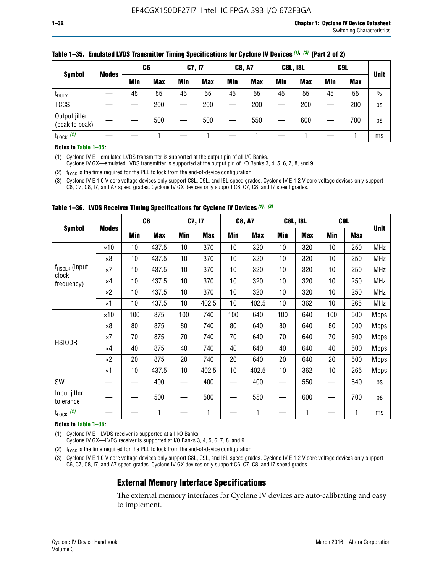| <b>Symbol</b>                   | <b>Modes</b> | C <sub>6</sub> |            | C7, I7     |            | <b>C8, A7</b> |            | <b>C8L, I8L</b> |            |     | C <sub>9</sub> L |               |
|---------------------------------|--------------|----------------|------------|------------|------------|---------------|------------|-----------------|------------|-----|------------------|---------------|
|                                 |              | Min            | <b>Max</b> | <b>Min</b> | <b>Max</b> | <b>Min</b>    | <b>Max</b> | Min             | <b>Max</b> | Min | <b>Max</b>       | <b>Unit</b>   |
| t <sub>DUTY</sub>               |              | 45             | 55         | 45         | 55         | 45            | 55         | 45              | 55         | 45  | 55               | $\frac{0}{0}$ |
| <b>TCCS</b>                     |              |                | 200        |            | 200        |               | 200        |                 | 200        | –   | 200              | ps            |
| Output jitter<br>(peak to peak) |              |                | 500        |            | 500        |               | 550        |                 | 600        | __  | 700              | ps            |
| $t_{\text{LOCK}}$ (2)           |              |                |            |            |            |               |            |                 |            |     |                  | ms            |

#### **Table 1–35. Emulated LVDS Transmitter Timing Specifications for Cyclone IV Devices** *(1)***,** *(3)* **(Part 2 of 2)**

#### **Notes to Table 1–35:**

(1) Cyclone IV E—emulated LVDS transmitter is supported at the output pin of all I/O Banks.

Cyclone IV GX—emulated LVDS transmitter is supported at the output pin of I/O Banks 3, 4, 5, 6, 7, 8, and 9.

(2)  $t_{\text{LOCK}}$  is the time required for the PLL to lock from the end-of-device configuration.

(3) Cyclone IV E 1.0 V core voltage devices only support C8L, C9L, and I8L speed grades. Cyclone IV E 1.2 V core voltage devices only support C6, C7, C8, I7, and A7 speed grades. Cyclone IV GX devices only support C6, C7, C8, and I7 speed grades.

| <b>Symbol</b>                      |              |     | C6         | C7, I7 |            | <b>C8, A7</b> |            |     | <b>C8L, I8L</b> | C <sub>9</sub> L         |            |             |
|------------------------------------|--------------|-----|------------|--------|------------|---------------|------------|-----|-----------------|--------------------------|------------|-------------|
|                                    | <b>Modes</b> | Min | <b>Max</b> | Min    | <b>Max</b> | Min           | <b>Max</b> | Min | <b>Max</b>      | Min                      | <b>Max</b> | <b>Unit</b> |
|                                    | $\times$ 10  | 10  | 437.5      | 10     | 370        | 10            | 320        | 10  | 320             | 10                       | 250        | <b>MHz</b>  |
|                                    | $\times 8$   | 10  | 437.5      | 10     | 370        | 10            | 320        | 10  | 320             | 10                       | 250        | <b>MHz</b>  |
| f <sub>HSCLK</sub> (input<br>clock | $\times 7$   | 10  | 437.5      | 10     | 370        | 10            | 320        | 10  | 320             | 10                       | 250        | <b>MHz</b>  |
| frequency)                         | $\times 4$   | 10  | 437.5      | 10     | 370        | 10            | 320        | 10  | 320             | 10                       | 250        | <b>MHz</b>  |
|                                    | $\times 2$   | 10  | 437.5      | 10     | 370        | 10            | 320        | 10  | 320             | 10                       | 250        | <b>MHz</b>  |
|                                    | ×1           | 10  | 437.5      | 10     | 402.5      | 10            | 402.5      | 10  | 362             | 10                       | 265        | <b>MHz</b>  |
|                                    | $\times$ 10  | 100 | 875        | 100    | 740        | 100           | 640        | 100 | 640             | 100                      | 500        | <b>Mbps</b> |
|                                    | $\times 8$   | 80  | 875        | 80     | 740        | 80            | 640        | 80  | 640             | 80                       | 500        | <b>Mbps</b> |
| <b>HSIODR</b>                      | ×7           | 70  | 875        | 70     | 740        | 70            | 640        | 70  | 640             | 70                       | 500        | <b>Mbps</b> |
|                                    | $\times 4$   | 40  | 875        | 40     | 740        | 40            | 640        | 40  | 640             | 40                       | 500        | <b>Mbps</b> |
|                                    | $\times 2$   | 20  | 875        | 20     | 740        | 20            | 640        | 20  | 640             | 20                       | 500        | <b>Mbps</b> |
|                                    | ×1           | 10  | 437.5      | 10     | 402.5      | 10            | 402.5      | 10  | 362             | 10                       | 265        | <b>Mbps</b> |
| SW                                 |              |     | 400        |        | 400        |               | 400        |     | 550             | $\overline{\phantom{0}}$ | 640        | ps          |
| Input jitter<br>tolerance          |              |     | 500        |        | 500        |               | 550        |     | 600             |                          | 700        | ps          |
| $t_{\text{LOCK}}$ (2)              |              |     | 1          |        | 1          |               | 1          |     | $\mathbf{1}$    |                          | 1          | ms          |

**Table 1–36. LVDS Receiver Timing Specifications for Cyclone IV Devices** *(1)***,** *(3)*

#### **Notes to Table 1–36:**

(1) Cyclone IV E—LVDS receiver is supported at all I/O Banks.

Cyclone IV GX—LVDS receiver is supported at I/O Banks 3, 4, 5, 6, 7, 8, and 9.

(2)  $t_{\text{LOCK}}$  is the time required for the PLL to lock from the end-of-device configuration.

(3) Cyclone IV E 1.0 V core voltage devices only support C8L, C9L, and I8L speed grades. Cyclone IV E 1.2 V core voltage devices only support C6, C7, C8, I7, and A7 speed grades. Cyclone IV GX devices only support C6, C7, C8, and I7 speed grades.

### **External Memory Interface Specifications**

The external memory interfaces for Cyclone IV devices are auto-calibrating and easy to implement.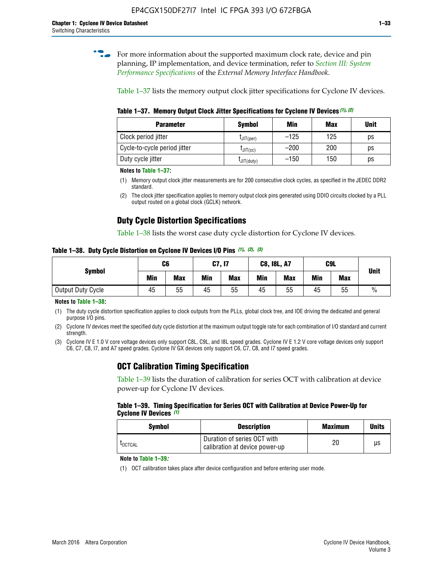**for more information about the supported maximum clock rate, device and pin** planning, IP implementation, and device termination, refer to *[Section III: System](http://www.altera.com/literature/hb/external-memory/emi_intro_specs.pdf)  [Performance Specifications](http://www.altera.com/literature/hb/external-memory/emi_intro_specs.pdf)* of the *External Memory Interface Handbook*.

Table 1–37 lists the memory output clock jitter specifications for Cyclone IV devices.

**Table 1–37. Memory Output Clock Jitter Specifications for Cyclone IV Devices** *(1)***,** *(2)*

| <b>Parameter</b>             | <b>Symbol</b>  | Min    | <b>Max</b> | <b>Unit</b> |
|------------------------------|----------------|--------|------------|-------------|
| Clock period jitter          | $L$ JIT(per)   | $-125$ | 125        | ps          |
| Cycle-to-cycle period jitter | $L$ JIT $(cc)$ | $-200$ | 200        | ps          |
| Duty cycle jitter            | LJIT(duty)     | $-150$ | 150        | рs          |

**Notes to Table 1–37:**

- (1) Memory output clock jitter measurements are for 200 consecutive clock cycles, as specified in the JEDEC DDR2 standard.
- (2) The clock jitter specification applies to memory output clock pins generated using DDIO circuits clocked by a PLL output routed on a global clock (GCLK) network.

# **Duty Cycle Distortion Specifications**

Table 1–38 lists the worst case duty cycle distortion for Cyclone IV devices.

**Table 1–38. Duty Cycle Distortion on Cyclone IV Devices I/O Pins** *(1)***,** *(2), (3)*

| <b>Symbol</b>     | C <sub>6</sub> |            | C7, I7     |            | <b>C8, I8L, A7</b> |            | C9L        | <b>Unit</b> |               |
|-------------------|----------------|------------|------------|------------|--------------------|------------|------------|-------------|---------------|
|                   | Min            | <b>Max</b> | <b>Min</b> | <b>Max</b> | Min                | <b>Max</b> | <b>Min</b> | <b>Max</b>  |               |
| Output Duty Cycle | 45             | 55         | 45         | 55         | 45                 | 55         | 45         | 55          | $\frac{0}{0}$ |

**Notes to Table 1–38:**

(1) The duty cycle distortion specification applies to clock outputs from the PLLs, global clock tree, and IOE driving the dedicated and general purpose I/O pins.

(2) Cyclone IV devices meet the specified duty cycle distortion at the maximum output toggle rate for each combination of I/O standard and current strength.

(3) Cyclone IV E 1.0 V core voltage devices only support C8L, C9L, and I8L speed grades. Cyclone IV E 1.2 V core voltage devices only support C6, C7, C8, I7, and A7 speed grades. Cyclone IV GX devices only support C6, C7, C8, and I7 speed grades.

# **OCT Calibration Timing Specification**

Table 1–39 lists the duration of calibration for series OCT with calibration at device power-up for Cyclone IV devices.

#### **Table 1–39. Timing Specification for Series OCT with Calibration at Device Power-Up for Cyclone IV Devices** *(1)*

| Symbol  | <b>Description</b>                                            | <b>Maximum</b> | <b>Units</b> |
|---------|---------------------------------------------------------------|----------------|--------------|
| LOCTCAL | Duration of series OCT with<br>calibration at device power-up | 20             | μs           |

#### **Note to Table 1–39***:*

(1) OCT calibration takes place after device configuration and before entering user mode.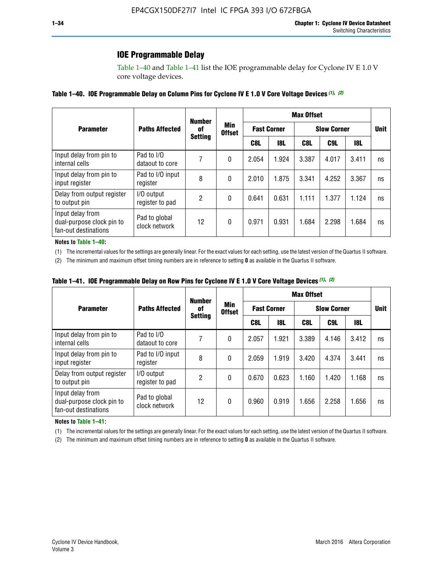# **IOE Programmable Delay**

Table 1–40 and Table 1–41 list the IOE programmable delay for Cyclone IV E 1.0 V core voltage devices.

#### **Table 1–40. IOE Programmable Delay on Column Pins for Cyclone IV E 1.0 V Core Voltage Devices** *(1)***,** *(2)*

|                                                                       |                                | <b>Number</b>        |                      | <b>Max Offset</b>  |            |                    |       |             |    |
|-----------------------------------------------------------------------|--------------------------------|----------------------|----------------------|--------------------|------------|--------------------|-------|-------------|----|
| <b>Parameter</b>                                                      | <b>Paths Affected</b>          | 0f<br><b>Setting</b> | Min<br><b>Offset</b> | <b>Fast Corner</b> |            | <b>Slow Corner</b> |       | <b>Unit</b> |    |
|                                                                       |                                |                      |                      | C8L                | <b>18L</b> | C8L                | C9L   | 18L         |    |
| Input delay from pin to<br>internal cells                             | Pad to I/O<br>dataout to core  |                      | 0                    | 2.054              | 1.924      | 3.387              | 4.017 | 3.411       | ns |
| Input delay from pin to<br>input register                             | Pad to I/O input<br>register   | 8                    | 0                    | 2.010              | 1.875      | 3.341              | 4.252 | 3.367       | ns |
| Delay from output register<br>to output pin                           | I/O output<br>register to pad  | 2                    | 0                    | 0.641              | 0.631      | 1.111              | 1.377 | 1.124       | ns |
| Input delay from<br>dual-purpose clock pin to<br>fan-out destinations | Pad to global<br>clock network | 12                   | 0                    | 0.971              | 0.931      | 1.684              | 2.298 | 1.684       | ns |

#### **Notes to Table 1–40:**

(1) The incremental values for the settings are generally linear. For the exact values for each setting, use the latest version of the Quartus II software.

(2) The minimum and maximum offset timing numbers are in reference to setting **0** as available in the Quartus II software.

| Table 1-41. IOE Programmable Delay on Row Pins for Cyclone IV E 1.0 V Core Voltage Devices (1), (2) |  |  |
|-----------------------------------------------------------------------------------------------------|--|--|
|-----------------------------------------------------------------------------------------------------|--|--|

|                                                                       |                                | <b>Number</b>  |                      | <b>Max Offset</b>  |            |                    |       |             |    |
|-----------------------------------------------------------------------|--------------------------------|----------------|----------------------|--------------------|------------|--------------------|-------|-------------|----|
| <b>Parameter</b>                                                      | <b>Paths Affected</b>          | 0f             | Min<br><b>Offset</b> | <b>Fast Corner</b> |            | <b>Slow Corner</b> |       | <b>Unit</b> |    |
|                                                                       |                                | <b>Setting</b> |                      | C8L                | <b>18L</b> | C8L                | C9L   | 18L         |    |
| Input delay from pin to<br>internal cells                             | Pad to I/O<br>dataout to core  |                | 0                    | 2.057              | 1.921      | 3.389              | 4.146 | 3.412       | ns |
| Input delay from pin to<br>input register                             | Pad to I/O input<br>register   | 8              | 0                    | 2.059              | 1.919      | 3.420              | 4.374 | 3.441       | ns |
| Delay from output register<br>to output pin                           | I/O output<br>register to pad  | 2              | 0                    | 0.670              | 0.623      | 1.160              | 1.420 | 1.168       | ns |
| Input delay from<br>dual-purpose clock pin to<br>fan-out destinations | Pad to global<br>clock network | 12             | 0                    | 0.960              | 0.919      | 1.656              | 2.258 | 1.656       | ns |

#### **Notes to Table 1–41:**

(1) The incremental values for the settings are generally linear. For the exact values for each setting, use the latest version of the Quartus II software.

(2) The minimum and maximum offset timing numbers are in reference to setting **0** as available in the Quartus II software.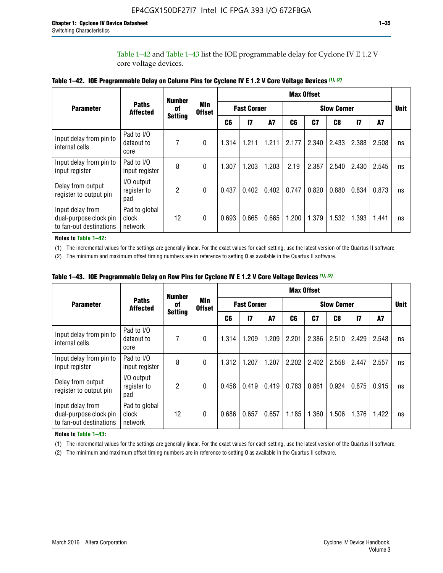Table 1–42 and Table 1–43 list the IOE programmable delay for Cyclone IV E 1.2 V core voltage devices.

|                                                                       |                                   | <b>Number</b>        |            | <b>Max Offset</b> |              |                    |       |       |                |                    |       |    |             |
|-----------------------------------------------------------------------|-----------------------------------|----------------------|------------|-------------------|--------------|--------------------|-------|-------|----------------|--------------------|-------|----|-------------|
| <b>Parameter</b>                                                      | <b>Paths</b><br><b>Affected</b>   | of<br><b>Setting</b> | <b>Min</b> | <b>Offset</b>     |              | <b>Fast Corner</b> |       |       |                | <b>Slow Corner</b> |       |    | <b>Unit</b> |
|                                                                       |                                   |                      |            | C <sub>6</sub>    | $\mathbf{I}$ | <b>A7</b>          | C6    | C7    | C <sub>8</sub> | $\mathbf{I}$       | A7    |    |             |
| Input delay from pin to<br>internal cells                             | Pad to I/O<br>dataout to<br>core  | 7                    | 0          | 1.314             | 1.211        | 1.211              | 2.177 | 2.340 | 2.433          | 2.388              | 2.508 | ns |             |
| Input delay from pin to<br>input register                             | Pad to I/O<br>input register      | 8                    | $\theta$   | 1.307             | 1.203        | 1.203              | 2.19  | 2.387 | 2.540          | 2.430              | 2.545 | ns |             |
| Delay from output<br>register to output pin                           | I/O output<br>register to<br>pad  | 2                    | 0          | 0.437             | 0.402        | 0.402              | 0.747 | 0.820 | 0.880          | 0.834              | 0.873 | ns |             |
| Input delay from<br>dual-purpose clock pin<br>to fan-out destinations | Pad to global<br>clock<br>network | 12                   | 0          | 0.693             | 0.665        | 0.665              | 1.200 | 1.379 | 1.532          | 1.393              | 1.441 | ns |             |

**Table 1–42. IOE Programmable Delay on Column Pins for Cyclone IV E 1.2 V Core Voltage Devices** *(1)***,** *(2)*

**Notes to Table 1–42:**

(1) The incremental values for the settings are generally linear. For the exact values for each setting, use the latest version of the Quartus II software.

(2) The minimum and maximum offset timing numbers are in reference to setting **0** as available in the Quartus II software.

|                                                                       |                                   | <b>Number</b>        | Min<br><b>Offset</b> | <b>Max Offset</b> |                    |       |       |                    |       |              |       |    |
|-----------------------------------------------------------------------|-----------------------------------|----------------------|----------------------|-------------------|--------------------|-------|-------|--------------------|-------|--------------|-------|----|
| <b>Parameter</b>                                                      | <b>Paths</b><br><b>Affected</b>   | 0f<br><b>Setting</b> |                      |                   | <b>Fast Corner</b> |       |       | <b>Slow Corner</b> |       |              |       |    |
|                                                                       |                                   |                      |                      | C6                | 17                 | A7    | C6    | C <sub>7</sub>     | C8    | $\mathbf{I}$ | A7    |    |
| Input delay from pin to<br>internal cells                             | Pad to I/O<br>dataout to<br>core  | 7                    | 0                    | 1.314             | 1.209              | 1.209 | 2.201 | 2.386              | 2.510 | 2.429        | 2.548 | ns |
| Input delay from pin to<br>input register                             | Pad to I/O<br>input register      | 8                    | $\theta$             | 1.312             | 1.207              | 1.207 | 2.202 | 2.402              | 2.558 | 2.447        | 2.557 | ns |
| Delay from output<br>register to output pin                           | I/O output<br>register to<br>pad  | $\overline{2}$       | $\Omega$             | 0.458             | 0.419              | 0.419 | 0.783 | 0.861              | 0.924 | 0.875        | 0.915 | ns |
| Input delay from<br>dual-purpose clock pin<br>to fan-out destinations | Pad to global<br>clock<br>network | 12                   | 0                    | 0.686             | 0.657              | 0.657 | 1.185 | 1.360              | 1.506 | 1.376        | 1.422 | ns |

**Table 1–43. IOE Programmable Delay on Row Pins for Cyclone IV E 1.2 V Core Voltage Devices** *(1)***,** *(2)*

#### **Notes to Table 1–43:**

(1) The incremental values for the settings are generally linear. For the exact values for each setting, use the latest version of the Quartus II software.

(2) The minimum and maximum offset timing numbers are in reference to setting **0** as available in the Quartus II software.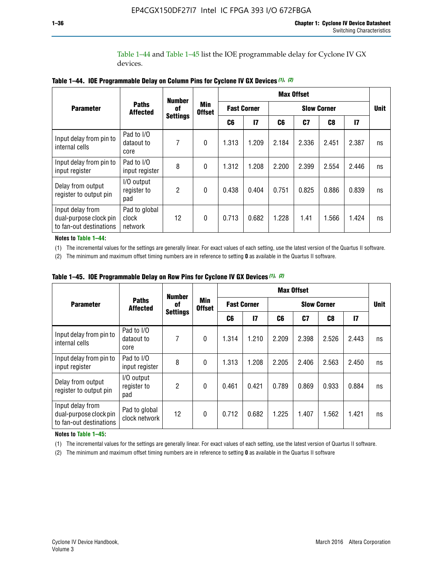Table 1–44 and Table 1–45 list the IOE programmable delay for Cyclone IV GX devices.

|                                                                       |                                       | <b>Number</b>   |              |               |               |                    | <b>Max Offset</b> |                    |               |             |
|-----------------------------------------------------------------------|---------------------------------------|-----------------|--------------|---------------|---------------|--------------------|-------------------|--------------------|---------------|-------------|
| <b>Parameter</b>                                                      | <b>Paths</b><br>0f<br><b>Affected</b> |                 | <b>Min</b>   | <b>Offset</b> |               | <b>Fast Corner</b> |                   | <b>Slow Corner</b> |               | <b>Unit</b> |
|                                                                       |                                       | <b>Settings</b> |              | C6            | $\mathsf{I}7$ | C6                 | C7                | C8                 | $\mathsf{I}7$ |             |
| Input delay from pin to<br>internal cells                             | Pad to I/O<br>dataout to<br>core      | 7               | $\mathbf{0}$ | 1.313         | 1.209         | 2.184              | 2.336             | 2.451              | 2.387         | ns          |
| Input delay from pin to<br>input register                             | Pad to I/O<br>input register          | 8               | $\theta$     | 1.312         | 1.208         | 2.200              | 2.399             | 2.554              | 2.446         | ns          |
| Delay from output<br>register to output pin                           | I/O output<br>register to<br>pad      | 2               | $\mathbf 0$  | 0.438         | 0.404         | 0.751              | 0.825             | 0.886              | 0.839         | ns          |
| Input delay from<br>dual-purpose clock pin<br>to fan-out destinations | Pad to global<br>clock<br>network     | 12              | 0            | 0.713         | 0.682         | 1.228              | 1.41              | 1.566              | 1.424         | ns          |

**Table 1–44. IOE Programmable Delay on Column Pins for Cyclone IV GX Devices** *(1)***,** *(2)*

**Notes to Table 1–44:**

(1) The incremental values for the settings are generally linear. For exact values of each setting, use the latest version of the Quartus II software.

(2) The minimum and maximum offset timing numbers are in reference to setting **0** as available in the Quartus II software.

|                                                                       |                                  | <b>Number</b>         | <b>Min</b><br><b>Offset</b> | <b>Max Offset</b> |                    |       |       |                    |               |             |  |
|-----------------------------------------------------------------------|----------------------------------|-----------------------|-----------------------------|-------------------|--------------------|-------|-------|--------------------|---------------|-------------|--|
| <b>Parameter</b>                                                      | <b>Paths</b><br><b>Affected</b>  | 0f<br><b>Settings</b> |                             |                   | <b>Fast Corner</b> |       |       | <b>Slow Corner</b> |               | <b>Unit</b> |  |
|                                                                       |                                  |                       |                             | C6                | 17                 | C6    | C7    | C8                 | $\mathsf{I}7$ |             |  |
| Input delay from pin to<br>internal cells                             | Pad to I/O<br>dataout to<br>core | 7                     | $\mathbf{0}$                | 1.314             | 1.210              | 2.209 | 2.398 | 2.526              | 2.443         | ns          |  |
| Input delay from pin to<br>input register                             | Pad to I/O<br>input register     | 8                     | $\mathbf{0}$                | 1.313             | 1.208              | 2.205 | 2.406 | 2.563              | 2.450         | ns          |  |
| Delay from output<br>register to output pin                           | I/O output<br>register to<br>pad | $\overline{2}$        | $\mathbf{0}$                | 0.461             | 0.421              | 0.789 | 0.869 | 0.933              | 0.884         | ns          |  |
| Input delay from<br>dual-purpose clock pin<br>to fan-out destinations | Pad to global<br>clock network   | 12                    | $\mathbf{0}$                | 0.712             | 0.682              | 1.225 | 1.407 | 1.562              | 1.421         | ns          |  |

**Table 1–45. IOE Programmable Delay on Row Pins for Cyclone IV GX Devices** *(1)***,** *(2)*

#### **Notes to Table 1–45:**

(1) The incremental values for the settings are generally linear. For exact values of each setting, use the latest version of Quartus II software.

(2) The minimum and maximum offset timing numbers are in reference to setting **0** as available in the Quartus II software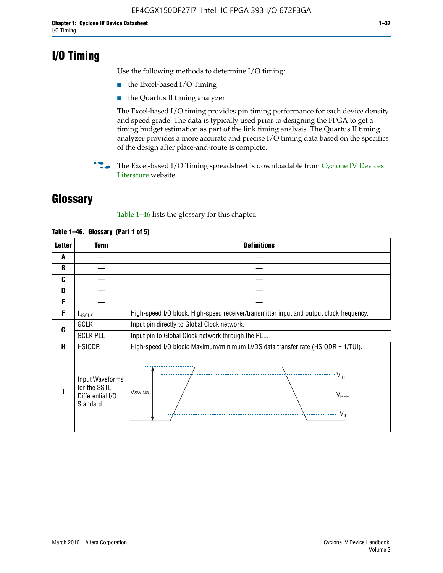# **I/O Timing**

Use the following methods to determine I/O timing:

- the Excel-based I/O Timing
- the Quartus II timing analyzer

The Excel-based I/O timing provides pin timing performance for each device density and speed grade. The data is typically used prior to designing the FPGA to get a timing budget estimation as part of the link timing analysis. The Quartus II timing analyzer provides a more accurate and precise I/O timing data based on the specifics of the design after place-and-route is complete.

**For The Excel-based I/O Timing spreadsheet is downloadable from Cyclone IV Devices** [Literature](http://www.altera.com/literature/lit-cyclone-iv.jsp) website.

# **Glossary**

Table 1–46 lists the glossary for this chapter.

| <b>Letter</b> | <b>Term</b>                                                     | <b>Definitions</b>                                                                                                                               |  |  |  |  |  |  |
|---------------|-----------------------------------------------------------------|--------------------------------------------------------------------------------------------------------------------------------------------------|--|--|--|--|--|--|
| A             |                                                                 |                                                                                                                                                  |  |  |  |  |  |  |
| B             |                                                                 |                                                                                                                                                  |  |  |  |  |  |  |
| C             |                                                                 |                                                                                                                                                  |  |  |  |  |  |  |
| D             |                                                                 |                                                                                                                                                  |  |  |  |  |  |  |
| E             |                                                                 |                                                                                                                                                  |  |  |  |  |  |  |
| F             | $f_{\sf HSCLK}$                                                 | High-speed I/O block: High-speed receiver/transmitter input and output clock frequency.                                                          |  |  |  |  |  |  |
| G             | <b>GCLK</b>                                                     | Input pin directly to Global Clock network.                                                                                                      |  |  |  |  |  |  |
|               | <b>GCLK PLL</b>                                                 | Input pin to Global Clock network through the PLL.                                                                                               |  |  |  |  |  |  |
| н             | <b>HSIODR</b>                                                   | High-speed I/O block: Maximum/minimum LVDS data transfer rate (HSIODR = 1/TUI).                                                                  |  |  |  |  |  |  |
|               | Input Waveforms<br>for the SSTL<br>Differential I/O<br>Standard | $\frac{1}{\sqrt{1+\frac{1}{2}}}\left\{ \frac{1}{\sqrt{1+\frac{1}{2}}}\right\}$<br><b>V</b> swing<br>$\cdots$ $V_{REF}$<br>\<br>$\sim V_{\rm IL}$ |  |  |  |  |  |  |

#### **Table 1–46. Glossary (Part 1 of 5)**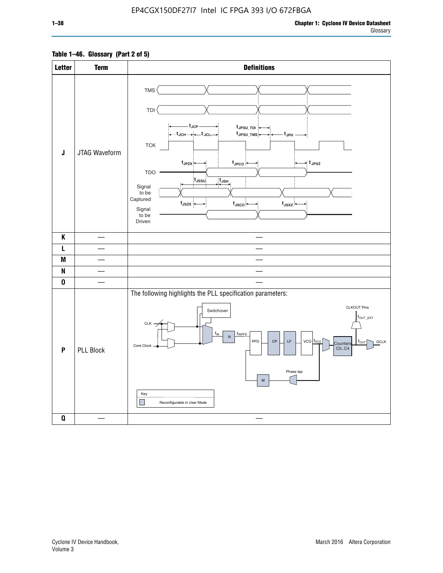### **Table 1–46. Glossary (Part 2 of 5)**

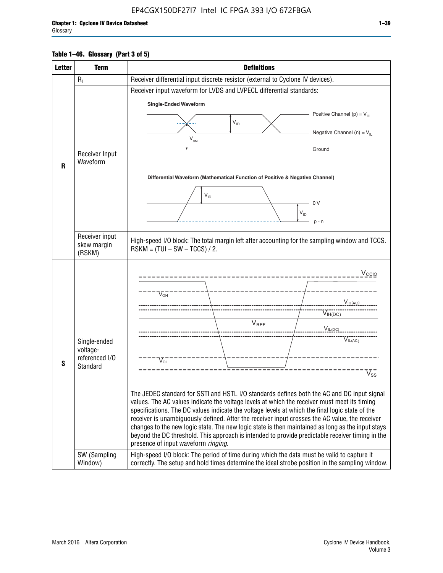### **Table 1–46. Glossary (Part 3 of 5)**

| <b>Letter</b> | <b>Term</b>              | <b>Definitions</b>                                                                                                                                                                                |  |  |  |  |  |  |  |
|---------------|--------------------------|---------------------------------------------------------------------------------------------------------------------------------------------------------------------------------------------------|--|--|--|--|--|--|--|
|               | $R_L$                    | Receiver differential input discrete resistor (external to Cyclone IV devices).                                                                                                                   |  |  |  |  |  |  |  |
|               |                          | Receiver input waveform for LVDS and LVPECL differential standards:                                                                                                                               |  |  |  |  |  |  |  |
|               |                          | <b>Single-Ended Waveform</b>                                                                                                                                                                      |  |  |  |  |  |  |  |
|               |                          | Positive Channel (p) = $V_{\text{H}}$                                                                                                                                                             |  |  |  |  |  |  |  |
|               |                          | $\mathsf{V}_{\mathsf{ID}}$                                                                                                                                                                        |  |  |  |  |  |  |  |
|               | Receiver Input           | Negative Channel (n) = $V_{\parallel}$<br>$V_{CM}$                                                                                                                                                |  |  |  |  |  |  |  |
|               |                          | Ground                                                                                                                                                                                            |  |  |  |  |  |  |  |
| R             | Waveform                 |                                                                                                                                                                                                   |  |  |  |  |  |  |  |
|               |                          | Differential Waveform (Mathematical Function of Positive & Negative Channel)                                                                                                                      |  |  |  |  |  |  |  |
|               |                          |                                                                                                                                                                                                   |  |  |  |  |  |  |  |
|               |                          | $V_{ID}$<br>0V                                                                                                                                                                                    |  |  |  |  |  |  |  |
|               |                          | $V_{ID}$                                                                                                                                                                                          |  |  |  |  |  |  |  |
|               |                          | $p - n$                                                                                                                                                                                           |  |  |  |  |  |  |  |
|               | Receiver input           |                                                                                                                                                                                                   |  |  |  |  |  |  |  |
|               | skew margin              | High-speed I/O block: The total margin left after accounting for the sampling window and TCCS.<br>$RSKM = (TUI - SW - TCCS) / 2.$                                                                 |  |  |  |  |  |  |  |
|               | (RSKM)                   |                                                                                                                                                                                                   |  |  |  |  |  |  |  |
|               |                          | $V_{CCIO}$                                                                                                                                                                                        |  |  |  |  |  |  |  |
|               |                          |                                                                                                                                                                                                   |  |  |  |  |  |  |  |
|               |                          | $V_{\text{\tiny OH}}^-$                                                                                                                                                                           |  |  |  |  |  |  |  |
|               |                          | $V_{H(AC)}$                                                                                                                                                                                       |  |  |  |  |  |  |  |
|               |                          | $V_{IH(DC)}$<br>V <sub>REF</sub>                                                                                                                                                                  |  |  |  |  |  |  |  |
|               |                          | $V_{\text{IL(DC)}}$                                                                                                                                                                               |  |  |  |  |  |  |  |
|               | Single-ended<br>voltage- | VIL(AC)                                                                                                                                                                                           |  |  |  |  |  |  |  |
|               | referenced I/O           | $V_{\text{OL}}$                                                                                                                                                                                   |  |  |  |  |  |  |  |
| S             | Standard                 | $\rm V_{ss}^-$                                                                                                                                                                                    |  |  |  |  |  |  |  |
|               |                          |                                                                                                                                                                                                   |  |  |  |  |  |  |  |
|               |                          | The JEDEC standard for SSTI and HSTL I/O standards defines both the AC and DC input signal                                                                                                        |  |  |  |  |  |  |  |
|               |                          | values. The AC values indicate the voltage levels at which the receiver must meet its timing                                                                                                      |  |  |  |  |  |  |  |
|               |                          | specifications. The DC values indicate the voltage levels at which the final logic state of the<br>receiver is unambiguously defined. After the receiver input crosses the AC value, the receiver |  |  |  |  |  |  |  |
|               |                          | changes to the new logic state. The new logic state is then maintained as long as the input stays                                                                                                 |  |  |  |  |  |  |  |
|               |                          | beyond the DC threshold. This approach is intended to provide predictable receiver timing in the<br>presence of input waveform ringing.                                                           |  |  |  |  |  |  |  |
|               | SW (Sampling             | High-speed I/O block: The period of time during which the data must be valid to capture it                                                                                                        |  |  |  |  |  |  |  |
|               | Window)                  | correctly. The setup and hold times determine the ideal strobe position in the sampling window.                                                                                                   |  |  |  |  |  |  |  |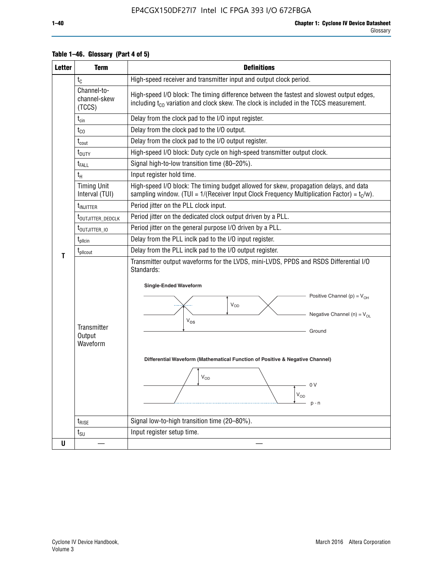| <b>Letter</b> | <b>Term</b>                           | <b>Definitions</b>                                                                                                                                                                                                                                                                                                                                                |  |  |  |
|---------------|---------------------------------------|-------------------------------------------------------------------------------------------------------------------------------------------------------------------------------------------------------------------------------------------------------------------------------------------------------------------------------------------------------------------|--|--|--|
|               | $t_{\rm C}$                           | High-speed receiver and transmitter input and output clock period.                                                                                                                                                                                                                                                                                                |  |  |  |
|               | Channel-to-<br>channel-skew<br>(TCCS) | High-speed I/O block: The timing difference between the fastest and slowest output edges,<br>including t <sub>co</sub> variation and clock skew. The clock is included in the TCCS measurement.                                                                                                                                                                   |  |  |  |
|               | $t_{\text{cin}}$                      | Delay from the clock pad to the I/O input register.                                                                                                                                                                                                                                                                                                               |  |  |  |
|               | $t_{CO}$                              | Delay from the clock pad to the I/O output.                                                                                                                                                                                                                                                                                                                       |  |  |  |
|               | $t_{\text{cout}}$                     | Delay from the clock pad to the I/O output register.                                                                                                                                                                                                                                                                                                              |  |  |  |
|               | t <sub>DUTY</sub>                     | High-speed I/O block: Duty cycle on high-speed transmitter output clock.                                                                                                                                                                                                                                                                                          |  |  |  |
|               | t <sub>FALL</sub>                     | Signal high-to-low transition time (80-20%).                                                                                                                                                                                                                                                                                                                      |  |  |  |
|               | $t_H$                                 | Input register hold time.                                                                                                                                                                                                                                                                                                                                         |  |  |  |
|               | <b>Timing Unit</b><br>Interval (TUI)  | High-speed I/O block: The timing budget allowed for skew, propagation delays, and data<br>sampling window. (TUI = $1/($ Receiver Input Clock Frequency Multiplication Factor) = $t_c/w$ ).                                                                                                                                                                        |  |  |  |
|               | t <sub>INJITTER</sub>                 | Period jitter on the PLL clock input.                                                                                                                                                                                                                                                                                                                             |  |  |  |
|               | t <sub>outjitter_dedclk</sub>         | Period jitter on the dedicated clock output driven by a PLL.                                                                                                                                                                                                                                                                                                      |  |  |  |
|               | t <sub>outjitter_io</sub>             | Period jitter on the general purpose I/O driven by a PLL.                                                                                                                                                                                                                                                                                                         |  |  |  |
|               | $t_{\text{pllcin}}$                   | Delay from the PLL inclk pad to the I/O input register.                                                                                                                                                                                                                                                                                                           |  |  |  |
| т             | t <sub>plicout</sub>                  | Delay from the PLL inclk pad to the I/O output register.                                                                                                                                                                                                                                                                                                          |  |  |  |
|               | Transmitter<br>Output<br>Waveform     | Transmitter output waveforms for the LVDS, mini-LVDS, PPDS and RSDS Differential I/O<br>Standards:<br><b>Single-Ended Waveform</b><br>Positive Channel (p) = $V_{OH}$<br>VOD<br>Negative Channel (n) = $V_{OL}$<br>$V_{OS}$<br>Ground<br>Differential Waveform (Mathematical Function of Positive & Negative Channel)<br>$V_{OD}$<br>- 0 V<br>$V_{OD}$<br>$p - n$ |  |  |  |
|               | $t_{\text{RISE}}$                     | Signal low-to-high transition time (20-80%).                                                                                                                                                                                                                                                                                                                      |  |  |  |
|               | $t_{\scriptstyle\text{SU}}$           | Input register setup time.                                                                                                                                                                                                                                                                                                                                        |  |  |  |
| U             |                                       |                                                                                                                                                                                                                                                                                                                                                                   |  |  |  |

### **Table 1–46. Glossary (Part 4 of 5)**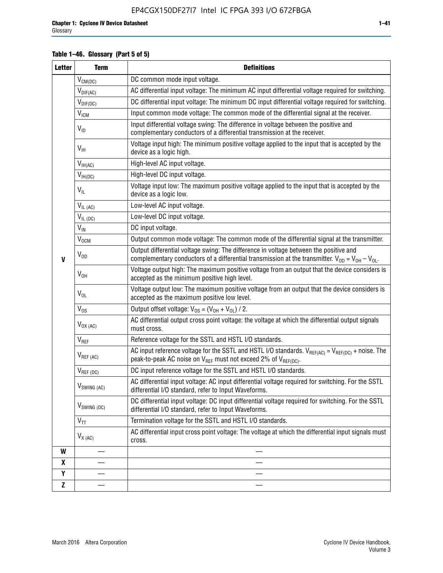### **Table 1–46. Glossary (Part 5 of 5)**

| <b>Letter</b> | <b>Term</b>               | <b>Definitions</b>                                                                                                                                                                                |  |  |
|---------------|---------------------------|---------------------------------------------------------------------------------------------------------------------------------------------------------------------------------------------------|--|--|
|               | $V_{CM(DC)}$              | DC common mode input voltage.                                                                                                                                                                     |  |  |
|               | $V_{DIF(AC)}$             | AC differential input voltage: The minimum AC input differential voltage required for switching.                                                                                                  |  |  |
|               | $V_{DIF(DC)}$             | DC differential input voltage: The minimum DC input differential voltage required for switching.                                                                                                  |  |  |
|               | V <sub>ICM</sub>          | Input common mode voltage: The common mode of the differential signal at the receiver.                                                                                                            |  |  |
|               | $V_{ID}$                  | Input differential voltage swing: The difference in voltage between the positive and<br>complementary conductors of a differential transmission at the receiver.                                  |  |  |
|               | $V_{\text{IH}}$           | Voltage input high: The minimum positive voltage applied to the input that is accepted by the<br>device as a logic high.                                                                          |  |  |
|               | $V_{IH(AC)}$              | High-level AC input voltage.                                                                                                                                                                      |  |  |
|               | $V_{IH(DC)}$              | High-level DC input voltage.                                                                                                                                                                      |  |  |
|               | $V_{IL}$                  | Voltage input low: The maximum positive voltage applied to the input that is accepted by the<br>device as a logic low.                                                                            |  |  |
|               | $V_{IL(AC)}$              | Low-level AC input voltage.                                                                                                                                                                       |  |  |
|               | $V_{IL(DC)}$              | Low-level DC input voltage.                                                                                                                                                                       |  |  |
|               | $V_{\text{IN}}$           | DC input voltage.                                                                                                                                                                                 |  |  |
|               | $V_{OCM}$                 | Output common mode voltage: The common mode of the differential signal at the transmitter.                                                                                                        |  |  |
| $\mathbf{V}$  | $V_{OD}$                  | Output differential voltage swing: The difference in voltage between the positive and<br>complementary conductors of a differential transmission at the transmitter. $V_{OD} = V_{OH} - V_{OL}$ . |  |  |
|               | $V_{OH}$                  | Voltage output high: The maximum positive voltage from an output that the device considers is<br>accepted as the minimum positive high level.                                                     |  |  |
|               | $V_{OL}$                  | Voltage output low: The maximum positive voltage from an output that the device considers is<br>accepted as the maximum positive low level.                                                       |  |  |
|               | $V_{OS}$                  | Output offset voltage: $V_{OS} = (V_{OH} + V_{OL}) / 2$ .                                                                                                                                         |  |  |
|               | $V_{OX(AC)}$              | AC differential output cross point voltage: the voltage at which the differential output signals<br>must cross.                                                                                   |  |  |
|               | $V_{REF}$                 | Reference voltage for the SSTL and HSTL I/O standards.                                                                                                                                            |  |  |
|               | $V_{REF\,(AC)}$           | AC input reference voltage for the SSTL and HSTL I/O standards. $V_{REF(AC)} = V_{REF(DC)} +$ noise. The<br>peak-to-peak AC noise on $V_{REF}$ must not exceed 2% of $V_{REF(DC)}$ .              |  |  |
|               | $V_{REF(DC)}$             | DC input reference voltage for the SSTL and HSTL I/O standards.                                                                                                                                   |  |  |
|               | $V_{\textrm{SWING (AC)}}$ | AC differential input voltage: AC input differential voltage required for switching. For the SSTL<br>differential I/O standard, refer to Input Waveforms.                                         |  |  |
|               | $V_{SWING (DC)}$          | DC differential input voltage: DC input differential voltage required for switching. For the SSTL<br>differential I/O standard, refer to Input Waveforms.                                         |  |  |
|               | $\text{V}_{\text{TT}}$    | Termination voltage for the SSTL and HSTL I/O standards.                                                                                                                                          |  |  |
|               | $V_{X (AC)}$              | AC differential input cross point voltage: The voltage at which the differential input signals must<br>cross.                                                                                     |  |  |
| W             |                           |                                                                                                                                                                                                   |  |  |
| X             |                           |                                                                                                                                                                                                   |  |  |
| Y             |                           |                                                                                                                                                                                                   |  |  |
| $\mathbf{Z}$  |                           |                                                                                                                                                                                                   |  |  |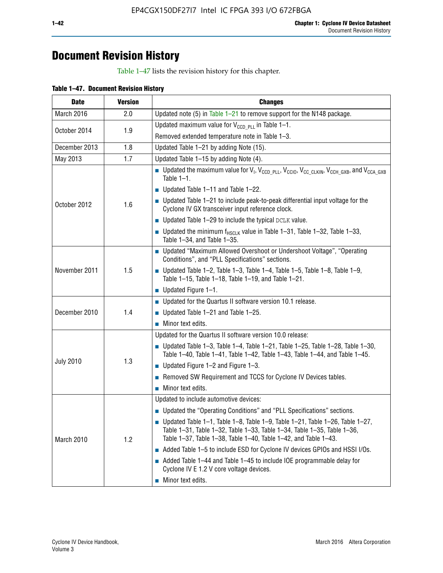# **Document Revision History**

Table 1–47 lists the revision history for this chapter.

| Table 1-47. Document Revision History |  |  |
|---------------------------------------|--|--|
|                                       |  |  |

| <b>Date</b>      | <b>Version</b> | <b>Changes</b>                                                                                                                                                                                                                            |
|------------------|----------------|-------------------------------------------------------------------------------------------------------------------------------------------------------------------------------------------------------------------------------------------|
| March 2016       | 2.0            | Updated note (5) in Table $1-21$ to remove support for the N148 package.                                                                                                                                                                  |
| October 2014     | 1.9            | Updated maximum value for $V_{CCD, PL}$ in Table 1-1.                                                                                                                                                                                     |
|                  |                | Removed extended temperature note in Table 1-3.                                                                                                                                                                                           |
| December 2013    | 1.8            | Updated Table 1-21 by adding Note (15).                                                                                                                                                                                                   |
| May 2013         | 1.7            | Updated Table 1-15 by adding Note (4).                                                                                                                                                                                                    |
|                  |                | <b>D</b> Updated the maximum value for $V_1$ , $V_{CCD}$ <sub>PLL</sub> , $V_{CC10}$ , $V_{CC_1CLKIN}$ , $V_{CCH_1GXB}$ , and $V_{CCA_1GXB}$<br>Table $1-1$ .                                                                             |
|                  |                | Updated Table 1-11 and Table 1-22.                                                                                                                                                                                                        |
| October 2012     | 1.6            | $\blacksquare$ Updated Table 1-21 to include peak-to-peak differential input voltage for the<br>Cyclone IV GX transceiver input reference clock.                                                                                          |
|                  |                | $\blacksquare$ Updated Table 1-29 to include the typical DCLK value.                                                                                                                                                                      |
|                  |                | <b>Updated the minimum f<sub>HSCLK</sub></b> value in Table 1-31, Table 1-32, Table 1-33,<br>Table 1-34, and Table 1-35.                                                                                                                  |
|                  |                | • Updated "Maximum Allowed Overshoot or Undershoot Voltage", "Operating<br>Conditions", and "PLL Specifications" sections.                                                                                                                |
| November 2011    | 1.5            | Updated Table 1-2, Table 1-3, Table 1-4, Table 1-5, Table 1-8, Table 1-9,<br>Table 1-15, Table 1-18, Table 1-19, and Table 1-21.                                                                                                          |
|                  |                | ■ Updated Figure $1-1$ .                                                                                                                                                                                                                  |
|                  |                | • Updated for the Quartus II software version 10.1 release.                                                                                                                                                                               |
| December 2010    | 1.4            | $\blacksquare$ Updated Table 1-21 and Table 1-25.                                                                                                                                                                                         |
|                  |                | $\blacksquare$ Minor text edits.                                                                                                                                                                                                          |
|                  |                | Updated for the Quartus II software version 10.0 release:                                                                                                                                                                                 |
|                  | 1.3            | Updated Table 1-3, Table 1-4, Table 1-21, Table 1-25, Table 1-28, Table 1-30,<br>Table 1-40, Table 1-41, Table 1-42, Table 1-43, Table 1-44, and Table 1-45.                                                                              |
| <b>July 2010</b> |                | ■ Updated Figure $1-2$ and Figure $1-3$ .                                                                                                                                                                                                 |
|                  |                | Removed SW Requirement and TCCS for Cyclone IV Devices tables.                                                                                                                                                                            |
|                  |                | $\blacksquare$ Minor text edits.                                                                                                                                                                                                          |
|                  |                | Updated to include automotive devices:                                                                                                                                                                                                    |
|                  | 1.2            | • Updated the "Operating Conditions" and "PLL Specifications" sections.                                                                                                                                                                   |
| March 2010       |                | $\blacksquare$ Updated Table 1-1, Table 1-8, Table 1-9, Table 1-21, Table 1-26, Table 1-27,<br>Table 1-31, Table 1-32, Table 1-33, Table 1-34, Table 1-35, Table 1-36,<br>Table 1-37, Table 1-38, Table 1-40, Table 1-42, and Table 1-43. |
|                  |                | Added Table 1-5 to include ESD for Cyclone IV devices GPIOs and HSSI I/Os.                                                                                                                                                                |
|                  |                | Added Table 1-44 and Table 1-45 to include IOE programmable delay for<br>Cyclone IV E 1.2 V core voltage devices.                                                                                                                         |
|                  |                | Minor text edits.                                                                                                                                                                                                                         |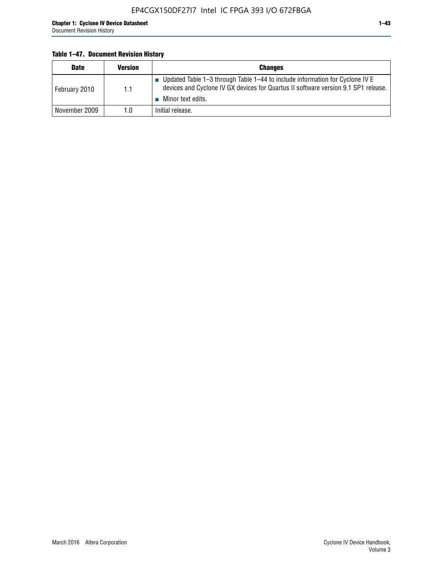#### **Table 1–47. Document Revision History**

| <b>Date</b>   | <b>Version</b> | <b>Changes</b>                                                                                                                                                                          |
|---------------|----------------|-----------------------------------------------------------------------------------------------------------------------------------------------------------------------------------------|
| February 2010 | 1.1            | Updated Table 1-3 through Table 1-44 to include information for Cyclone IV E<br>devices and Cyclone IV GX devices for Quartus II software version 9.1 SP1 release.<br>Minor text edits. |
| November 2009 | 1.0            | Initial release.                                                                                                                                                                        |